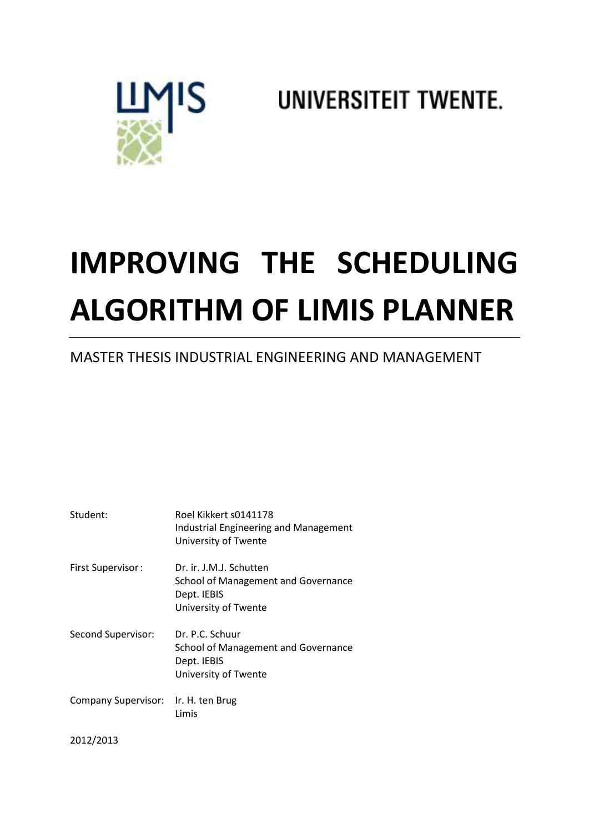## UNIVERSITEIT TWENTE.



# **IMPROVING THE SCHEDULING ALGORITHM OF LIMIS PLANNER**

## MASTER THESIS INDUSTRIAL ENGINEERING AND MANAGEMENT

| Student:                            | Roel Kikkert s0141178<br><b>Industrial Engineering and Management</b><br>University of Twente         |
|-------------------------------------|-------------------------------------------------------------------------------------------------------|
| <b>First Supervisor:</b>            | Dr. ir. J.M.J. Schutten<br>School of Management and Governance<br>Dept. IEBIS<br>University of Twente |
| Second Supervisor:                  | Dr. P.C. Schuur<br>School of Management and Governance<br>Dept. IEBIS<br>University of Twente         |
| Company Supervisor: Ir. H. ten Brug | Limis                                                                                                 |
| 2012/2013                           |                                                                                                       |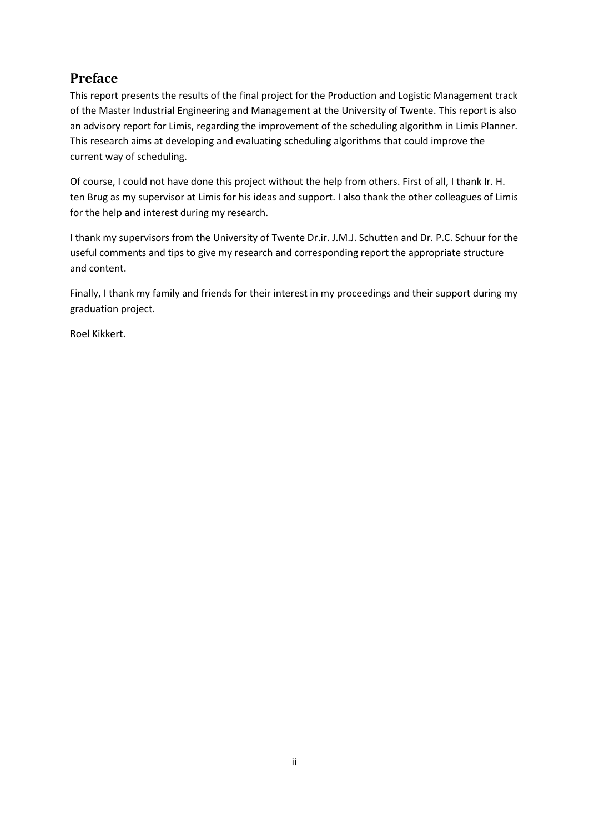## **Preface**

This report presents the results of the final project for the Production and Logistic Management track of the Master Industrial Engineering and Management at the University of Twente. This report is also an advisory report for Limis, regarding the improvement of the scheduling algorithm in Limis Planner. This research aims at developing and evaluating scheduling algorithms that could improve the current way of scheduling.

Of course, I could not have done this project without the help from others. First of all, I thank Ir. H. ten Brug as my supervisor at Limis for his ideas and support. I also thank the other colleagues of Limis for the help and interest during my research.

I thank my supervisors from the University of Twente Dr.ir. J.M.J. Schutten and Dr. P.C. Schuur for the useful comments and tips to give my research and corresponding report the appropriate structure and content.

Finally, I thank my family and friends for their interest in my proceedings and their support during my graduation project.

Roel Kikkert.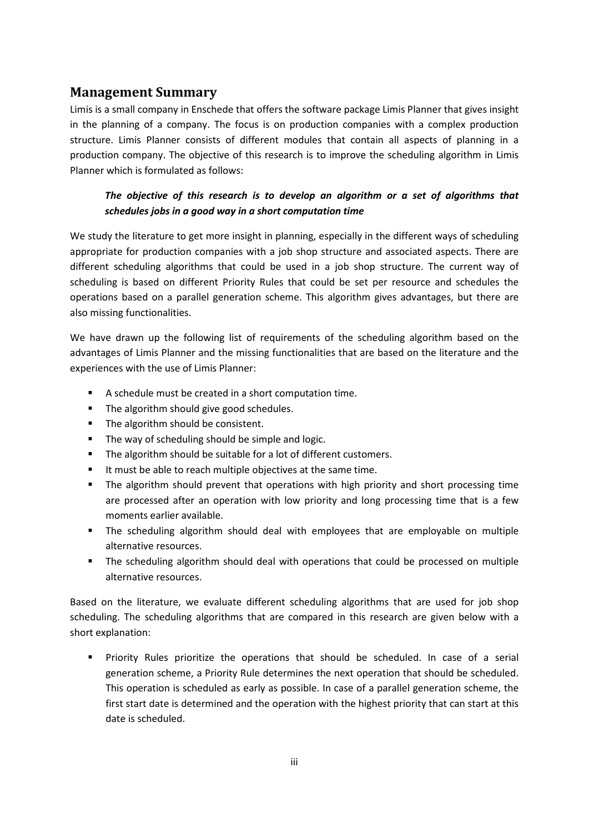### **Management Summary**

Limis is a small company in Enschede that offers the software package Limis Planner that gives insight in the planning of a company. The focus is on production companies with a complex production structure. Limis Planner consists of different modules that contain all aspects of planning in a production company. The objective of this research is to improve the scheduling algorithm in Limis Planner which is formulated as follows:

#### *The objective of this research is to develop an algorithm or a set of algorithms that schedules jobs in a good way in a short computation time*

We study the literature to get more insight in planning, especially in the different ways of scheduling appropriate for production companies with a job shop structure and associated aspects. There are different scheduling algorithms that could be used in a job shop structure. The current way of scheduling is based on different Priority Rules that could be set per resource and schedules the operations based on a parallel generation scheme. This algorithm gives advantages, but there are also missing functionalities.

We have drawn up the following list of requirements of the scheduling algorithm based on the advantages of Limis Planner and the missing functionalities that are based on the literature and the experiences with the use of Limis Planner:

- A schedule must be created in a short computation time.
- The algorithm should give good schedules.
- The algorithm should be consistent.
- The way of scheduling should be simple and logic.
- The algorithm should be suitable for a lot of different customers.
- It must be able to reach multiple objectives at the same time.
- The algorithm should prevent that operations with high priority and short processing time are processed after an operation with low priority and long processing time that is a few moments earlier available.
- The scheduling algorithm should deal with employees that are employable on multiple alternative resources.
- The scheduling algorithm should deal with operations that could be processed on multiple alternative resources.

Based on the literature, we evaluate different scheduling algorithms that are used for job shop scheduling. The scheduling algorithms that are compared in this research are given below with a short explanation:

 Priority Rules prioritize the operations that should be scheduled. In case of a serial generation scheme, a Priority Rule determines the next operation that should be scheduled. This operation is scheduled as early as possible. In case of a parallel generation scheme, the first start date is determined and the operation with the highest priority that can start at this date is scheduled.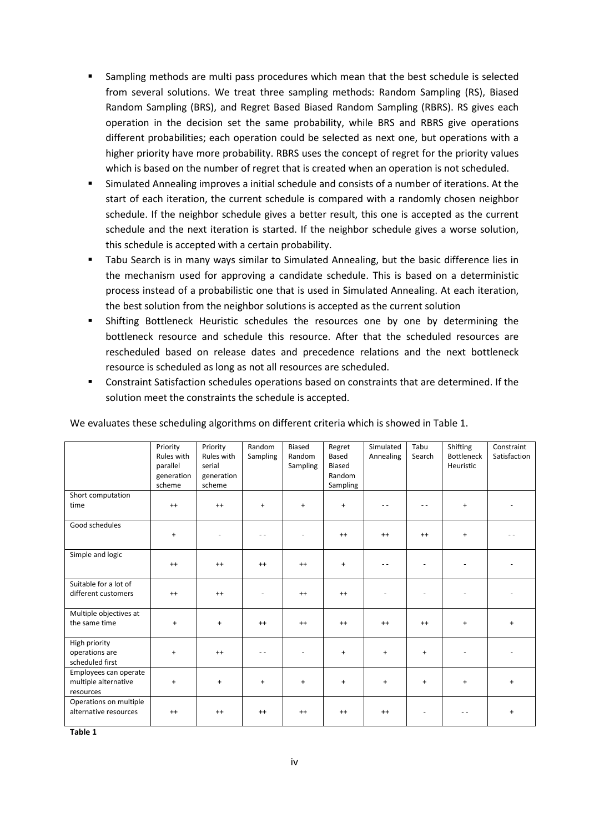- Sampling methods are multi pass procedures which mean that the best schedule is selected from several solutions. We treat three sampling methods: Random Sampling (RS), Biased Random Sampling (BRS), and Regret Based Biased Random Sampling (RBRS). RS gives each operation in the decision set the same probability, while BRS and RBRS give operations different probabilities; each operation could be selected as next one, but operations with a higher priority have more probability. RBRS uses the concept of regret for the priority values which is based on the number of regret that is created when an operation is not scheduled.
- Simulated Annealing improves a initial schedule and consists of a number of iterations. At the start of each iteration, the current schedule is compared with a randomly chosen neighbor schedule. If the neighbor schedule gives a better result, this one is accepted as the current schedule and the next iteration is started. If the neighbor schedule gives a worse solution, this schedule is accepted with a certain probability.
- Tabu Search is in many ways similar to Simulated Annealing, but the basic difference lies in the mechanism used for approving a candidate schedule. This is based on a deterministic process instead of a probabilistic one that is used in Simulated Annealing. At each iteration, the best solution from the neighbor solutions is accepted as the current solution
- Shifting Bottleneck Heuristic schedules the resources one by one by determining the bottleneck resource and schedule this resource. After that the scheduled resources are rescheduled based on release dates and precedence relations and the next bottleneck resource is scheduled as long as not all resources are scheduled.
- Constraint Satisfaction schedules operations based on constraints that are determined. If the solution meet the constraints the schedule is accepted.

|                                                            | Priority<br>Rules with<br>parallel<br>generation<br>scheme | Priority<br>Rules with<br>serial<br>generation<br>scheme | Random<br>Sampling | <b>Biased</b><br>Random<br>Sampling | Regret<br>Based<br>Biased<br>Random<br>Sampling | Simulated<br>Annealing | Tabu<br>Search | Shifting<br><b>Bottleneck</b><br>Heuristic | Constraint<br>Satisfaction |
|------------------------------------------------------------|------------------------------------------------------------|----------------------------------------------------------|--------------------|-------------------------------------|-------------------------------------------------|------------------------|----------------|--------------------------------------------|----------------------------|
| Short computation<br>time                                  | $^{++}$                                                    | $^{++}$                                                  | $\ddot{}$          | $+$                                 | $\ddot{}$                                       |                        | $ -$           | $\ddot{}$                                  |                            |
| Good schedules                                             | $\ddot{}$                                                  |                                                          | - -                |                                     | $^{++}$                                         | $^{++}$                | $^{++}$        | $+$                                        |                            |
| Simple and logic                                           | $^{++}$                                                    | $^{++}$                                                  | $^{++}$            | $^{++}$                             | $\ddot{}$                                       |                        |                |                                            |                            |
| Suitable for a lot of<br>different customers               | $^{++}$                                                    | $^{++}$                                                  |                    | $^{++}$                             | $^{++}$                                         |                        |                |                                            |                            |
| Multiple objectives at<br>the same time                    | $\ddot{}$                                                  | $\ddot{}$                                                | $^{++}$            | $^{++}$                             | $^{++}$                                         | $^{++}$                | $^{++}$        | $\ddot{}$                                  | $\ddot{}$                  |
| High priority<br>operations are<br>scheduled first         | $\ddot{}$                                                  | $^{++}$                                                  | $ -$               |                                     | $\ddot{}$                                       | $\ddot{}$              | $+$            |                                            |                            |
| Employees can operate<br>multiple alternative<br>resources | $\ddot{}$                                                  | $\ddot{}$                                                | $+$                | $\ddot{}$                           | $\ddot{}$                                       | $\ddot{}$              | $+$            | $\ddot{}$                                  | $\ddot{}$                  |
| Operations on multiple<br>alternative resources            | $^{++}$                                                    | $^{++}$                                                  | $^{++}$            | $^{++}$                             | $^{++}$                                         | $^{++}$                |                |                                            | $\ddot{}$                  |

We evaluates these scheduling algorithms on different criteria which is showed in Table 1.

**Table 1**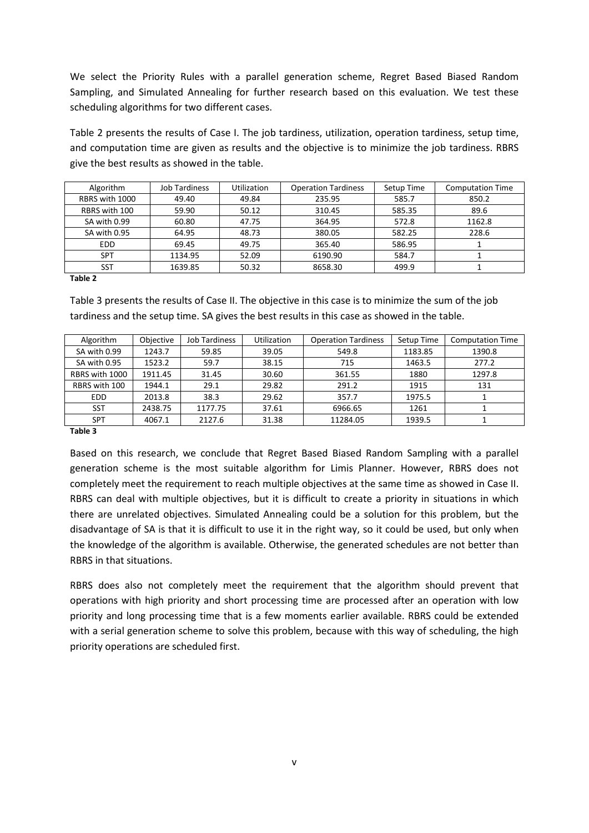We select the Priority Rules with a parallel generation scheme, Regret Based Biased Random Sampling, and Simulated Annealing for further research based on this evaluation. We test these scheduling algorithms for two different cases.

Table 2 presents the results of Case I. The job tardiness, utilization, operation tardiness, setup time, and computation time are given as results and the objective is to minimize the job tardiness. RBRS give the best results as showed in the table.

| Algorithm      | <b>Job Tardiness</b> | <b>Utilization</b> | <b>Operation Tardiness</b> | Setup Time | <b>Computation Time</b> |
|----------------|----------------------|--------------------|----------------------------|------------|-------------------------|
| RBRS with 1000 | 49.40                | 49.84              | 235.95                     | 585.7      | 850.2                   |
| RBRS with 100  | 59.90                | 50.12              | 310.45                     | 585.35     | 89.6                    |
| SA with 0.99   | 60.80                | 47.75              | 364.95                     | 572.8      | 1162.8                  |
| SA with 0.95   | 64.95                | 48.73              | 380.05                     | 582.25     | 228.6                   |
| <b>EDD</b>     | 69.45                | 49.75              | 365.40                     | 586.95     |                         |
| <b>SPT</b>     | 1134.95              | 52.09              | 6190.90                    | 584.7      |                         |
| SST            | 1639.85              | 50.32              | 8658.30                    | 499.9      |                         |

**Table 2** 

Table 3 presents the results of Case II. The objective in this case is to minimize the sum of the job tardiness and the setup time. SA gives the best results in this case as showed in the table.

| Algorithm      | Objective | <b>Job Tardiness</b> | <b>Utilization</b> | <b>Operation Tardiness</b> | Setup Time | <b>Computation Time</b> |
|----------------|-----------|----------------------|--------------------|----------------------------|------------|-------------------------|
| SA with 0.99   | 1243.7    | 59.85                | 39.05              | 549.8                      | 1183.85    | 1390.8                  |
| SA with 0.95   | 1523.2    | 59.7                 | 38.15              | 715                        | 1463.5     | 277.2                   |
| RBRS with 1000 | 1911.45   | 31.45                | 30.60              | 361.55                     | 1880       | 1297.8                  |
| RBRS with 100  | 1944.1    | 29.1                 | 29.82              | 291.2                      | 1915       | 131                     |
| <b>EDD</b>     | 2013.8    | 38.3                 | 29.62              | 357.7                      | 1975.5     |                         |
| SST            | 2438.75   | 1177.75              | 37.61              | 6966.65                    | 1261       |                         |
| SPT            | 4067.1    | 2127.6               | 31.38              | 11284.05                   | 1939.5     |                         |
|                |           |                      |                    |                            |            |                         |

**Table 3** 

Based on this research, we conclude that Regret Based Biased Random Sampling with a parallel generation scheme is the most suitable algorithm for Limis Planner. However, RBRS does not completely meet the requirement to reach multiple objectives at the same time as showed in Case II. RBRS can deal with multiple objectives, but it is difficult to create a priority in situations in which there are unrelated objectives. Simulated Annealing could be a solution for this problem, but the disadvantage of SA is that it is difficult to use it in the right way, so it could be used, but only when the knowledge of the algorithm is available. Otherwise, the generated schedules are not better than RBRS in that situations.

RBRS does also not completely meet the requirement that the algorithm should prevent that operations with high priority and short processing time are processed after an operation with low priority and long processing time that is a few moments earlier available. RBRS could be extended with a serial generation scheme to solve this problem, because with this way of scheduling, the high priority operations are scheduled first.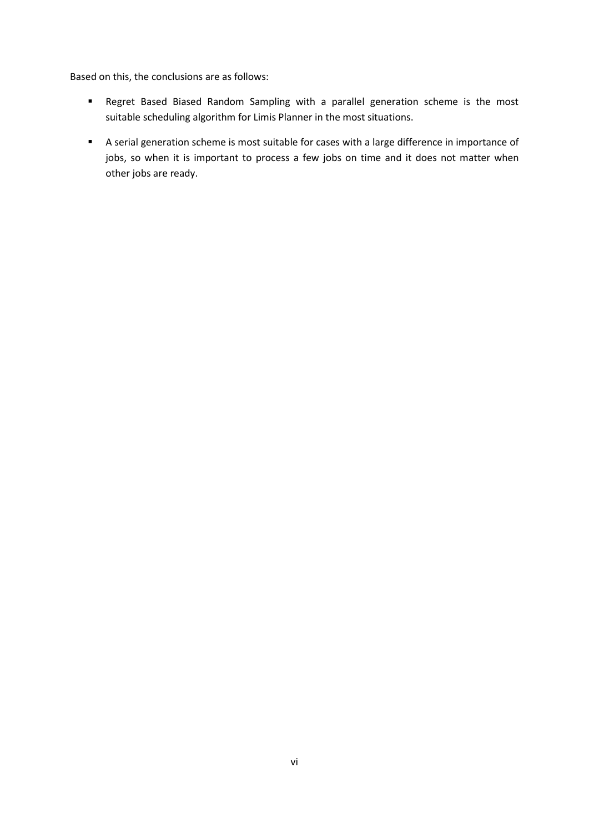Based on this, the conclusions are as follows:

- Regret Based Biased Random Sampling with a parallel generation scheme is the most suitable scheduling algorithm for Limis Planner in the most situations.
- A serial generation scheme is most suitable for cases with a large difference in importance of jobs, so when it is important to process a few jobs on time and it does not matter when other jobs are ready.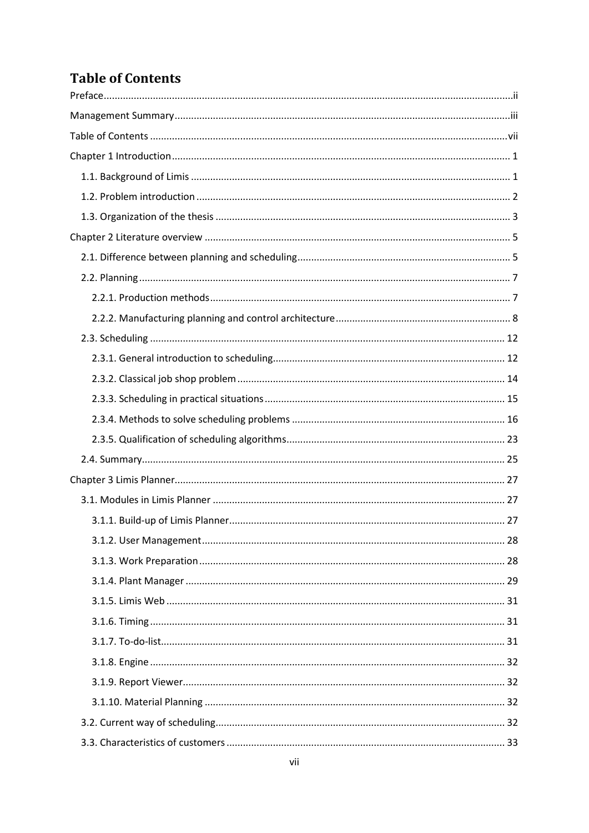## **Table of Contents**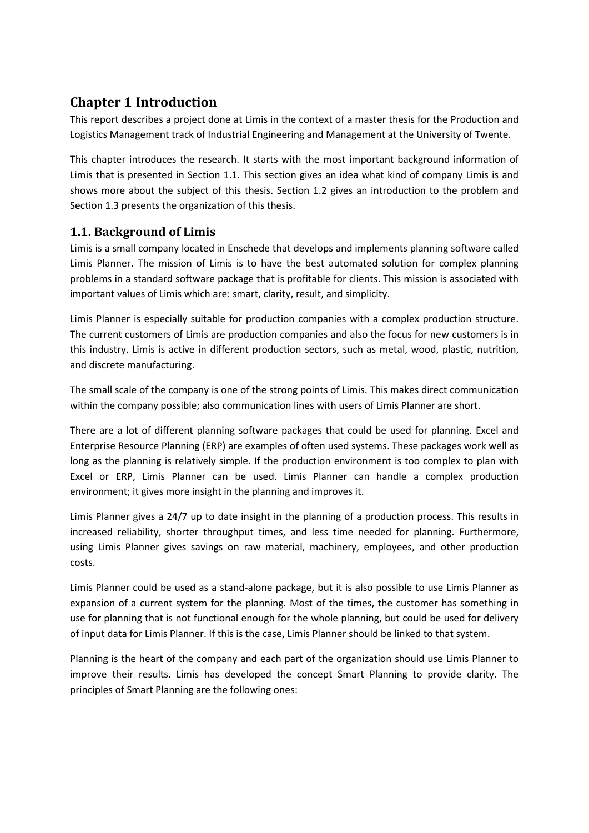## **Chapter 1 Introduction**

This report describes a project done at Limis in the context of a master thesis for the Production and Logistics Management track of Industrial Engineering and Management at the University of Twente.

This chapter introduces the research. It starts with the most important background information of Limis that is presented in Section 1.1. This section gives an idea what kind of company Limis is and shows more about the subject of this thesis. Section 1.2 gives an introduction to the problem and Section 1.3 presents the organization of this thesis.

## **1.1. Background of Limis**

Limis is a small company located in Enschede that develops and implements planning software called Limis Planner. The mission of Limis is to have the best automated solution for complex planning problems in a standard software package that is profitable for clients. This mission is associated with important values of Limis which are: smart, clarity, result, and simplicity.

Limis Planner is especially suitable for production companies with a complex production structure. The current customers of Limis are production companies and also the focus for new customers is in this industry. Limis is active in different production sectors, such as metal, wood, plastic, nutrition, and discrete manufacturing.

The small scale of the company is one of the strong points of Limis. This makes direct communication within the company possible; also communication lines with users of Limis Planner are short.

There are a lot of different planning software packages that could be used for planning. Excel and Enterprise Resource Planning (ERP) are examples of often used systems. These packages work well as long as the planning is relatively simple. If the production environment is too complex to plan with Excel or ERP, Limis Planner can be used. Limis Planner can handle a complex production environment; it gives more insight in the planning and improves it.

Limis Planner gives a 24/7 up to date insight in the planning of a production process. This results in increased reliability, shorter throughput times, and less time needed for planning. Furthermore, using Limis Planner gives savings on raw material, machinery, employees, and other production costs.

Limis Planner could be used as a stand-alone package, but it is also possible to use Limis Planner as expansion of a current system for the planning. Most of the times, the customer has something in use for planning that is not functional enough for the whole planning, but could be used for delivery of input data for Limis Planner. If this is the case, Limis Planner should be linked to that system.

Planning is the heart of the company and each part of the organization should use Limis Planner to improve their results. Limis has developed the concept Smart Planning to provide clarity. The principles of Smart Planning are the following ones: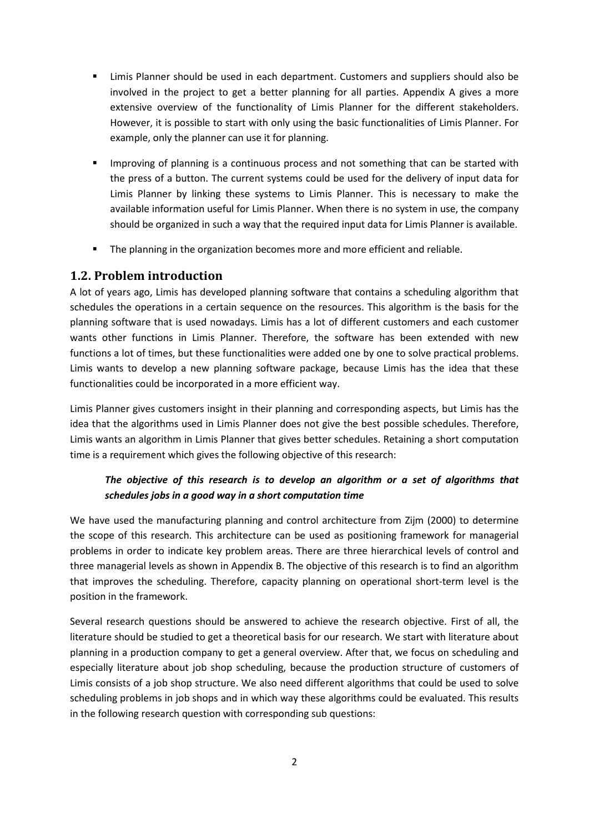- Limis Planner should be used in each department. Customers and suppliers should also be involved in the project to get a better planning for all parties. Appendix A gives a more extensive overview of the functionality of Limis Planner for the different stakeholders. However, it is possible to start with only using the basic functionalities of Limis Planner. For example, only the planner can use it for planning.
- **IMPROVING 19 IMPROVING** 15 a continuous process and not something that can be started with the press of a button. The current systems could be used for the delivery of input data for Limis Planner by linking these systems to Limis Planner. This is necessary to make the available information useful for Limis Planner. When there is no system in use, the company should be organized in such a way that the required input data for Limis Planner is available.
- The planning in the organization becomes more and more efficient and reliable.

#### **1.2. Problem introduction**

A lot of years ago, Limis has developed planning software that contains a scheduling algorithm that schedules the operations in a certain sequence on the resources. This algorithm is the basis for the planning software that is used nowadays. Limis has a lot of different customers and each customer wants other functions in Limis Planner. Therefore, the software has been extended with new functions a lot of times, but these functionalities were added one by one to solve practical problems. Limis wants to develop a new planning software package, because Limis has the idea that these functionalities could be incorporated in a more efficient way.

Limis Planner gives customers insight in their planning and corresponding aspects, but Limis has the idea that the algorithms used in Limis Planner does not give the best possible schedules. Therefore, Limis wants an algorithm in Limis Planner that gives better schedules. Retaining a short computation time is a requirement which gives the following objective of this research:

#### *The objective of this research is to develop an algorithm or a set of algorithms that schedules jobs in a good way in a short computation time*

We have used the manufacturing planning and control architecture from Zijm (2000) to determine the scope of this research. This architecture can be used as positioning framework for managerial problems in order to indicate key problem areas. There are three hierarchical levels of control and three managerial levels as shown in Appendix B. The objective of this research is to find an algorithm that improves the scheduling. Therefore, capacity planning on operational short-term level is the position in the framework.

Several research questions should be answered to achieve the research objective. First of all, the literature should be studied to get a theoretical basis for our research. We start with literature about planning in a production company to get a general overview. After that, we focus on scheduling and especially literature about job shop scheduling, because the production structure of customers of Limis consists of a job shop structure. We also need different algorithms that could be used to solve scheduling problems in job shops and in which way these algorithms could be evaluated. This results in the following research question with corresponding sub questions: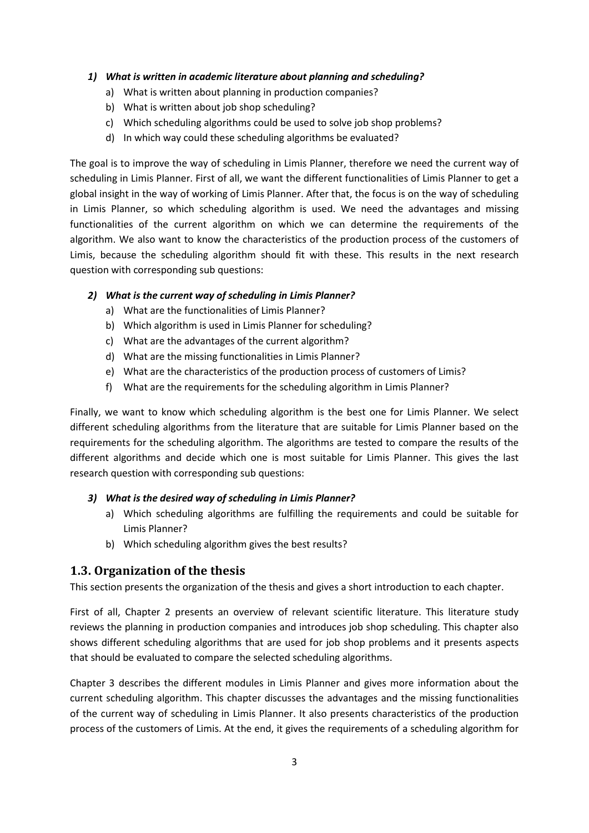#### *1) What is written in academic literature about planning and scheduling?*

- a) What is written about planning in production companies?
- b) What is written about job shop scheduling?
- c) Which scheduling algorithms could be used to solve job shop problems?
- d) In which way could these scheduling algorithms be evaluated?

The goal is to improve the way of scheduling in Limis Planner, therefore we need the current way of scheduling in Limis Planner. First of all, we want the different functionalities of Limis Planner to get a global insight in the way of working of Limis Planner. After that, the focus is on the way of scheduling in Limis Planner, so which scheduling algorithm is used. We need the advantages and missing functionalities of the current algorithm on which we can determine the requirements of the algorithm. We also want to know the characteristics of the production process of the customers of Limis, because the scheduling algorithm should fit with these. This results in the next research question with corresponding sub questions:

#### *2) What is the current way of scheduling in Limis Planner?*

- a) What are the functionalities of Limis Planner?
- b) Which algorithm is used in Limis Planner for scheduling?
- c) What are the advantages of the current algorithm?
- d) What are the missing functionalities in Limis Planner?
- e) What are the characteristics of the production process of customers of Limis?
- f) What are the requirements for the scheduling algorithm in Limis Planner?

Finally, we want to know which scheduling algorithm is the best one for Limis Planner. We select different scheduling algorithms from the literature that are suitable for Limis Planner based on the requirements for the scheduling algorithm. The algorithms are tested to compare the results of the different algorithms and decide which one is most suitable for Limis Planner. This gives the last research question with corresponding sub questions:

#### *3) What is the desired way of scheduling in Limis Planner?*

- a) Which scheduling algorithms are fulfilling the requirements and could be suitable for Limis Planner?
- b) Which scheduling algorithm gives the best results?

#### **1.3. Organization of the thesis**

This section presents the organization of the thesis and gives a short introduction to each chapter.

First of all, Chapter 2 presents an overview of relevant scientific literature. This literature study reviews the planning in production companies and introduces job shop scheduling. This chapter also shows different scheduling algorithms that are used for job shop problems and it presents aspects that should be evaluated to compare the selected scheduling algorithms.

Chapter 3 describes the different modules in Limis Planner and gives more information about the current scheduling algorithm. This chapter discusses the advantages and the missing functionalities of the current way of scheduling in Limis Planner. It also presents characteristics of the production process of the customers of Limis. At the end, it gives the requirements of a scheduling algorithm for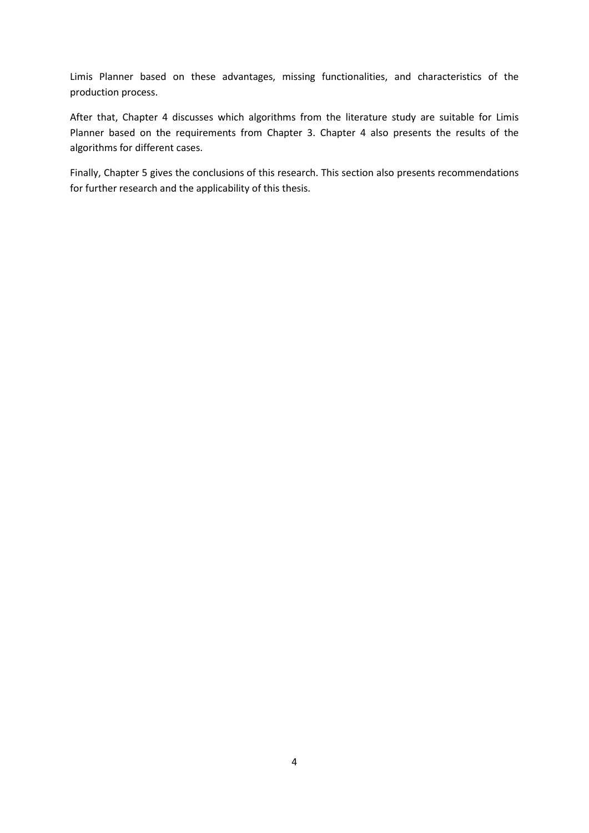Limis Planner based on these advantages, missing functionalities, and characteristics of the production process.

After that, Chapter 4 discusses which algorithms from the literature study are suitable for Limis Planner based on the requirements from Chapter 3. Chapter 4 also presents the results of the algorithms for different cases.

Finally, Chapter 5 gives the conclusions of this research. This section also presents recommendations for further research and the applicability of this thesis.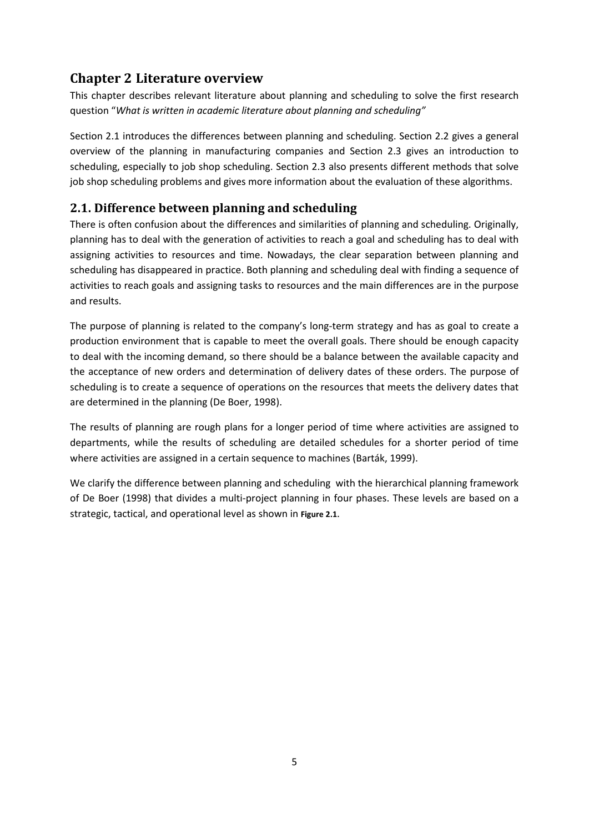## **Chapter 2 Literature overview**

This chapter describes relevant literature about planning and scheduling to solve the first research question "*What is written in academic literature about planning and scheduling"* 

Section 2.1 introduces the differences between planning and scheduling. Section 2.2 gives a general overview of the planning in manufacturing companies and Section 2.3 gives an introduction to scheduling, especially to job shop scheduling. Section 2.3 also presents different methods that solve job shop scheduling problems and gives more information about the evaluation of these algorithms.

## **2.1. Difference between planning and scheduling**

There is often confusion about the differences and similarities of planning and scheduling. Originally, planning has to deal with the generation of activities to reach a goal and scheduling has to deal with assigning activities to resources and time. Nowadays, the clear separation between planning and scheduling has disappeared in practice. Both planning and scheduling deal with finding a sequence of activities to reach goals and assigning tasks to resources and the main differences are in the purpose and results.

The purpose of planning is related to the company's long-term strategy and has as goal to create a production environment that is capable to meet the overall goals. There should be enough capacity to deal with the incoming demand, so there should be a balance between the available capacity and the acceptance of new orders and determination of delivery dates of these orders. The purpose of scheduling is to create a sequence of operations on the resources that meets the delivery dates that are determined in the planning (De Boer, 1998).

The results of planning are rough plans for a longer period of time where activities are assigned to departments, while the results of scheduling are detailed schedules for a shorter period of time where activities are assigned in a certain sequence to machines (Barták, 1999).

We clarify the difference between planning and scheduling with the hierarchical planning framework of De Boer (1998) that divides a multi-project planning in four phases. These levels are based on a strategic, tactical, and operational level as shown in **Figure 2.1**.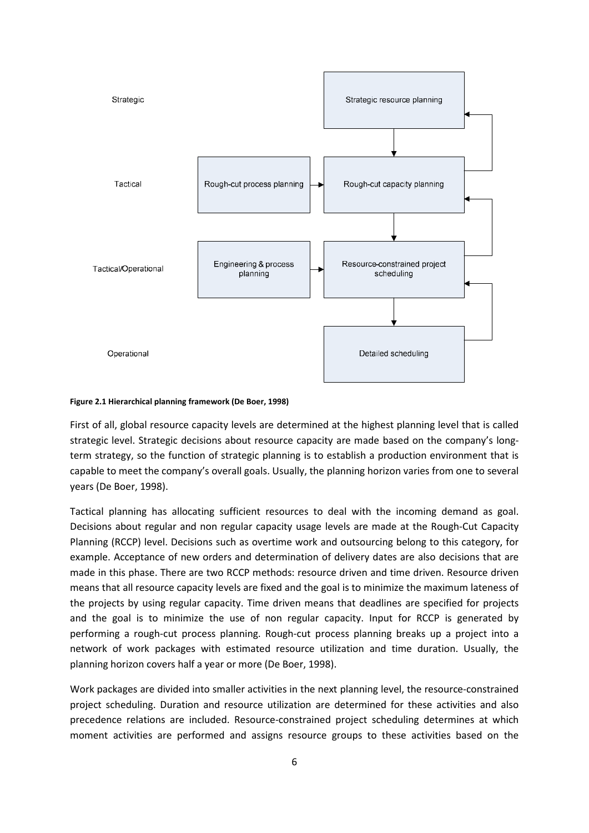

#### **Figure 2.1 Hierarchical planning framework (De Boer, 1998)**

First of all, global resource capacity levels are determined at the highest planning level that is called strategic level. Strategic decisions about resource capacity are made based on the company's longterm strategy, so the function of strategic planning is to establish a production environment that is capable to meet the company's overall goals. Usually, the planning horizon varies from one to several years (De Boer, 1998).

Tactical planning has allocating sufficient resources to deal with the incoming demand as goal. Decisions about regular and non regular capacity usage levels are made at the Rough-Cut Capacity Planning (RCCP) level. Decisions such as overtime work and outsourcing belong to this category, for example. Acceptance of new orders and determination of delivery dates are also decisions that are made in this phase. There are two RCCP methods: resource driven and time driven. Resource driven means that all resource capacity levels are fixed and the goal is to minimize the maximum lateness of the projects by using regular capacity. Time driven means that deadlines are specified for projects and the goal is to minimize the use of non regular capacity. Input for RCCP is generated by performing a rough-cut process planning. Rough-cut process planning breaks up a project into a network of work packages with estimated resource utilization and time duration. Usually, the planning horizon covers half a year or more (De Boer, 1998).

Work packages are divided into smaller activities in the next planning level, the resource-constrained project scheduling. Duration and resource utilization are determined for these activities and also precedence relations are included. Resource-constrained project scheduling determines at which moment activities are performed and assigns resource groups to these activities based on the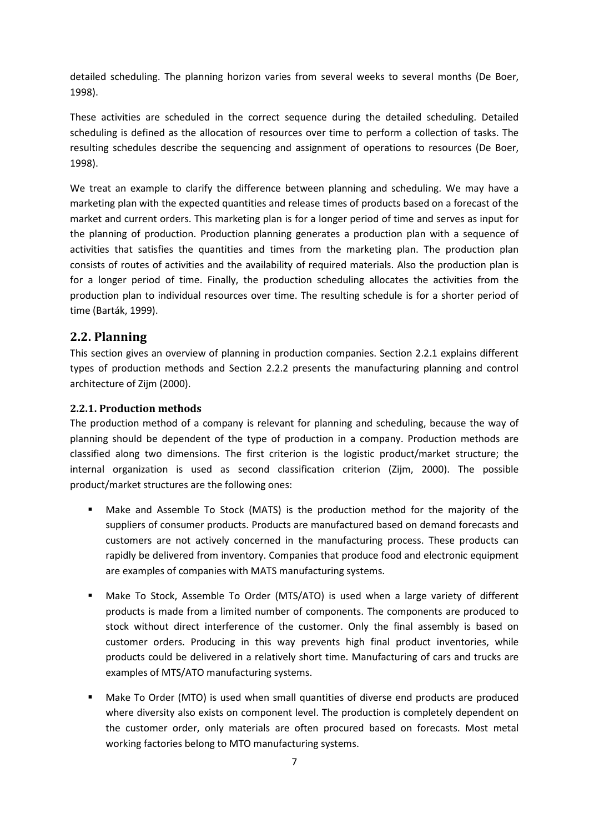detailed scheduling. The planning horizon varies from several weeks to several months (De Boer, 1998).

These activities are scheduled in the correct sequence during the detailed scheduling. Detailed scheduling is defined as the allocation of resources over time to perform a collection of tasks. The resulting schedules describe the sequencing and assignment of operations to resources (De Boer, 1998).

We treat an example to clarify the difference between planning and scheduling. We may have a marketing plan with the expected quantities and release times of products based on a forecast of the market and current orders. This marketing plan is for a longer period of time and serves as input for the planning of production. Production planning generates a production plan with a sequence of activities that satisfies the quantities and times from the marketing plan. The production plan consists of routes of activities and the availability of required materials. Also the production plan is for a longer period of time. Finally, the production scheduling allocates the activities from the production plan to individual resources over time. The resulting schedule is for a shorter period of time (Barták, 1999).

#### **2.2. Planning**

This section gives an overview of planning in production companies. Section 2.2.1 explains different types of production methods and Section 2.2.2 presents the manufacturing planning and control architecture of Zijm (2000).

#### **2.2.1. Production methods**

The production method of a company is relevant for planning and scheduling, because the way of planning should be dependent of the type of production in a company. Production methods are classified along two dimensions. The first criterion is the logistic product/market structure; the internal organization is used as second classification criterion (Zijm, 2000). The possible product/market structures are the following ones:

- Make and Assemble To Stock (MATS) is the production method for the majority of the suppliers of consumer products. Products are manufactured based on demand forecasts and customers are not actively concerned in the manufacturing process. These products can rapidly be delivered from inventory. Companies that produce food and electronic equipment are examples of companies with MATS manufacturing systems.
- Make To Stock, Assemble To Order (MTS/ATO) is used when a large variety of different products is made from a limited number of components. The components are produced to stock without direct interference of the customer. Only the final assembly is based on customer orders. Producing in this way prevents high final product inventories, while products could be delivered in a relatively short time. Manufacturing of cars and trucks are examples of MTS/ATO manufacturing systems.
- Make To Order (MTO) is used when small quantities of diverse end products are produced where diversity also exists on component level. The production is completely dependent on the customer order, only materials are often procured based on forecasts. Most metal working factories belong to MTO manufacturing systems.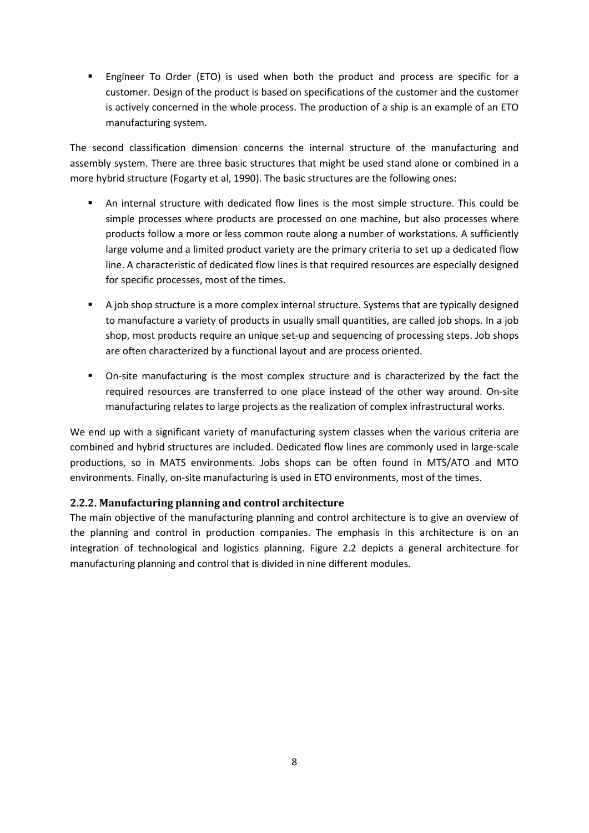Engineer To Order (ETO) is used when both the product and process are specific for a customer. Design of the product is based on specifications of the customer and the customer is actively concerned in the whole process. The production of a ship is an example of an ETO manufacturing system.

The second classification dimension concerns the internal structure of the manufacturing and assembly system. There are three basic structures that might be used stand alone or combined in a more hybrid structure (Fogarty et al, 1990). The basic structures are the following ones:

- An internal structure with dedicated flow lines is the most simple structure. This could be simple processes where products are processed on one machine, but also processes where products follow a more or less common route along a number of workstations. A sufficiently large volume and a limited product variety are the primary criteria to set up a dedicated flow line. A characteristic of dedicated flow lines is that required resources are especially designed for specific processes, most of the times.
- A job shop structure is a more complex internal structure. Systems that are typically designed to manufacture a variety of products in usually small quantities, are called job shops. In a job shop, most products require an unique set-up and sequencing of processing steps. Job shops are often characterized by a functional layout and are process oriented.
- On-site manufacturing is the most complex structure and is characterized by the fact the required resources are transferred to one place instead of the other way around. On-site manufacturing relates to large projects as the realization of complex infrastructural works.

We end up with a significant variety of manufacturing system classes when the various criteria are combined and hybrid structures are included. Dedicated flow lines are commonly used in large-scale productions, so in MATS environments. Jobs shops can be often found in MTS/ATO and MTO environments. Finally, on-site manufacturing is used in ETO environments, most of the times.

#### **2.2.2. Manufacturing planning and control architecture**

The main objective of the manufacturing planning and control architecture is to give an overview of the planning and control in production companies. The emphasis in this architecture is on an integration of technological and logistics planning. Figure 2.2 depicts a general architecture for manufacturing planning and control that is divided in nine different modules.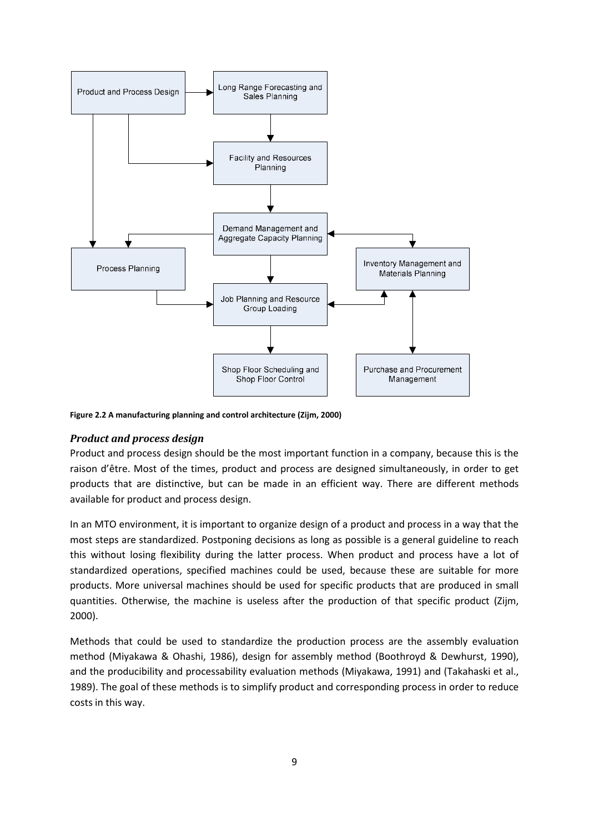

**Figure 2.2 A manufacturing planning and control architecture (Zijm, 2000)** 

#### *Product and process design*

Product and process design should be the most important function in a company, because this is the raison d'être. Most of the times, product and process are designed simultaneously, in order to get products that are distinctive, but can be made in an efficient way. There are different methods available for product and process design.

In an MTO environment, it is important to organize design of a product and process in a way that the most steps are standardized. Postponing decisions as long as possible is a general guideline to reach this without losing flexibility during the latter process. When product and process have a lot of standardized operations, specified machines could be used, because these are suitable for more products. More universal machines should be used for specific products that are produced in small quantities. Otherwise, the machine is useless after the production of that specific product (Zijm, 2000).

Methods that could be used to standardize the production process are the assembly evaluation method (Miyakawa & Ohashi, 1986), design for assembly method (Boothroyd & Dewhurst, 1990), and the producibility and processability evaluation methods (Miyakawa, 1991) and (Takahaski et al., 1989). The goal of these methods is to simplify product and corresponding process in order to reduce costs in this way.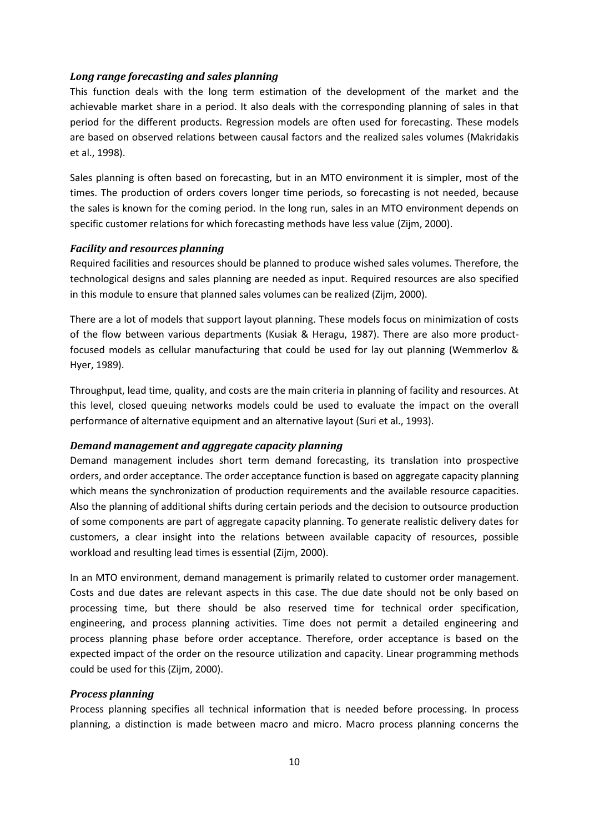#### *Long range forecasting and sales planning*

This function deals with the long term estimation of the development of the market and the achievable market share in a period. It also deals with the corresponding planning of sales in that period for the different products. Regression models are often used for forecasting. These models are based on observed relations between causal factors and the realized sales volumes (Makridakis et al., 1998).

Sales planning is often based on forecasting, but in an MTO environment it is simpler, most of the times. The production of orders covers longer time periods, so forecasting is not needed, because the sales is known for the coming period. In the long run, sales in an MTO environment depends on specific customer relations for which forecasting methods have less value (Zijm, 2000).

#### *Facility and resources planning*

Required facilities and resources should be planned to produce wished sales volumes. Therefore, the technological designs and sales planning are needed as input. Required resources are also specified in this module to ensure that planned sales volumes can be realized (Zijm, 2000).

There are a lot of models that support layout planning. These models focus on minimization of costs of the flow between various departments (Kusiak & Heragu, 1987). There are also more productfocused models as cellular manufacturing that could be used for lay out planning (Wemmerlov & Hyer, 1989).

Throughput, lead time, quality, and costs are the main criteria in planning of facility and resources. At this level, closed queuing networks models could be used to evaluate the impact on the overall performance of alternative equipment and an alternative layout (Suri et al., 1993).

#### *Demand management and aggregate capacity planning*

Demand management includes short term demand forecasting, its translation into prospective orders, and order acceptance. The order acceptance function is based on aggregate capacity planning which means the synchronization of production requirements and the available resource capacities. Also the planning of additional shifts during certain periods and the decision to outsource production of some components are part of aggregate capacity planning. To generate realistic delivery dates for customers, a clear insight into the relations between available capacity of resources, possible workload and resulting lead times is essential (Zijm, 2000).

In an MTO environment, demand management is primarily related to customer order management. Costs and due dates are relevant aspects in this case. The due date should not be only based on processing time, but there should be also reserved time for technical order specification, engineering, and process planning activities. Time does not permit a detailed engineering and process planning phase before order acceptance. Therefore, order acceptance is based on the expected impact of the order on the resource utilization and capacity. Linear programming methods could be used for this (Zijm, 2000).

#### *Process planning*

Process planning specifies all technical information that is needed before processing. In process planning, a distinction is made between macro and micro. Macro process planning concerns the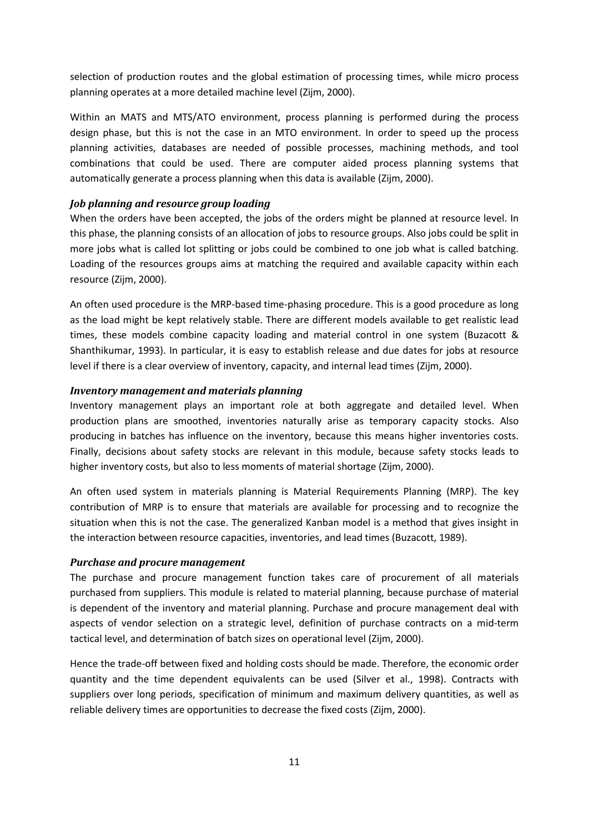selection of production routes and the global estimation of processing times, while micro process planning operates at a more detailed machine level (Zijm, 2000).

Within an MATS and MTS/ATO environment, process planning is performed during the process design phase, but this is not the case in an MTO environment. In order to speed up the process planning activities, databases are needed of possible processes, machining methods, and tool combinations that could be used. There are computer aided process planning systems that automatically generate a process planning when this data is available (Zijm, 2000).

#### *Job planning and resource group loading*

When the orders have been accepted, the jobs of the orders might be planned at resource level. In this phase, the planning consists of an allocation of jobs to resource groups. Also jobs could be split in more jobs what is called lot splitting or jobs could be combined to one job what is called batching. Loading of the resources groups aims at matching the required and available capacity within each resource (Zijm, 2000).

An often used procedure is the MRP-based time-phasing procedure. This is a good procedure as long as the load might be kept relatively stable. There are different models available to get realistic lead times, these models combine capacity loading and material control in one system (Buzacott & Shanthikumar, 1993). In particular, it is easy to establish release and due dates for jobs at resource level if there is a clear overview of inventory, capacity, and internal lead times (Zijm, 2000).

#### *Inventory management and materials planning*

Inventory management plays an important role at both aggregate and detailed level. When production plans are smoothed, inventories naturally arise as temporary capacity stocks. Also producing in batches has influence on the inventory, because this means higher inventories costs. Finally, decisions about safety stocks are relevant in this module, because safety stocks leads to higher inventory costs, but also to less moments of material shortage (Zijm, 2000).

An often used system in materials planning is Material Requirements Planning (MRP). The key contribution of MRP is to ensure that materials are available for processing and to recognize the situation when this is not the case. The generalized Kanban model is a method that gives insight in the interaction between resource capacities, inventories, and lead times (Buzacott, 1989).

#### *Purchase and procure management*

The purchase and procure management function takes care of procurement of all materials purchased from suppliers. This module is related to material planning, because purchase of material is dependent of the inventory and material planning. Purchase and procure management deal with aspects of vendor selection on a strategic level, definition of purchase contracts on a mid-term tactical level, and determination of batch sizes on operational level (Zijm, 2000).

Hence the trade-off between fixed and holding costs should be made. Therefore, the economic order quantity and the time dependent equivalents can be used (Silver et al., 1998). Contracts with suppliers over long periods, specification of minimum and maximum delivery quantities, as well as reliable delivery times are opportunities to decrease the fixed costs (Zijm, 2000).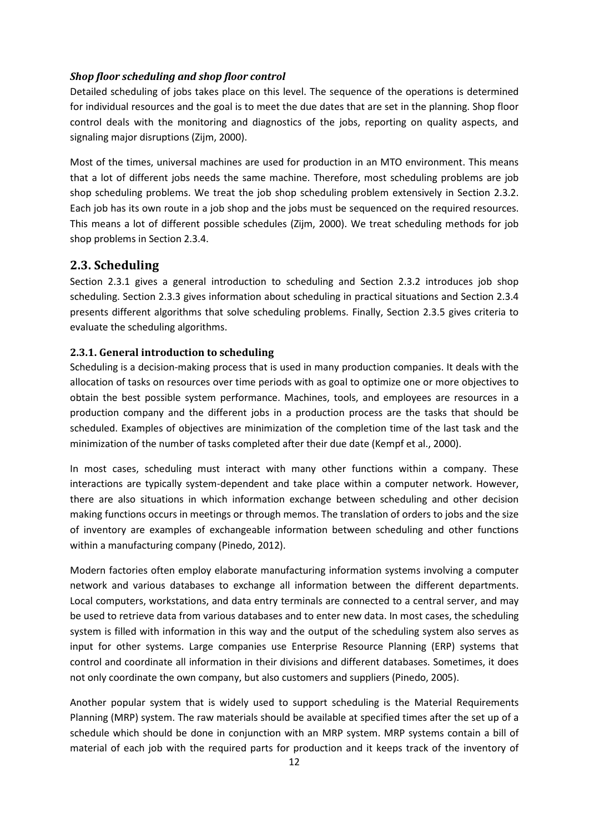#### *Shop floor scheduling and shop floor control*

Detailed scheduling of jobs takes place on this level. The sequence of the operations is determined for individual resources and the goal is to meet the due dates that are set in the planning. Shop floor control deals with the monitoring and diagnostics of the jobs, reporting on quality aspects, and signaling major disruptions (Zijm, 2000).

Most of the times, universal machines are used for production in an MTO environment. This means that a lot of different jobs needs the same machine. Therefore, most scheduling problems are job shop scheduling problems. We treat the job shop scheduling problem extensively in Section 2.3.2. Each job has its own route in a job shop and the jobs must be sequenced on the required resources. This means a lot of different possible schedules (Zijm, 2000). We treat scheduling methods for job shop problems in Section 2.3.4.

#### **2.3. Scheduling**

Section 2.3.1 gives a general introduction to scheduling and Section 2.3.2 introduces job shop scheduling. Section 2.3.3 gives information about scheduling in practical situations and Section 2.3.4 presents different algorithms that solve scheduling problems. Finally, Section 2.3.5 gives criteria to evaluate the scheduling algorithms.

#### **2.3.1. General introduction to scheduling**

Scheduling is a decision-making process that is used in many production companies. It deals with the allocation of tasks on resources over time periods with as goal to optimize one or more objectives to obtain the best possible system performance. Machines, tools, and employees are resources in a production company and the different jobs in a production process are the tasks that should be scheduled. Examples of objectives are minimization of the completion time of the last task and the minimization of the number of tasks completed after their due date (Kempf et al., 2000).

In most cases, scheduling must interact with many other functions within a company. These interactions are typically system-dependent and take place within a computer network. However, there are also situations in which information exchange between scheduling and other decision making functions occurs in meetings or through memos. The translation of orders to jobs and the size of inventory are examples of exchangeable information between scheduling and other functions within a manufacturing company (Pinedo, 2012).

Modern factories often employ elaborate manufacturing information systems involving a computer network and various databases to exchange all information between the different departments. Local computers, workstations, and data entry terminals are connected to a central server, and may be used to retrieve data from various databases and to enter new data. In most cases, the scheduling system is filled with information in this way and the output of the scheduling system also serves as input for other systems. Large companies use Enterprise Resource Planning (ERP) systems that control and coordinate all information in their divisions and different databases. Sometimes, it does not only coordinate the own company, but also customers and suppliers (Pinedo, 2005).

Another popular system that is widely used to support scheduling is the Material Requirements Planning (MRP) system. The raw materials should be available at specified times after the set up of a schedule which should be done in conjunction with an MRP system. MRP systems contain a bill of material of each job with the required parts for production and it keeps track of the inventory of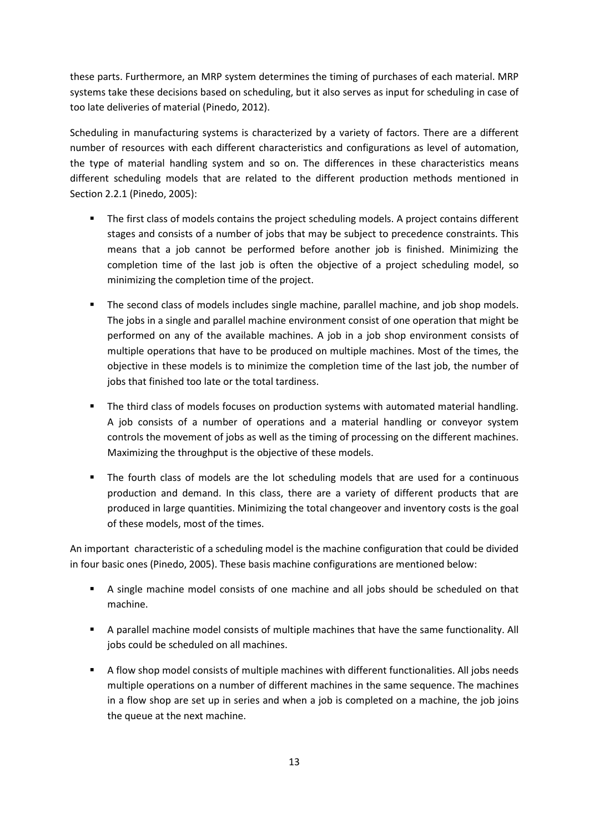these parts. Furthermore, an MRP system determines the timing of purchases of each material. MRP systems take these decisions based on scheduling, but it also serves as input for scheduling in case of too late deliveries of material (Pinedo, 2012).

Scheduling in manufacturing systems is characterized by a variety of factors. There are a different number of resources with each different characteristics and configurations as level of automation, the type of material handling system and so on. The differences in these characteristics means different scheduling models that are related to the different production methods mentioned in Section 2.2.1 (Pinedo, 2005):

- **The first class of models contains the project scheduling models. A project contains different** stages and consists of a number of jobs that may be subject to precedence constraints. This means that a job cannot be performed before another job is finished. Minimizing the completion time of the last job is often the objective of a project scheduling model, so minimizing the completion time of the project.
- **The second class of models includes single machine, parallel machine, and job shop models.** The jobs in a single and parallel machine environment consist of one operation that might be performed on any of the available machines. A job in a job shop environment consists of multiple operations that have to be produced on multiple machines. Most of the times, the objective in these models is to minimize the completion time of the last job, the number of jobs that finished too late or the total tardiness.
- The third class of models focuses on production systems with automated material handling. A job consists of a number of operations and a material handling or conveyor system controls the movement of jobs as well as the timing of processing on the different machines. Maximizing the throughput is the objective of these models.
- The fourth class of models are the lot scheduling models that are used for a continuous production and demand. In this class, there are a variety of different products that are produced in large quantities. Minimizing the total changeover and inventory costs is the goal of these models, most of the times.

An important characteristic of a scheduling model is the machine configuration that could be divided in four basic ones (Pinedo, 2005). These basis machine configurations are mentioned below:

- A single machine model consists of one machine and all jobs should be scheduled on that machine.
- A parallel machine model consists of multiple machines that have the same functionality. All jobs could be scheduled on all machines.
- A flow shop model consists of multiple machines with different functionalities. All jobs needs multiple operations on a number of different machines in the same sequence. The machines in a flow shop are set up in series and when a job is completed on a machine, the job joins the queue at the next machine.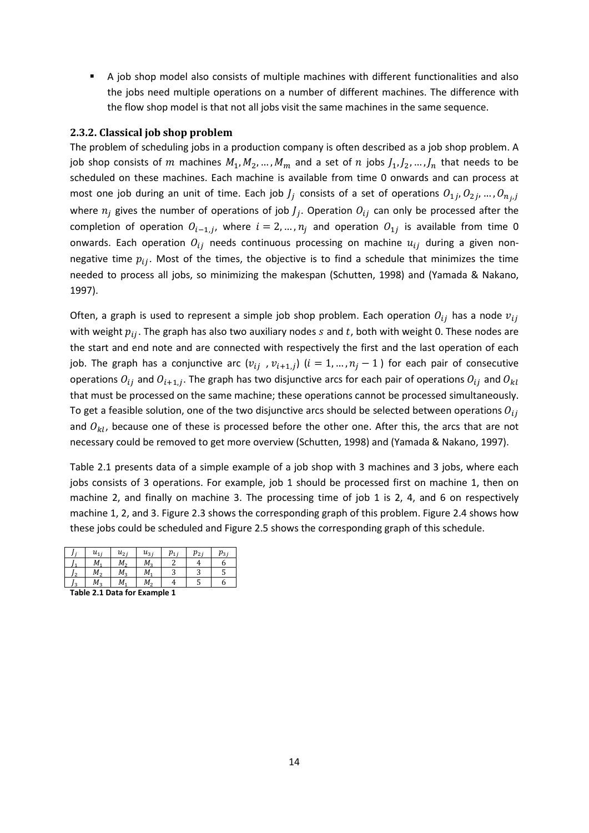A job shop model also consists of multiple machines with different functionalities and also the jobs need multiple operations on a number of different machines. The difference with the flow shop model is that not all jobs visit the same machines in the same sequence.

#### **2.3.2. Classical job shop problem**

The problem of scheduling jobs in a production company is often described as a job shop problem. A job shop consists of  $m$  machines  $M_1, M_2, ..., M_m$  and a set of  $n$  jobs  $J_1, J_2, ..., J_n$  that needs to be scheduled on these machines. Each machine is available from time 0 onwards and can process at most one job during an unit of time. Each job  $J_j$  consists of a set of operations  $0_{1j},0_{2j},...,0_{n_j,j}$ where  $n_j$  gives the number of operations of job  $J_j$ . Operation  $O_{ij}$  can only be processed after the completion of operation  $O_{i-1,j}$ , where  $i=2,...,n_j$  and operation  $O_{1j}$  is available from time 0 onwards. Each operation  $O_{ij}$  needs continuous processing on machine  $u_{ij}$  during a given nonnegative time  $p_{ij}$ . Most of the times, the objective is to find a schedule that minimizes the time needed to process all jobs, so minimizing the makespan (Schutten, 1998) and (Yamada & Nakano, 1997).

Often, a graph is used to represent a simple job shop problem. Each operation  $O_{ij}$  has a node  $v_{ij}$ with weight  $p_{ij}$ . The graph has also two auxiliary nodes s and t, both with weight 0. These nodes are the start and end note and are connected with respectively the first and the last operation of each job. The graph has a conjunctive arc  $(v_{ij}, v_{i+1,j})$   $(i = 1, ..., n_j - 1)$  for each pair of consecutive operations  $O_{ij}$  and  $O_{i+1,j}$ . The graph has two disjunctive arcs for each pair of operations  $O_{ij}$  and  $O_{kl}$ that must be processed on the same machine; these operations cannot be processed simultaneously. To get a feasible solution, one of the two disjunctive arcs should be selected between operations  $O_{ij}$ and  $O_{kl}$ , because one of these is processed before the other one. After this, the arcs that are not necessary could be removed to get more overview (Schutten, 1998) and (Yamada & Nakano, 1997).

Table 2.1 presents data of a simple example of a job shop with 3 machines and 3 jobs, where each jobs consists of 3 operations. For example, job 1 should be processed first on machine 1, then on machine 2, and finally on machine 3. The processing time of job 1 is 2, 4, and 6 on respectively machine 1, 2, and 3. Figure 2.3 shows the corresponding graph of this problem. Figure 2.4 shows how these jobs could be scheduled and Figure 2.5 shows the corresponding graph of this schedule.

|     | $u_{1i}$ | $u_{2i}$ | $u_{3i}$ | $p_{1}$ | $p_{2i}$ | $p_{3i}$ |
|-----|----------|----------|----------|---------|----------|----------|
|     | $M_1$    | $M_{2}$  | $M_3$    |         |          | o        |
| J2  | $M_{2}$  | $M_3$    | $M_1$    |         |          | J        |
| ا ? | M,       | M        | М,       |         |          | b        |

**Table 2.1 Data for Example 1**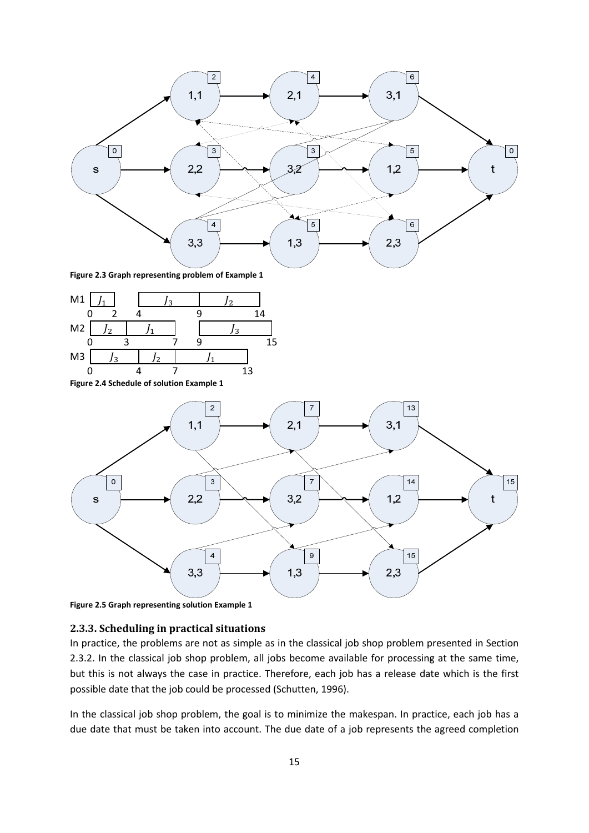

**Figure 2.3 Graph representing problem of Example 1** 



**Figure 2.4 Schedule of solution Example 1** 



**Figure 2.5 Graph representing solution Example 1** 

#### **2.3.3. Scheduling in practical situations**

In practice, the problems are not as simple as in the classical job shop problem presented in Section 2.3.2. In the classical job shop problem, all jobs become available for processing at the same time, but this is not always the case in practice. Therefore, each job has a release date which is the first possible date that the job could be processed (Schutten, 1996).

In the classical job shop problem, the goal is to minimize the makespan. In practice, each job has a due date that must be taken into account. The due date of a job represents the agreed completion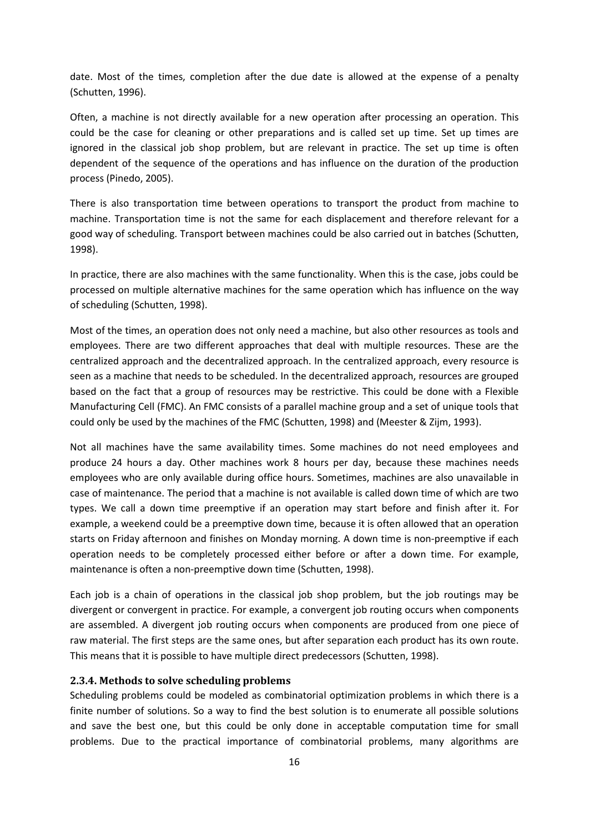date. Most of the times, completion after the due date is allowed at the expense of a penalty (Schutten, 1996).

Often, a machine is not directly available for a new operation after processing an operation. This could be the case for cleaning or other preparations and is called set up time. Set up times are ignored in the classical job shop problem, but are relevant in practice. The set up time is often dependent of the sequence of the operations and has influence on the duration of the production process (Pinedo, 2005).

There is also transportation time between operations to transport the product from machine to machine. Transportation time is not the same for each displacement and therefore relevant for a good way of scheduling. Transport between machines could be also carried out in batches (Schutten, 1998).

In practice, there are also machines with the same functionality. When this is the case, jobs could be processed on multiple alternative machines for the same operation which has influence on the way of scheduling (Schutten, 1998).

Most of the times, an operation does not only need a machine, but also other resources as tools and employees. There are two different approaches that deal with multiple resources. These are the centralized approach and the decentralized approach. In the centralized approach, every resource is seen as a machine that needs to be scheduled. In the decentralized approach, resources are grouped based on the fact that a group of resources may be restrictive. This could be done with a Flexible Manufacturing Cell (FMC). An FMC consists of a parallel machine group and a set of unique tools that could only be used by the machines of the FMC (Schutten, 1998) and (Meester & Zijm, 1993).

Not all machines have the same availability times. Some machines do not need employees and produce 24 hours a day. Other machines work 8 hours per day, because these machines needs employees who are only available during office hours. Sometimes, machines are also unavailable in case of maintenance. The period that a machine is not available is called down time of which are two types. We call a down time preemptive if an operation may start before and finish after it. For example, a weekend could be a preemptive down time, because it is often allowed that an operation starts on Friday afternoon and finishes on Monday morning. A down time is non-preemptive if each operation needs to be completely processed either before or after a down time. For example, maintenance is often a non-preemptive down time (Schutten, 1998).

Each job is a chain of operations in the classical job shop problem, but the job routings may be divergent or convergent in practice. For example, a convergent job routing occurs when components are assembled. A divergent job routing occurs when components are produced from one piece of raw material. The first steps are the same ones, but after separation each product has its own route. This means that it is possible to have multiple direct predecessors (Schutten, 1998).

#### **2.3.4. Methods to solve scheduling problems**

Scheduling problems could be modeled as combinatorial optimization problems in which there is a finite number of solutions. So a way to find the best solution is to enumerate all possible solutions and save the best one, but this could be only done in acceptable computation time for small problems. Due to the practical importance of combinatorial problems, many algorithms are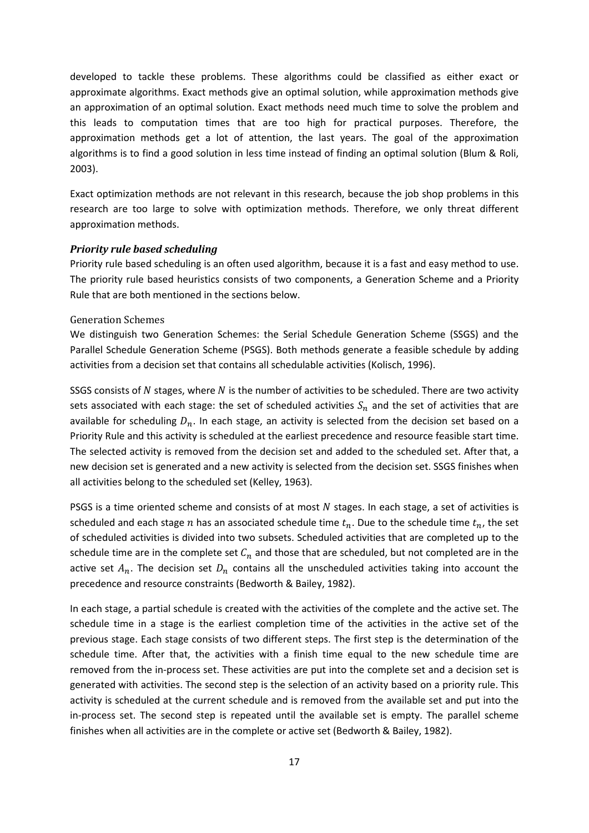developed to tackle these problems. These algorithms could be classified as either exact or approximate algorithms. Exact methods give an optimal solution, while approximation methods give an approximation of an optimal solution. Exact methods need much time to solve the problem and this leads to computation times that are too high for practical purposes. Therefore, the approximation methods get a lot of attention, the last years. The goal of the approximation algorithms is to find a good solution in less time instead of finding an optimal solution (Blum & Roli, 2003).

Exact optimization methods are not relevant in this research, because the job shop problems in this research are too large to solve with optimization methods. Therefore, we only threat different approximation methods.

#### *Priority rule based scheduling*

Priority rule based scheduling is an often used algorithm, because it is a fast and easy method to use. The priority rule based heuristics consists of two components, a Generation Scheme and a Priority Rule that are both mentioned in the sections below.

#### Generation Schemes

We distinguish two Generation Schemes: the Serial Schedule Generation Scheme (SSGS) and the Parallel Schedule Generation Scheme (PSGS). Both methods generate a feasible schedule by adding activities from a decision set that contains all schedulable activities (Kolisch, 1996).

SSGS consists of  *stages, where*  $*N*$  *is the number of activities to be scheduled. There are two activity* sets associated with each stage: the set of scheduled activities  $\mathcal{S}_n$  and the set of activities that are available for scheduling  $D_n$ . In each stage, an activity is selected from the decision set based on a Priority Rule and this activity is scheduled at the earliest precedence and resource feasible start time. The selected activity is removed from the decision set and added to the scheduled set. After that, a new decision set is generated and a new activity is selected from the decision set. SSGS finishes when all activities belong to the scheduled set (Kelley, 1963).

PSGS is a time oriented scheme and consists of at most  $N$  stages. In each stage, a set of activities is scheduled and each stage  $n$  has an associated schedule time  $t_n$ . Due to the schedule time  $t_n$ , the set of scheduled activities is divided into two subsets. Scheduled activities that are completed up to the schedule time are in the complete set  $\mathcal{C}_n$  and those that are scheduled, but not completed are in the active set  $A_n$ . The decision set  $D_n$  contains all the unscheduled activities taking into account the precedence and resource constraints (Bedworth & Bailey, 1982).

In each stage, a partial schedule is created with the activities of the complete and the active set. The schedule time in a stage is the earliest completion time of the activities in the active set of the previous stage. Each stage consists of two different steps. The first step is the determination of the schedule time. After that, the activities with a finish time equal to the new schedule time are removed from the in-process set. These activities are put into the complete set and a decision set is generated with activities. The second step is the selection of an activity based on a priority rule. This activity is scheduled at the current schedule and is removed from the available set and put into the in-process set. The second step is repeated until the available set is empty. The parallel scheme finishes when all activities are in the complete or active set (Bedworth & Bailey, 1982).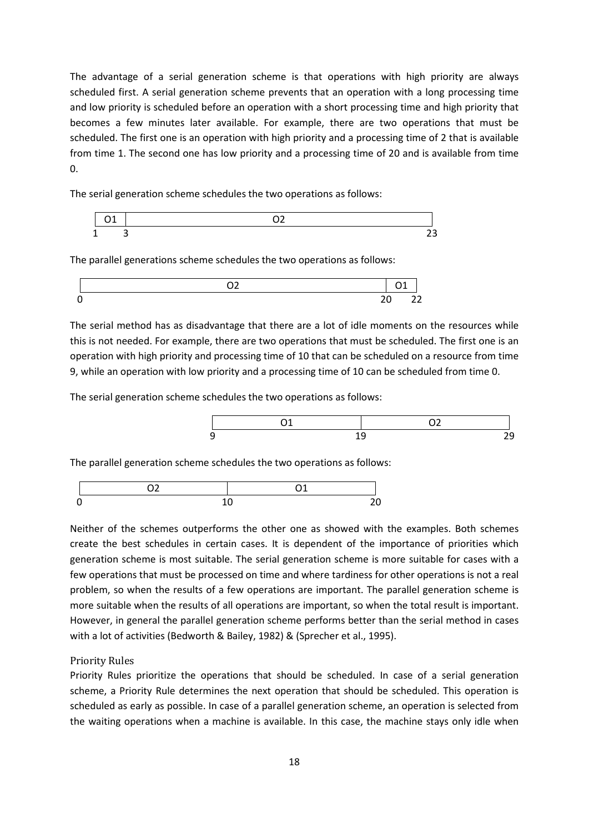The advantage of a serial generation scheme is that operations with high priority are always scheduled first. A serial generation scheme prevents that an operation with a long processing time and low priority is scheduled before an operation with a short processing time and high priority that becomes a few minutes later available. For example, there are two operations that must be scheduled. The first one is an operation with high priority and a processing time of 2 that is available from time 1. The second one has low priority and a processing time of 20 and is available from time 0.

The serial generation scheme schedules the two operations as follows:

$$
\begin{array}{|c|c|}\n\hline\n01 & 02 & \\
1 & 3 & \\
\hline\n23 & 0 & \\
\hline\n\end{array}
$$

The parallel generations scheme schedules the two operations as follows:



The serial method has as disadvantage that there are a lot of idle moments on the resources while this is not needed. For example, there are two operations that must be scheduled. The first one is an operation with high priority and processing time of 10 that can be scheduled on a resource from time 9, while an operation with low priority and a processing time of 10 can be scheduled from time 0.

The serial generation scheme schedules the two operations as follows:



The parallel generation scheme schedules the two operations as follows:



Neither of the schemes outperforms the other one as showed with the examples. Both schemes create the best schedules in certain cases. It is dependent of the importance of priorities which generation scheme is most suitable. The serial generation scheme is more suitable for cases with a few operations that must be processed on time and where tardiness for other operations is not a real problem, so when the results of a few operations are important. The parallel generation scheme is more suitable when the results of all operations are important, so when the total result is important. However, in general the parallel generation scheme performs better than the serial method in cases with a lot of activities (Bedworth & Bailey, 1982) & (Sprecher et al., 1995).

#### Priority Rules

Priority Rules prioritize the operations that should be scheduled. In case of a serial generation scheme, a Priority Rule determines the next operation that should be scheduled. This operation is scheduled as early as possible. In case of a parallel generation scheme, an operation is selected from the waiting operations when a machine is available. In this case, the machine stays only idle when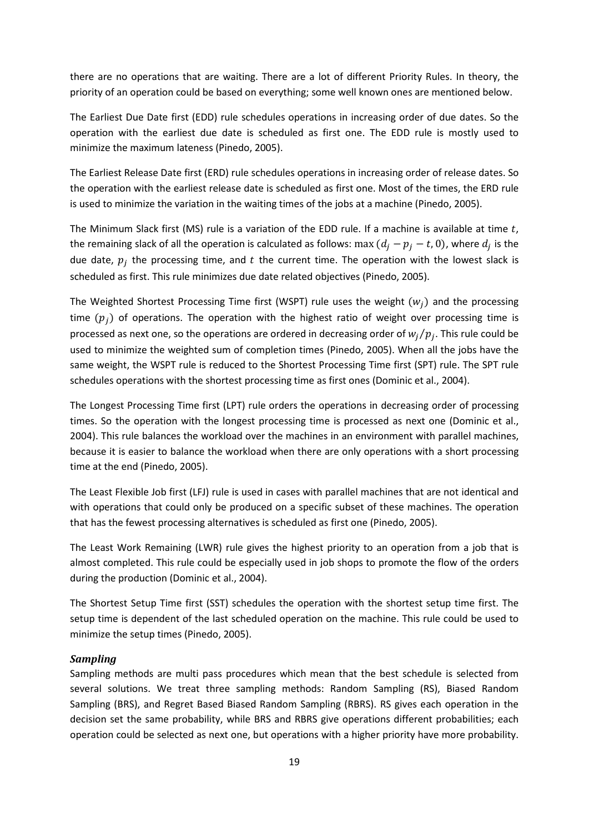there are no operations that are waiting. There are a lot of different Priority Rules. In theory, the priority of an operation could be based on everything; some well known ones are mentioned below.

The Earliest Due Date first (EDD) rule schedules operations in increasing order of due dates. So the operation with the earliest due date is scheduled as first one. The EDD rule is mostly used to minimize the maximum lateness (Pinedo, 2005).

The Earliest Release Date first (ERD) rule schedules operations in increasing order of release dates. So the operation with the earliest release date is scheduled as first one. Most of the times, the ERD rule is used to minimize the variation in the waiting times of the jobs at a machine (Pinedo, 2005).

The Minimum Slack first (MS) rule is a variation of the EDD rule. If a machine is available at time  $t$ , the remaining slack of all the operation is calculated as follows: max  $(d_j - p_j - t, 0)$ , where  $d_j$  is the due date,  $p_j$  the processing time, and  $t$  the current time. The operation with the lowest slack is scheduled as first. This rule minimizes due date related objectives (Pinedo, 2005).

The Weighted Shortest Processing Time first (WSPT) rule uses the weight  $(w_i)$  and the processing time  $(p_i)$  of operations. The operation with the highest ratio of weight over processing time is processed as next one, so the operations are ordered in decreasing order of  $w_j/p_j$ . This rule could be used to minimize the weighted sum of completion times (Pinedo, 2005). When all the jobs have the same weight, the WSPT rule is reduced to the Shortest Processing Time first (SPT) rule. The SPT rule schedules operations with the shortest processing time as first ones (Dominic et al., 2004).

The Longest Processing Time first (LPT) rule orders the operations in decreasing order of processing times. So the operation with the longest processing time is processed as next one (Dominic et al., 2004). This rule balances the workload over the machines in an environment with parallel machines, because it is easier to balance the workload when there are only operations with a short processing time at the end (Pinedo, 2005).

The Least Flexible Job first (LFJ) rule is used in cases with parallel machines that are not identical and with operations that could only be produced on a specific subset of these machines. The operation that has the fewest processing alternatives is scheduled as first one (Pinedo, 2005).

The Least Work Remaining (LWR) rule gives the highest priority to an operation from a job that is almost completed. This rule could be especially used in job shops to promote the flow of the orders during the production (Dominic et al., 2004).

The Shortest Setup Time first (SST) schedules the operation with the shortest setup time first. The setup time is dependent of the last scheduled operation on the machine. This rule could be used to minimize the setup times (Pinedo, 2005).

#### *Sampling*

Sampling methods are multi pass procedures which mean that the best schedule is selected from several solutions. We treat three sampling methods: Random Sampling (RS), Biased Random Sampling (BRS), and Regret Based Biased Random Sampling (RBRS). RS gives each operation in the decision set the same probability, while BRS and RBRS give operations different probabilities; each operation could be selected as next one, but operations with a higher priority have more probability.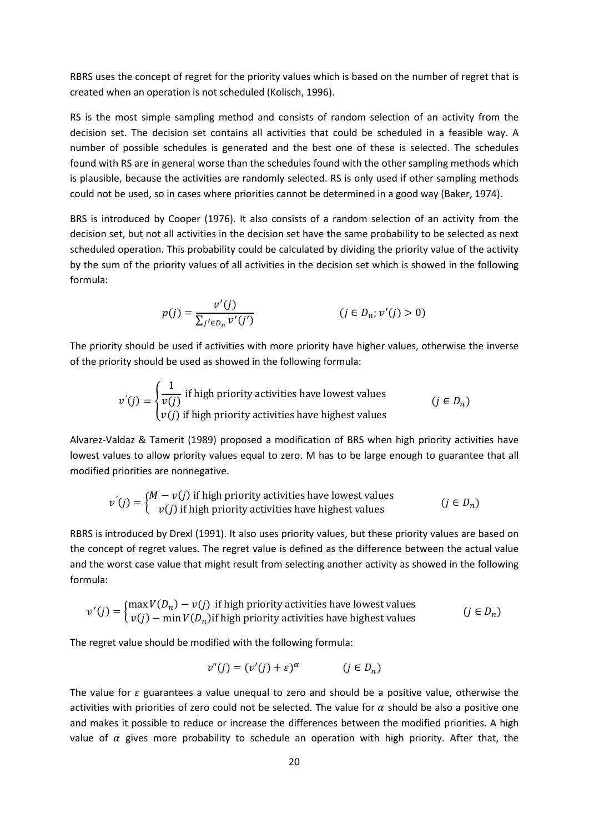RBRS uses the concept of regret for the priority values which is based on the number of regret that is created when an operation is not scheduled (Kolisch, 1996).

RS is the most simple sampling method and consists of random selection of an activity from the decision set. The decision set contains all activities that could be scheduled in a feasible way. A number of possible schedules is generated and the best one of these is selected. The schedules found with RS are in general worse than the schedules found with the other sampling methods which is plausible, because the activities are randomly selected. RS is only used if other sampling methods could not be used, so in cases where priorities cannot be determined in a good way (Baker, 1974).

BRS is introduced by Cooper (1976). It also consists of a random selection of an activity from the decision set, but not all activities in the decision set have the same probability to be selected as next scheduled operation. This probability could be calculated by dividing the priority value of the activity by the sum of the priority values of all activities in the decision set which is showed in the following formula:

$$
p(j) = \frac{v'(j)}{\sum_{j' \in D_n} v'(j')}
$$
  $(j \in D_n; v'(j) > 0)$ 

The priority should be used if activities with more priority have higher values, otherwise the inverse of the priority should be used as showed in the following formula:

$$
v'(j) = \begin{cases} \frac{1}{v(j)} & \text{if high priority activities have lowest values} \\ v(j) & \text{if high priority activities have highest values} \end{cases}
$$
  $(j \in D_n)$ 

Alvarez-Valdaz & Tamerit (1989) proposed a modification of BRS when high priority activities have lowest values to allow priority values equal to zero. M has to be large enough to guarantee that all modified priorities are nonnegative.

$$
v^{'}(j) = \begin{cases} M - v(j) & \text{if high priority activities have lowest values} \\ v(j) & \text{if high priority activities have highest values} \end{cases} \qquad (j \in D_n)
$$

RBRS is introduced by Drexl (1991). It also uses priority values, but these priority values are based on the concept of regret values. The regret value is defined as the difference between the actual value and the worst case value that might result from selecting another activity as showed in the following formula:

$$
v'(j) = \begin{cases} \max V(D_n) - v(j) & \text{if high priority activities have lowest values} \\ v(j) - \min V(D_n) & \text{if high priority activities have highest values} \end{cases} \tag{j \in D_n}
$$

The regret value should be modified with the following formula:

$$
v''(j) = (v'(j) + \varepsilon)^{\alpha} \qquad (j \in D_n)
$$

The value for  $\varepsilon$  guarantees a value unequal to zero and should be a positive value, otherwise the activities with priorities of zero could not be selected. The value for  $\alpha$  should be also a positive one and makes it possible to reduce or increase the differences between the modified priorities. A high value of  $\alpha$  gives more probability to schedule an operation with high priority. After that, the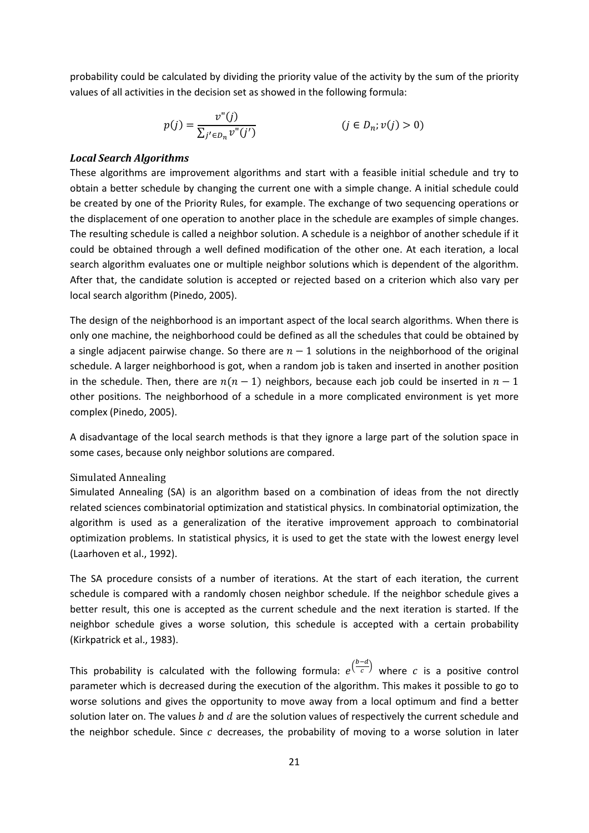probability could be calculated by dividing the priority value of the activity by the sum of the priority values of all activities in the decision set as showed in the following formula:

$$
p(j) = \frac{v''(j)}{\sum_{j' \in D_n} v''(j')}
$$
 (j \in D\_n; v(j) > 0)

#### *Local Search Algorithms*

These algorithms are improvement algorithms and start with a feasible initial schedule and try to obtain a better schedule by changing the current one with a simple change. A initial schedule could be created by one of the Priority Rules, for example. The exchange of two sequencing operations or the displacement of one operation to another place in the schedule are examples of simple changes. The resulting schedule is called a neighbor solution. A schedule is a neighbor of another schedule if it could be obtained through a well defined modification of the other one. At each iteration, a local search algorithm evaluates one or multiple neighbor solutions which is dependent of the algorithm. After that, the candidate solution is accepted or rejected based on a criterion which also vary per local search algorithm (Pinedo, 2005).

The design of the neighborhood is an important aspect of the local search algorithms. When there is only one machine, the neighborhood could be defined as all the schedules that could be obtained by a single adjacent pairwise change. So there are  $n-1$  solutions in the neighborhood of the original schedule. A larger neighborhood is got, when a random job is taken and inserted in another position in the schedule. Then, there are  $n(n - 1)$  neighbors, because each job could be inserted in  $n - 1$ other positions. The neighborhood of a schedule in a more complicated environment is yet more complex (Pinedo, 2005).

A disadvantage of the local search methods is that they ignore a large part of the solution space in some cases, because only neighbor solutions are compared.

#### Simulated Annealing

Simulated Annealing (SA) is an algorithm based on a combination of ideas from the not directly related sciences combinatorial optimization and statistical physics. In combinatorial optimization, the algorithm is used as a generalization of the iterative improvement approach to combinatorial optimization problems. In statistical physics, it is used to get the state with the lowest energy level (Laarhoven et al., 1992).

The SA procedure consists of a number of iterations. At the start of each iteration, the current schedule is compared with a randomly chosen neighbor schedule. If the neighbor schedule gives a better result, this one is accepted as the current schedule and the next iteration is started. If the neighbor schedule gives a worse solution, this schedule is accepted with a certain probability (Kirkpatrick et al., 1983).

This probability is calculated with the following formula:  $e^{\left(\frac{b-d}{c}\right)}$  $\frac{c}{c}$  where c is a positive control parameter which is decreased during the execution of the algorithm. This makes it possible to go to worse solutions and gives the opportunity to move away from a local optimum and find a better solution later on. The values  $b$  and  $d$  are the solution values of respectively the current schedule and the neighbor schedule. Since  $\bar{c}$  decreases, the probability of moving to a worse solution in later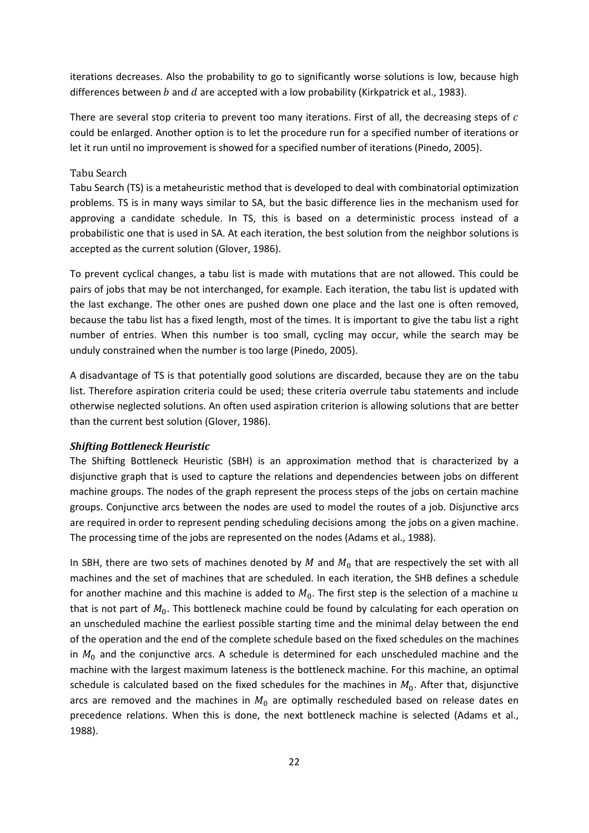iterations decreases. Also the probability to go to significantly worse solutions is low, because high differences between  $b$  and  $d$  are accepted with a low probability (Kirkpatrick et al., 1983).

There are several stop criteria to prevent too many iterations. First of all, the decreasing steps of  $\bar{c}$ could be enlarged. Another option is to let the procedure run for a specified number of iterations or let it run until no improvement is showed for a specified number of iterations (Pinedo, 2005).

#### Tabu Search

Tabu Search (TS) is a metaheuristic method that is developed to deal with combinatorial optimization problems. TS is in many ways similar to SA, but the basic difference lies in the mechanism used for approving a candidate schedule. In TS, this is based on a deterministic process instead of a probabilistic one that is used in SA. At each iteration, the best solution from the neighbor solutions is accepted as the current solution (Glover, 1986).

To prevent cyclical changes, a tabu list is made with mutations that are not allowed. This could be pairs of jobs that may be not interchanged, for example. Each iteration, the tabu list is updated with the last exchange. The other ones are pushed down one place and the last one is often removed, because the tabu list has a fixed length, most of the times. It is important to give the tabu list a right number of entries. When this number is too small, cycling may occur, while the search may be unduly constrained when the number is too large (Pinedo, 2005).

A disadvantage of TS is that potentially good solutions are discarded, because they are on the tabu list. Therefore aspiration criteria could be used; these criteria overrule tabu statements and include otherwise neglected solutions. An often used aspiration criterion is allowing solutions that are better than the current best solution (Glover, 1986).

#### *Shifting Bottleneck Heuristic*

The Shifting Bottleneck Heuristic (SBH) is an approximation method that is characterized by a disjunctive graph that is used to capture the relations and dependencies between jobs on different machine groups. The nodes of the graph represent the process steps of the jobs on certain machine groups. Conjunctive arcs between the nodes are used to model the routes of a job. Disjunctive arcs are required in order to represent pending scheduling decisions among the jobs on a given machine. The processing time of the jobs are represented on the nodes (Adams et al., 1988).

In SBH, there are two sets of machines denoted by  $M$  and  $M_0$  that are respectively the set with all machines and the set of machines that are scheduled. In each iteration, the SHB defines a schedule for another machine and this machine is added to  $M_0$ . The first step is the selection of a machine  $u$ that is not part of  $M_0$ . This bottleneck machine could be found by calculating for each operation on an unscheduled machine the earliest possible starting time and the minimal delay between the end of the operation and the end of the complete schedule based on the fixed schedules on the machines in  $M_0$  and the conjunctive arcs. A schedule is determined for each unscheduled machine and the machine with the largest maximum lateness is the bottleneck machine. For this machine, an optimal schedule is calculated based on the fixed schedules for the machines in  $M_0$ . After that, disjunctive arcs are removed and the machines in  $M_0$  are optimally rescheduled based on release dates en precedence relations. When this is done, the next bottleneck machine is selected (Adams et al., 1988).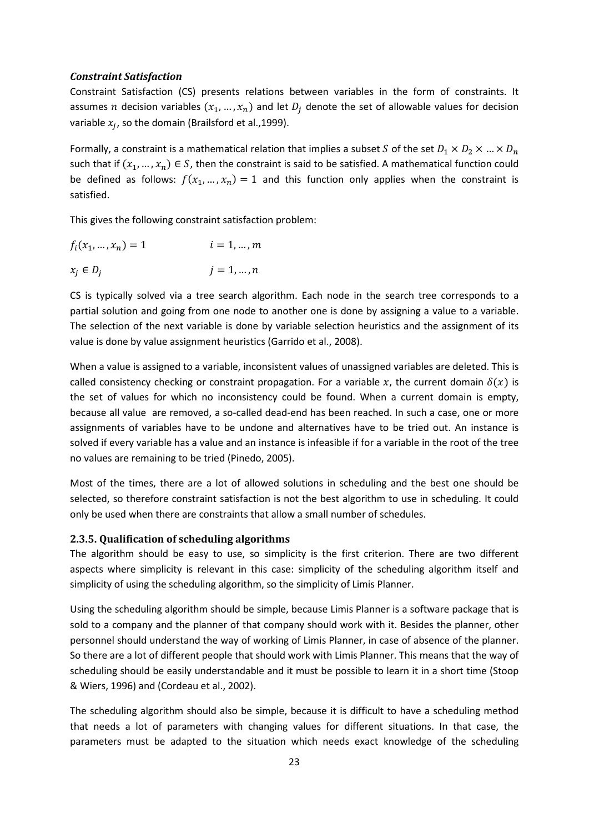#### *Constraint Satisfaction*

Constraint Satisfaction (CS) presents relations between variables in the form of constraints. It assumes  $n$  decision variables  $(x_1, ..., x_n)$  and let  $D_j$  denote the set of allowable values for decision variable  $x_j$ , so the domain (Brailsford et al.,1999).

Formally, a constraint is a mathematical relation that implies a subset S of the set  $D_1 \times D_2 \times ... \times D_n$ such that if  $(x_1, ..., x_n) \in S$ , then the constraint is said to be satisfied. A mathematical function could be defined as follows:  $f(x_1, ..., x_n) = 1$  and this function only applies when the constraint is satisfied.

This gives the following constraint satisfaction problem:

$$
f_i(x_1, \dots, x_n) = 1 \qquad i = 1, \dots, m
$$
  

$$
x_j \in D_j \qquad j = 1, \dots, n
$$

CS is typically solved via a tree search algorithm. Each node in the search tree corresponds to a partial solution and going from one node to another one is done by assigning a value to a variable. The selection of the next variable is done by variable selection heuristics and the assignment of its value is done by value assignment heuristics (Garrido et al., 2008).

When a value is assigned to a variable, inconsistent values of unassigned variables are deleted. This is called consistency checking or constraint propagation. For a variable x, the current domain  $\delta(x)$  is the set of values for which no inconsistency could be found. When a current domain is empty, because all value are removed, a so-called dead-end has been reached. In such a case, one or more assignments of variables have to be undone and alternatives have to be tried out. An instance is solved if every variable has a value and an instance is infeasible if for a variable in the root of the tree no values are remaining to be tried (Pinedo, 2005).

Most of the times, there are a lot of allowed solutions in scheduling and the best one should be selected, so therefore constraint satisfaction is not the best algorithm to use in scheduling. It could only be used when there are constraints that allow a small number of schedules.

#### **2.3.5. Qualification of scheduling algorithms**

The algorithm should be easy to use, so simplicity is the first criterion. There are two different aspects where simplicity is relevant in this case: simplicity of the scheduling algorithm itself and simplicity of using the scheduling algorithm, so the simplicity of Limis Planner.

Using the scheduling algorithm should be simple, because Limis Planner is a software package that is sold to a company and the planner of that company should work with it. Besides the planner, other personnel should understand the way of working of Limis Planner, in case of absence of the planner. So there are a lot of different people that should work with Limis Planner. This means that the way of scheduling should be easily understandable and it must be possible to learn it in a short time (Stoop & Wiers, 1996) and (Cordeau et al., 2002).

The scheduling algorithm should also be simple, because it is difficult to have a scheduling method that needs a lot of parameters with changing values for different situations. In that case, the parameters must be adapted to the situation which needs exact knowledge of the scheduling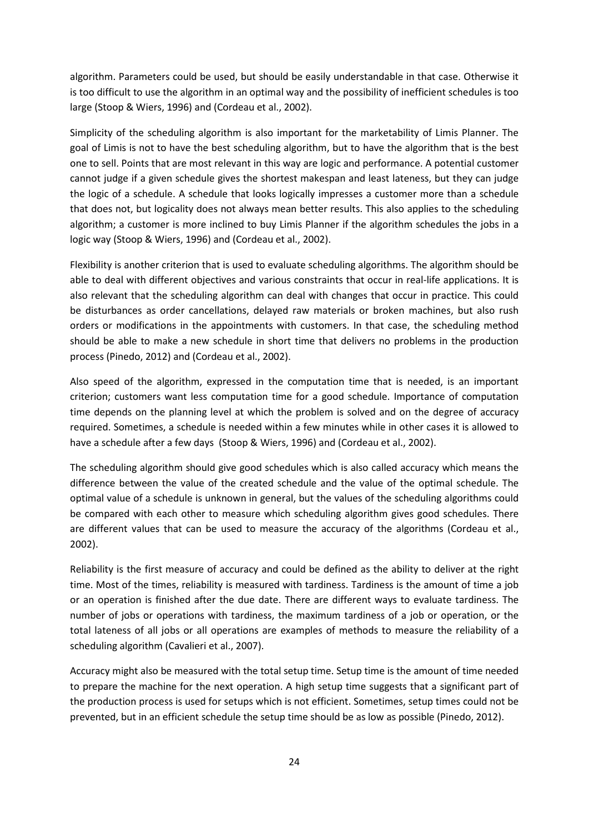algorithm. Parameters could be used, but should be easily understandable in that case. Otherwise it is too difficult to use the algorithm in an optimal way and the possibility of inefficient schedules is too large (Stoop & Wiers, 1996) and (Cordeau et al., 2002).

Simplicity of the scheduling algorithm is also important for the marketability of Limis Planner. The goal of Limis is not to have the best scheduling algorithm, but to have the algorithm that is the best one to sell. Points that are most relevant in this way are logic and performance. A potential customer cannot judge if a given schedule gives the shortest makespan and least lateness, but they can judge the logic of a schedule. A schedule that looks logically impresses a customer more than a schedule that does not, but logicality does not always mean better results. This also applies to the scheduling algorithm; a customer is more inclined to buy Limis Planner if the algorithm schedules the jobs in a logic way (Stoop & Wiers, 1996) and (Cordeau et al., 2002).

Flexibility is another criterion that is used to evaluate scheduling algorithms. The algorithm should be able to deal with different objectives and various constraints that occur in real-life applications. It is also relevant that the scheduling algorithm can deal with changes that occur in practice. This could be disturbances as order cancellations, delayed raw materials or broken machines, but also rush orders or modifications in the appointments with customers. In that case, the scheduling method should be able to make a new schedule in short time that delivers no problems in the production process (Pinedo, 2012) and (Cordeau et al., 2002).

Also speed of the algorithm, expressed in the computation time that is needed, is an important criterion; customers want less computation time for a good schedule. Importance of computation time depends on the planning level at which the problem is solved and on the degree of accuracy required. Sometimes, a schedule is needed within a few minutes while in other cases it is allowed to have a schedule after a few days (Stoop & Wiers, 1996) and (Cordeau et al., 2002).

The scheduling algorithm should give good schedules which is also called accuracy which means the difference between the value of the created schedule and the value of the optimal schedule. The optimal value of a schedule is unknown in general, but the values of the scheduling algorithms could be compared with each other to measure which scheduling algorithm gives good schedules. There are different values that can be used to measure the accuracy of the algorithms (Cordeau et al., 2002).

Reliability is the first measure of accuracy and could be defined as the ability to deliver at the right time. Most of the times, reliability is measured with tardiness. Tardiness is the amount of time a job or an operation is finished after the due date. There are different ways to evaluate tardiness. The number of jobs or operations with tardiness, the maximum tardiness of a job or operation, or the total lateness of all jobs or all operations are examples of methods to measure the reliability of a scheduling algorithm (Cavalieri et al., 2007).

Accuracy might also be measured with the total setup time. Setup time is the amount of time needed to prepare the machine for the next operation. A high setup time suggests that a significant part of the production process is used for setups which is not efficient. Sometimes, setup times could not be prevented, but in an efficient schedule the setup time should be as low as possible (Pinedo, 2012).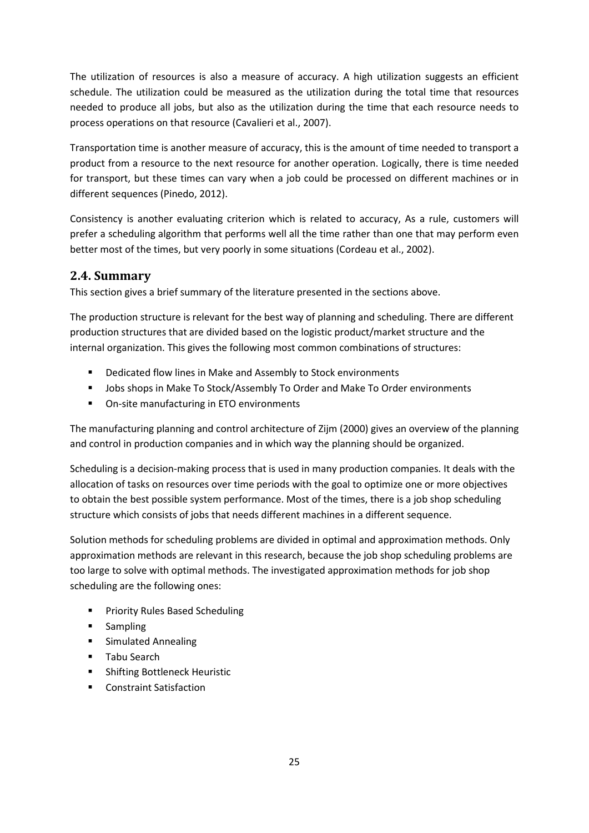The utilization of resources is also a measure of accuracy. A high utilization suggests an efficient schedule. The utilization could be measured as the utilization during the total time that resources needed to produce all jobs, but also as the utilization during the time that each resource needs to process operations on that resource (Cavalieri et al., 2007).

Transportation time is another measure of accuracy, this is the amount of time needed to transport a product from a resource to the next resource for another operation. Logically, there is time needed for transport, but these times can vary when a job could be processed on different machines or in different sequences (Pinedo, 2012).

Consistency is another evaluating criterion which is related to accuracy, As a rule, customers will prefer a scheduling algorithm that performs well all the time rather than one that may perform even better most of the times, but very poorly in some situations (Cordeau et al., 2002).

## **2.4. Summary**

This section gives a brief summary of the literature presented in the sections above.

The production structure is relevant for the best way of planning and scheduling. There are different production structures that are divided based on the logistic product/market structure and the internal organization. This gives the following most common combinations of structures:

- **•** Dedicated flow lines in Make and Assembly to Stock environments
- Jobs shops in Make To Stock/Assembly To Order and Make To Order environments
- **•** On-site manufacturing in ETO environments

The manufacturing planning and control architecture of Zijm (2000) gives an overview of the planning and control in production companies and in which way the planning should be organized.

Scheduling is a decision-making process that is used in many production companies. It deals with the allocation of tasks on resources over time periods with the goal to optimize one or more objectives to obtain the best possible system performance. Most of the times, there is a job shop scheduling structure which consists of jobs that needs different machines in a different sequence.

Solution methods for scheduling problems are divided in optimal and approximation methods. Only approximation methods are relevant in this research, because the job shop scheduling problems are too large to solve with optimal methods. The investigated approximation methods for job shop scheduling are the following ones:

- **Priority Rules Based Scheduling**
- **E** Sampling
- **E** Simulated Annealing
- **Tabu Search**
- **EXECUTE:** Shifting Bottleneck Heuristic
- **Constraint Satisfaction**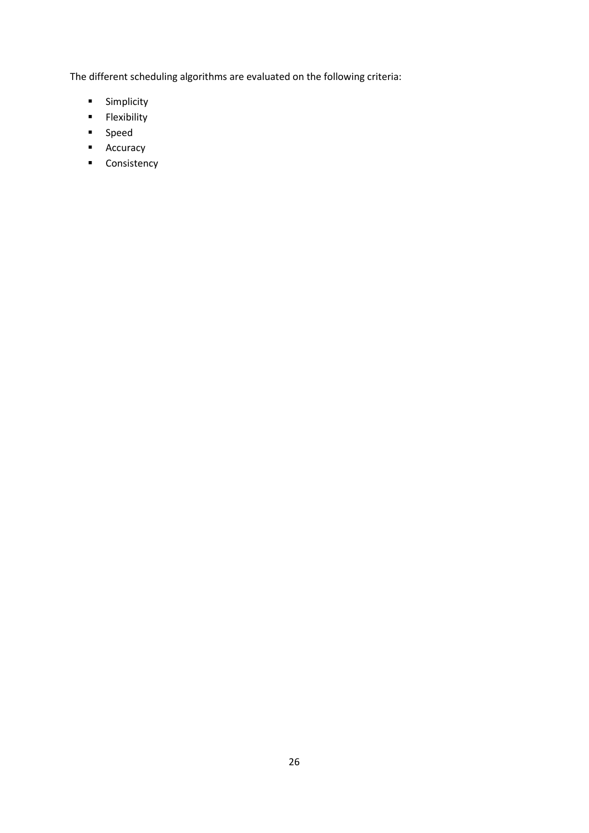The different scheduling algorithms are evaluated on the following criteria:

- **Simplicity**
- **Flexibility**
- **Speed**
- **Accuracy**
- **Consistency**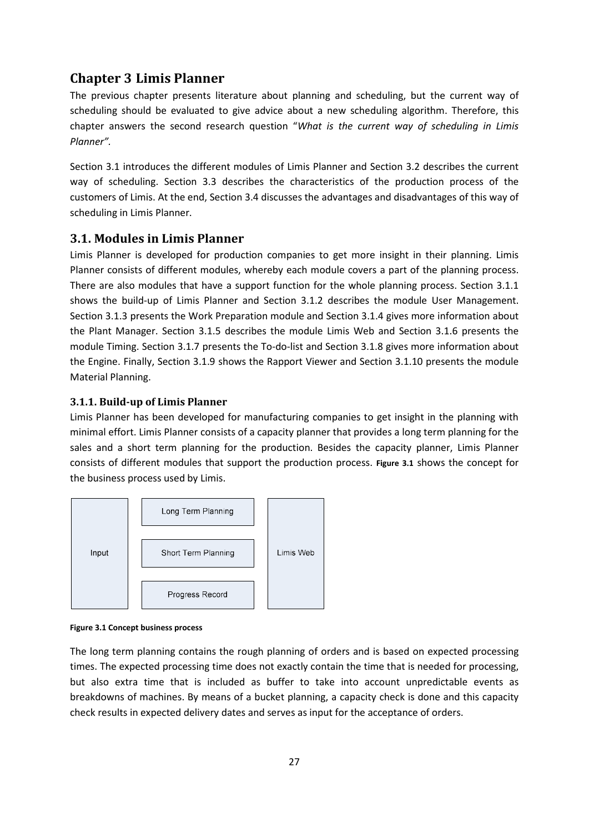## **Chapter 3 Limis Planner**

The previous chapter presents literature about planning and scheduling, but the current way of scheduling should be evaluated to give advice about a new scheduling algorithm. Therefore, this chapter answers the second research question "*What is the current way of scheduling in Limis Planner".* 

Section 3.1 introduces the different modules of Limis Planner and Section 3.2 describes the current way of scheduling. Section 3.3 describes the characteristics of the production process of the customers of Limis. At the end, Section 3.4 discusses the advantages and disadvantages of this way of scheduling in Limis Planner.

#### **3.1. Modules in Limis Planner**

Limis Planner is developed for production companies to get more insight in their planning. Limis Planner consists of different modules, whereby each module covers a part of the planning process. There are also modules that have a support function for the whole planning process. Section 3.1.1 shows the build-up of Limis Planner and Section 3.1.2 describes the module User Management. Section 3.1.3 presents the Work Preparation module and Section 3.1.4 gives more information about the Plant Manager. Section 3.1.5 describes the module Limis Web and Section 3.1.6 presents the module Timing. Section 3.1.7 presents the To-do-list and Section 3.1.8 gives more information about the Engine. Finally, Section 3.1.9 shows the Rapport Viewer and Section 3.1.10 presents the module Material Planning.

#### **3.1.1. Build-up of Limis Planner**

Limis Planner has been developed for manufacturing companies to get insight in the planning with minimal effort. Limis Planner consists of a capacity planner that provides a long term planning for the sales and a short term planning for the production. Besides the capacity planner, Limis Planner consists of different modules that support the production process. **Figure 3.1** shows the concept for the business process used by Limis.



**Figure 3.1 Concept business process** 

The long term planning contains the rough planning of orders and is based on expected processing times. The expected processing time does not exactly contain the time that is needed for processing, but also extra time that is included as buffer to take into account unpredictable events as breakdowns of machines. By means of a bucket planning, a capacity check is done and this capacity check results in expected delivery dates and serves as input for the acceptance of orders.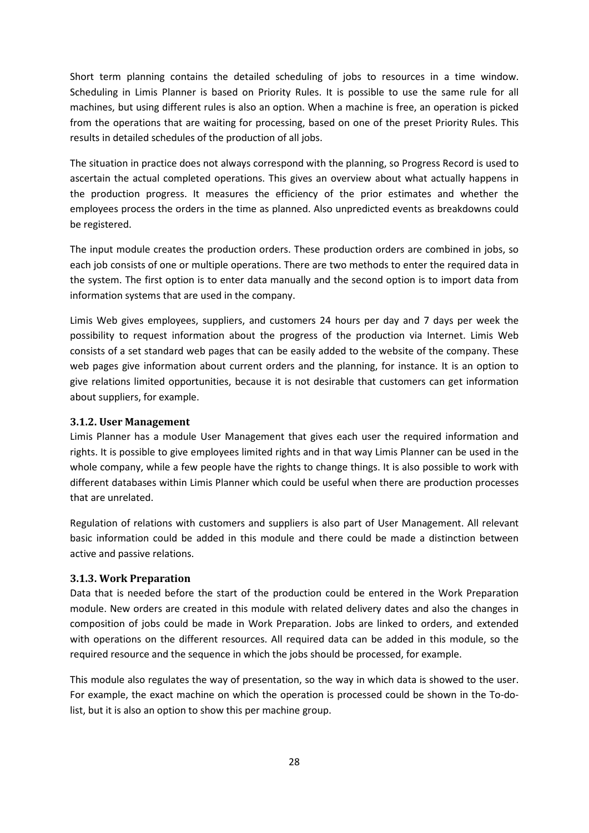Short term planning contains the detailed scheduling of jobs to resources in a time window. Scheduling in Limis Planner is based on Priority Rules. It is possible to use the same rule for all machines, but using different rules is also an option. When a machine is free, an operation is picked from the operations that are waiting for processing, based on one of the preset Priority Rules. This results in detailed schedules of the production of all jobs.

The situation in practice does not always correspond with the planning, so Progress Record is used to ascertain the actual completed operations. This gives an overview about what actually happens in the production progress. It measures the efficiency of the prior estimates and whether the employees process the orders in the time as planned. Also unpredicted events as breakdowns could be registered.

The input module creates the production orders. These production orders are combined in jobs, so each job consists of one or multiple operations. There are two methods to enter the required data in the system. The first option is to enter data manually and the second option is to import data from information systems that are used in the company.

Limis Web gives employees, suppliers, and customers 24 hours per day and 7 days per week the possibility to request information about the progress of the production via Internet. Limis Web consists of a set standard web pages that can be easily added to the website of the company. These web pages give information about current orders and the planning, for instance. It is an option to give relations limited opportunities, because it is not desirable that customers can get information about suppliers, for example.

#### **3.1.2. User Management**

Limis Planner has a module User Management that gives each user the required information and rights. It is possible to give employees limited rights and in that way Limis Planner can be used in the whole company, while a few people have the rights to change things. It is also possible to work with different databases within Limis Planner which could be useful when there are production processes that are unrelated.

Regulation of relations with customers and suppliers is also part of User Management. All relevant basic information could be added in this module and there could be made a distinction between active and passive relations.

#### **3.1.3. Work Preparation**

Data that is needed before the start of the production could be entered in the Work Preparation module. New orders are created in this module with related delivery dates and also the changes in composition of jobs could be made in Work Preparation. Jobs are linked to orders, and extended with operations on the different resources. All required data can be added in this module, so the required resource and the sequence in which the jobs should be processed, for example.

This module also regulates the way of presentation, so the way in which data is showed to the user. For example, the exact machine on which the operation is processed could be shown in the To-dolist, but it is also an option to show this per machine group.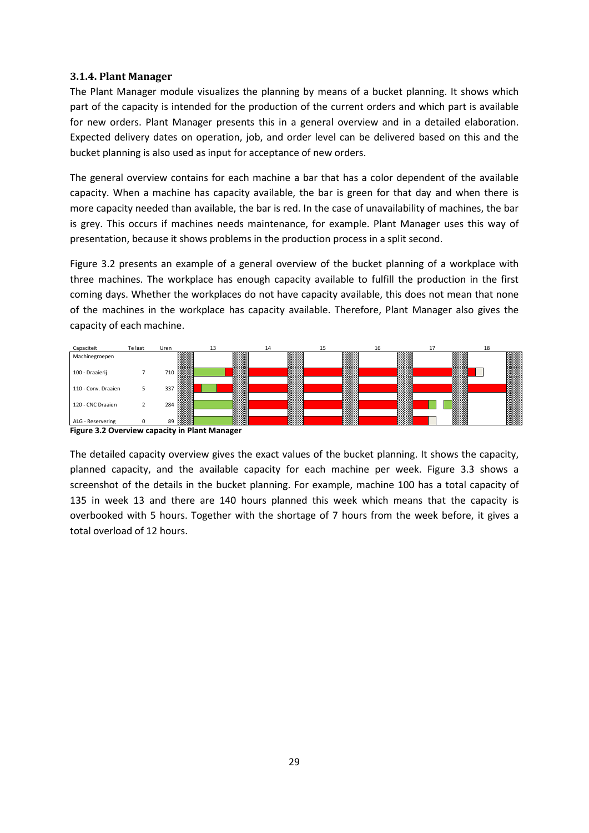#### **3.1.4. Plant Manager**

The Plant Manager module visualizes the planning by means of a bucket planning. It shows which part of the capacity is intended for the production of the current orders and which part is available for new orders. Plant Manager presents this in a general overview and in a detailed elaboration. Expected delivery dates on operation, job, and order level can be delivered based on this and the bucket planning is also used as input for acceptance of new orders.

The general overview contains for each machine a bar that has a color dependent of the available capacity. When a machine has capacity available, the bar is green for that day and when there is more capacity needed than available, the bar is red. In the case of unavailability of machines, the bar is grey. This occurs if machines needs maintenance, for example. Plant Manager uses this way of presentation, because it shows problems in the production process in a split second.

Figure 3.2 presents an example of a general overview of the bucket planning of a workplace with three machines. The workplace has enough capacity available to fulfill the production in the first coming days. Whether the workplaces do not have capacity available, this does not mean that none of the machines in the workplace has capacity available. Therefore, Plant Manager also gives the capacity of each machine.



**Figure 3.2 Overview capacity in Plant Manager** 

The detailed capacity overview gives the exact values of the bucket planning. It shows the capacity, planned capacity, and the available capacity for each machine per week. Figure 3.3 shows a screenshot of the details in the bucket planning. For example, machine 100 has a total capacity of 135 in week 13 and there are 140 hours planned this week which means that the capacity is overbooked with 5 hours. Together with the shortage of 7 hours from the week before, it gives a total overload of 12 hours.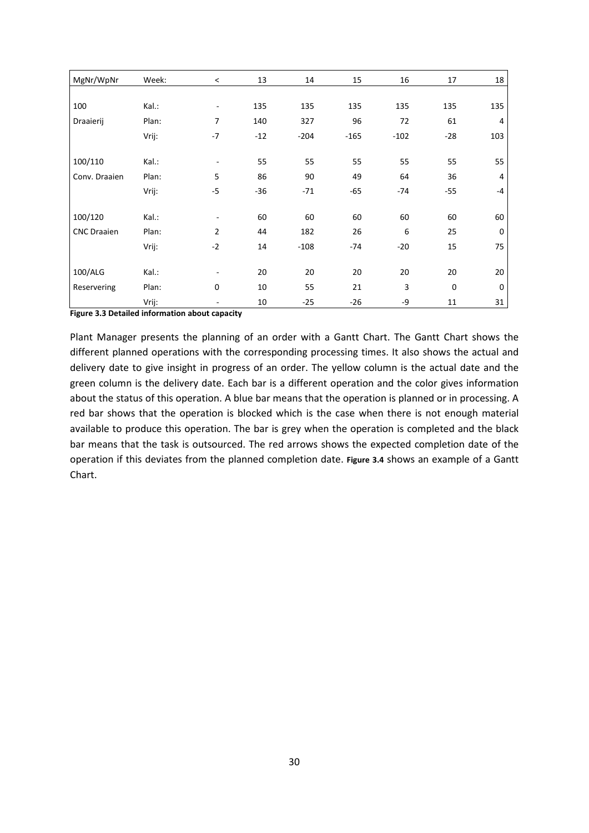| MgNr/WpNr          | Week: | $\,<\,$                  | 13    | 14     | 15     | 16     | 17       | 18          |
|--------------------|-------|--------------------------|-------|--------|--------|--------|----------|-------------|
|                    |       |                          |       |        |        |        |          |             |
| 100                | Kal.: | $\overline{\phantom{a}}$ | 135   | 135    | 135    | 135    | 135      | 135         |
| Draaierij          | Plan: | 7                        | 140   | 327    | 96     | 72     | 61       | 4           |
|                    | Vrij: | $-7$                     | $-12$ | $-204$ | $-165$ | $-102$ | $-28$    | 103         |
|                    |       |                          |       |        |        |        |          |             |
| 100/110            | Kal.: | $\overline{\phantom{a}}$ | 55    | 55     | 55     | 55     | 55       | 55          |
| Conv. Draaien      | Plan: | 5                        | 86    | 90     | 49     | 64     | 36       | 4           |
|                    | Vrij: | $-5$                     | $-36$ | $-71$  | $-65$  | -74    | $-55$    | $-4$        |
|                    |       |                          |       |        |        |        |          |             |
| 100/120            | Kal.: | $\overline{\phantom{a}}$ | 60    | 60     | 60     | 60     | 60       | 60          |
| <b>CNC Draaien</b> | Plan: | $\overline{2}$           | 44    | 182    | 26     | 6      | 25       | $\mathbf 0$ |
|                    | Vrij: | $-2$                     | 14    | $-108$ | $-74$  | $-20$  | 15       | 75          |
|                    |       |                          |       |        |        |        |          |             |
| 100/ALG            | Kal.: | $\overline{\phantom{a}}$ | 20    | 20     | 20     | 20     | 20       | 20          |
| Reservering        | Plan: | 0                        | 10    | 55     | 21     | 3      | $\Omega$ | 0           |
|                    | Vrij: |                          | 10    | $-25$  | $-26$  | -9     | 11       | 31          |

**Figure 3.3 Detailed information about capacity** 

Plant Manager presents the planning of an order with a Gantt Chart. The Gantt Chart shows the different planned operations with the corresponding processing times. It also shows the actual and delivery date to give insight in progress of an order. The yellow column is the actual date and the green column is the delivery date. Each bar is a different operation and the color gives information about the status of this operation. A blue bar means that the operation is planned or in processing. A red bar shows that the operation is blocked which is the case when there is not enough material available to produce this operation. The bar is grey when the operation is completed and the black bar means that the task is outsourced. The red arrows shows the expected completion date of the operation if this deviates from the planned completion date. **Figure 3.4** shows an example of a Gantt Chart.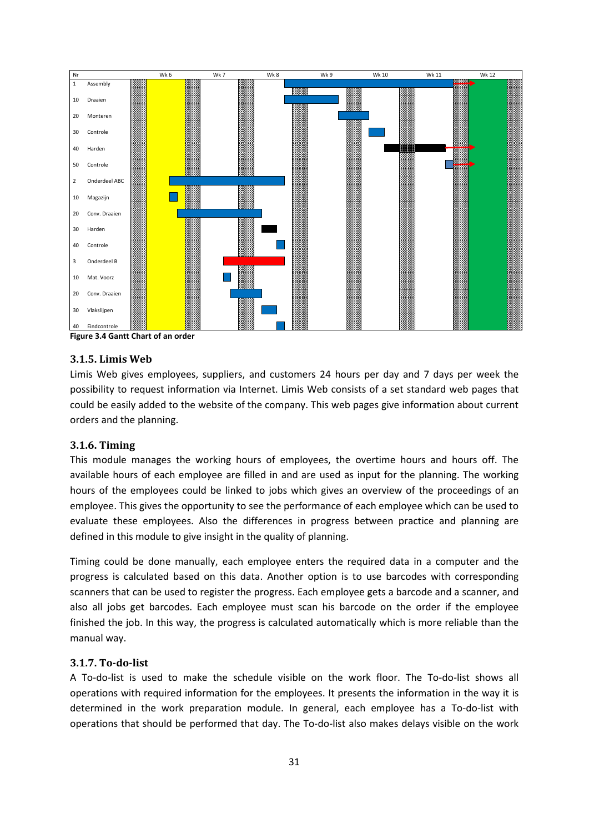

**Figure 3.4 Gantt Chart of an order** 

#### **3.1.5. Limis Web**

Limis Web gives employees, suppliers, and customers 24 hours per day and 7 days per week the possibility to request information via Internet. Limis Web consists of a set standard web pages that could be easily added to the website of the company. This web pages give information about current orders and the planning.

#### **3.1.6. Timing**

This module manages the working hours of employees, the overtime hours and hours off. The available hours of each employee are filled in and are used as input for the planning. The working hours of the employees could be linked to jobs which gives an overview of the proceedings of an employee. This gives the opportunity to see the performance of each employee which can be used to evaluate these employees. Also the differences in progress between practice and planning are defined in this module to give insight in the quality of planning.

Timing could be done manually, each employee enters the required data in a computer and the progress is calculated based on this data. Another option is to use barcodes with corresponding scanners that can be used to register the progress. Each employee gets a barcode and a scanner, and also all jobs get barcodes. Each employee must scan his barcode on the order if the employee finished the job. In this way, the progress is calculated automatically which is more reliable than the manual way.

#### **3.1.7. To-do-list**

A To-do-list is used to make the schedule visible on the work floor. The To-do-list shows all operations with required information for the employees. It presents the information in the way it is determined in the work preparation module. In general, each employee has a To-do-list with operations that should be performed that day. The To-do-list also makes delays visible on the work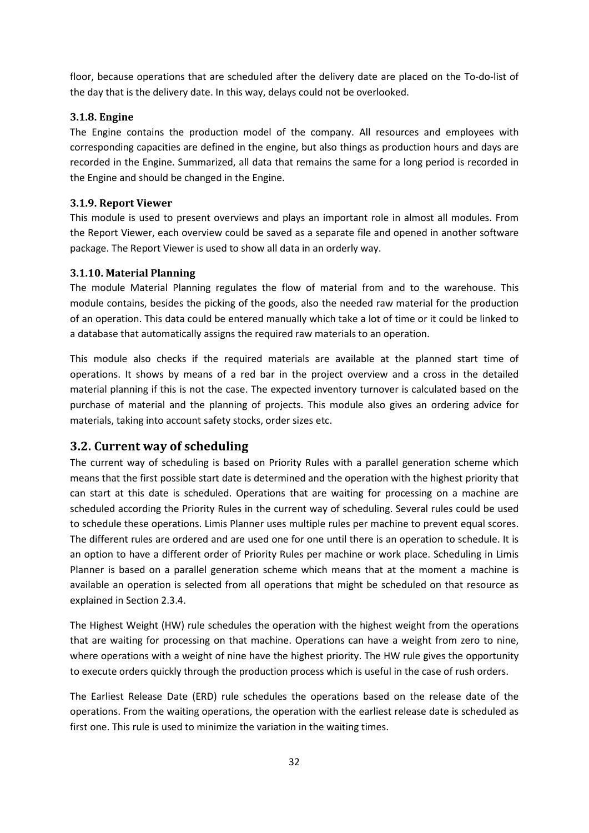floor, because operations that are scheduled after the delivery date are placed on the To-do-list of the day that is the delivery date. In this way, delays could not be overlooked.

#### **3.1.8. Engine**

The Engine contains the production model of the company. All resources and employees with corresponding capacities are defined in the engine, but also things as production hours and days are recorded in the Engine. Summarized, all data that remains the same for a long period is recorded in the Engine and should be changed in the Engine.

#### **3.1.9. Report Viewer**

This module is used to present overviews and plays an important role in almost all modules. From the Report Viewer, each overview could be saved as a separate file and opened in another software package. The Report Viewer is used to show all data in an orderly way.

#### **3.1.10. Material Planning**

The module Material Planning regulates the flow of material from and to the warehouse. This module contains, besides the picking of the goods, also the needed raw material for the production of an operation. This data could be entered manually which take a lot of time or it could be linked to a database that automatically assigns the required raw materials to an operation.

This module also checks if the required materials are available at the planned start time of operations. It shows by means of a red bar in the project overview and a cross in the detailed material planning if this is not the case. The expected inventory turnover is calculated based on the purchase of material and the planning of projects. This module also gives an ordering advice for materials, taking into account safety stocks, order sizes etc.

### **3.2. Current way of scheduling**

The current way of scheduling is based on Priority Rules with a parallel generation scheme which means that the first possible start date is determined and the operation with the highest priority that can start at this date is scheduled. Operations that are waiting for processing on a machine are scheduled according the Priority Rules in the current way of scheduling. Several rules could be used to schedule these operations. Limis Planner uses multiple rules per machine to prevent equal scores. The different rules are ordered and are used one for one until there is an operation to schedule. It is an option to have a different order of Priority Rules per machine or work place. Scheduling in Limis Planner is based on a parallel generation scheme which means that at the moment a machine is available an operation is selected from all operations that might be scheduled on that resource as explained in Section 2.3.4.

The Highest Weight (HW) rule schedules the operation with the highest weight from the operations that are waiting for processing on that machine. Operations can have a weight from zero to nine, where operations with a weight of nine have the highest priority. The HW rule gives the opportunity to execute orders quickly through the production process which is useful in the case of rush orders.

The Earliest Release Date (ERD) rule schedules the operations based on the release date of the operations. From the waiting operations, the operation with the earliest release date is scheduled as first one. This rule is used to minimize the variation in the waiting times.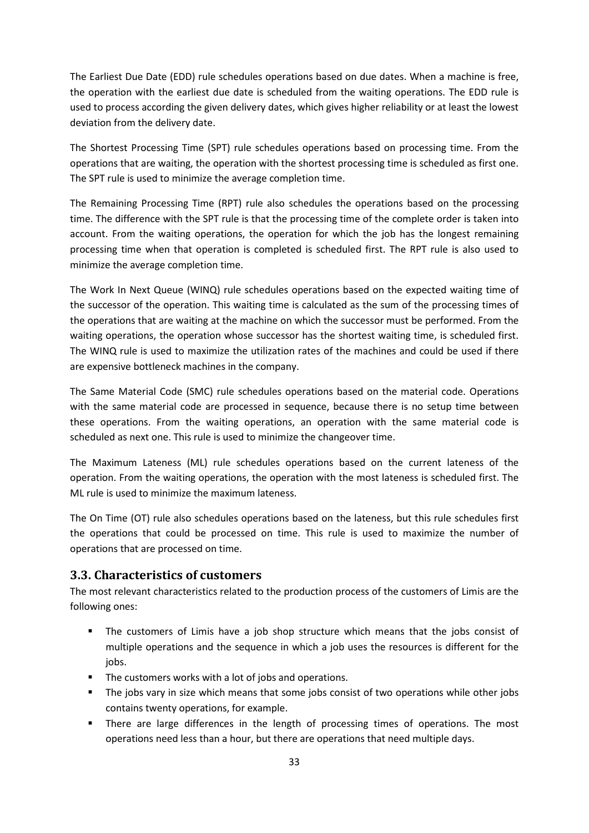The Earliest Due Date (EDD) rule schedules operations based on due dates. When a machine is free, the operation with the earliest due date is scheduled from the waiting operations. The EDD rule is used to process according the given delivery dates, which gives higher reliability or at least the lowest deviation from the delivery date.

The Shortest Processing Time (SPT) rule schedules operations based on processing time. From the operations that are waiting, the operation with the shortest processing time is scheduled as first one. The SPT rule is used to minimize the average completion time.

The Remaining Processing Time (RPT) rule also schedules the operations based on the processing time. The difference with the SPT rule is that the processing time of the complete order is taken into account. From the waiting operations, the operation for which the job has the longest remaining processing time when that operation is completed is scheduled first. The RPT rule is also used to minimize the average completion time.

The Work In Next Queue (WINQ) rule schedules operations based on the expected waiting time of the successor of the operation. This waiting time is calculated as the sum of the processing times of the operations that are waiting at the machine on which the successor must be performed. From the waiting operations, the operation whose successor has the shortest waiting time, is scheduled first. The WINQ rule is used to maximize the utilization rates of the machines and could be used if there are expensive bottleneck machines in the company.

The Same Material Code (SMC) rule schedules operations based on the material code. Operations with the same material code are processed in sequence, because there is no setup time between these operations. From the waiting operations, an operation with the same material code is scheduled as next one. This rule is used to minimize the changeover time.

The Maximum Lateness (ML) rule schedules operations based on the current lateness of the operation. From the waiting operations, the operation with the most lateness is scheduled first. The ML rule is used to minimize the maximum lateness.

The On Time (OT) rule also schedules operations based on the lateness, but this rule schedules first the operations that could be processed on time. This rule is used to maximize the number of operations that are processed on time.

### **3.3. Characteristics of customers**

The most relevant characteristics related to the production process of the customers of Limis are the following ones:

- The customers of Limis have a job shop structure which means that the jobs consist of multiple operations and the sequence in which a job uses the resources is different for the jobs.
- The customers works with a lot of jobs and operations.
- The jobs vary in size which means that some jobs consist of two operations while other jobs contains twenty operations, for example.
- **There are large differences in the length of processing times of operations. The most** operations need less than a hour, but there are operations that need multiple days.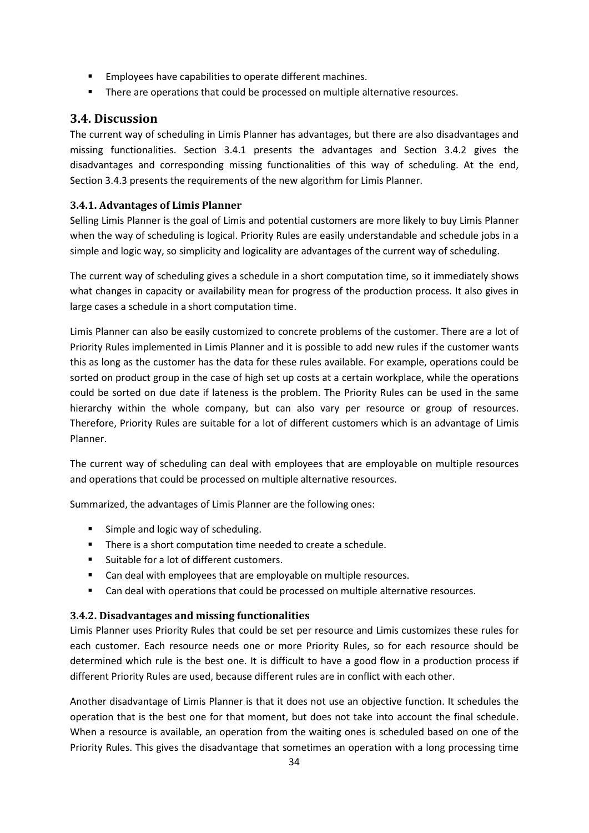- **Employees have capabilities to operate different machines.**
- **There are operations that could be processed on multiple alternative resources.**

### **3.4. Discussion**

The current way of scheduling in Limis Planner has advantages, but there are also disadvantages and missing functionalities. Section 3.4.1 presents the advantages and Section 3.4.2 gives the disadvantages and corresponding missing functionalities of this way of scheduling. At the end, Section 3.4.3 presents the requirements of the new algorithm for Limis Planner.

### **3.4.1. Advantages of Limis Planner**

Selling Limis Planner is the goal of Limis and potential customers are more likely to buy Limis Planner when the way of scheduling is logical. Priority Rules are easily understandable and schedule jobs in a simple and logic way, so simplicity and logicality are advantages of the current way of scheduling.

The current way of scheduling gives a schedule in a short computation time, so it immediately shows what changes in capacity or availability mean for progress of the production process. It also gives in large cases a schedule in a short computation time.

Limis Planner can also be easily customized to concrete problems of the customer. There are a lot of Priority Rules implemented in Limis Planner and it is possible to add new rules if the customer wants this as long as the customer has the data for these rules available. For example, operations could be sorted on product group in the case of high set up costs at a certain workplace, while the operations could be sorted on due date if lateness is the problem. The Priority Rules can be used in the same hierarchy within the whole company, but can also vary per resource or group of resources. Therefore, Priority Rules are suitable for a lot of different customers which is an advantage of Limis Planner.

The current way of scheduling can deal with employees that are employable on multiple resources and operations that could be processed on multiple alternative resources.

Summarized, the advantages of Limis Planner are the following ones:

- **Simple and logic way of scheduling.**
- **There is a short computation time needed to create a schedule.**
- **Suitable for a lot of different customers.**
- Can deal with employees that are employable on multiple resources.
- Can deal with operations that could be processed on multiple alternative resources.

### **3.4.2. Disadvantages and missing functionalities**

Limis Planner uses Priority Rules that could be set per resource and Limis customizes these rules for each customer. Each resource needs one or more Priority Rules, so for each resource should be determined which rule is the best one. It is difficult to have a good flow in a production process if different Priority Rules are used, because different rules are in conflict with each other.

Another disadvantage of Limis Planner is that it does not use an objective function. It schedules the operation that is the best one for that moment, but does not take into account the final schedule. When a resource is available, an operation from the waiting ones is scheduled based on one of the Priority Rules. This gives the disadvantage that sometimes an operation with a long processing time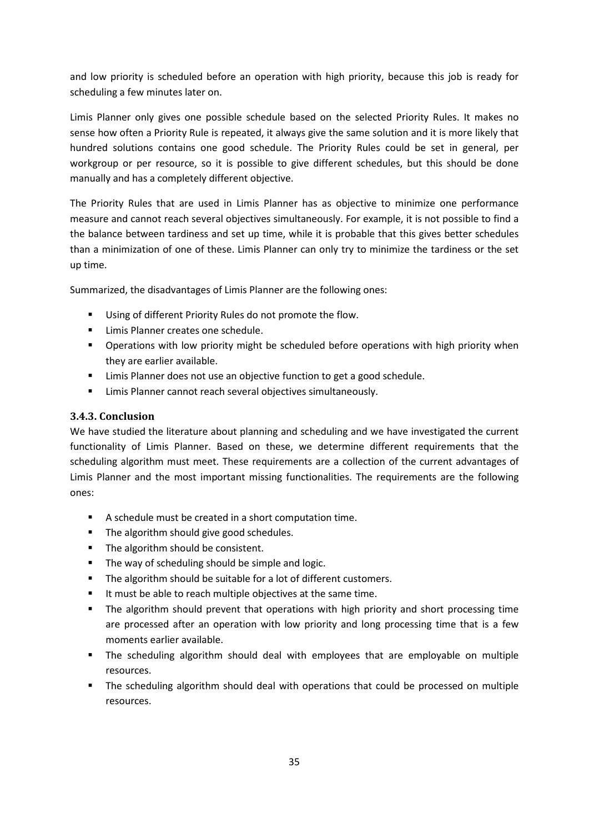and low priority is scheduled before an operation with high priority, because this job is ready for scheduling a few minutes later on.

Limis Planner only gives one possible schedule based on the selected Priority Rules. It makes no sense how often a Priority Rule is repeated, it always give the same solution and it is more likely that hundred solutions contains one good schedule. The Priority Rules could be set in general, per workgroup or per resource, so it is possible to give different schedules, but this should be done manually and has a completely different objective.

The Priority Rules that are used in Limis Planner has as objective to minimize one performance measure and cannot reach several objectives simultaneously. For example, it is not possible to find a the balance between tardiness and set up time, while it is probable that this gives better schedules than a minimization of one of these. Limis Planner can only try to minimize the tardiness or the set up time.

Summarized, the disadvantages of Limis Planner are the following ones:

- Using of different Priority Rules do not promote the flow.
- **E** Limis Planner creates one schedule.
- Operations with low priority might be scheduled before operations with high priority when they are earlier available.
- **EXECT** Limis Planner does not use an objective function to get a good schedule.
- **EXECT** Limis Planner cannot reach several objectives simultaneously.

### **3.4.3. Conclusion**

We have studied the literature about planning and scheduling and we have investigated the current functionality of Limis Planner. Based on these, we determine different requirements that the scheduling algorithm must meet. These requirements are a collection of the current advantages of Limis Planner and the most important missing functionalities. The requirements are the following ones:

- A schedule must be created in a short computation time.
- The algorithm should give good schedules.
- The algorithm should be consistent.
- **The way of scheduling should be simple and logic.**
- The algorithm should be suitable for a lot of different customers.
- It must be able to reach multiple objectives at the same time.
- **The algorithm should prevent that operations with high priority and short processing time** are processed after an operation with low priority and long processing time that is a few moments earlier available.
- The scheduling algorithm should deal with employees that are employable on multiple resources.
- The scheduling algorithm should deal with operations that could be processed on multiple resources.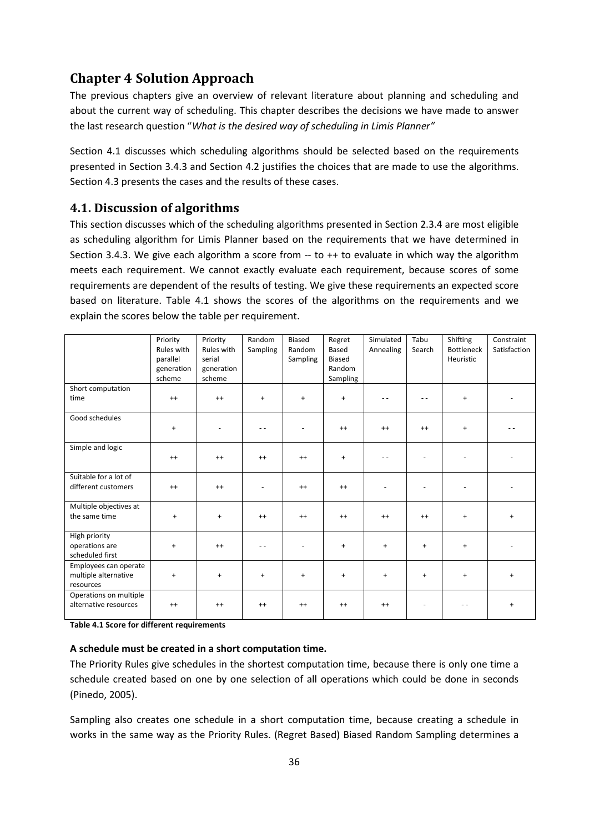# **Chapter 4 Solution Approach**

The previous chapters give an overview of relevant literature about planning and scheduling and about the current way of scheduling. This chapter describes the decisions we have made to answer the last research question "*What is the desired way of scheduling in Limis Planner"* 

Section 4.1 discusses which scheduling algorithms should be selected based on the requirements presented in Section 3.4.3 and Section 4.2 justifies the choices that are made to use the algorithms. Section 4.3 presents the cases and the results of these cases.

### **4.1. Discussion of algorithms**

This section discusses which of the scheduling algorithms presented in Section 2.3.4 are most eligible as scheduling algorithm for Limis Planner based on the requirements that we have determined in Section 3.4.3. We give each algorithm a score from  $-$  to  $++$  to evaluate in which way the algorithm meets each requirement. We cannot exactly evaluate each requirement, because scores of some requirements are dependent of the results of testing. We give these requirements an expected score based on literature. Table 4.1 shows the scores of the algorithms on the requirements and we explain the scores below the table per requirement.

|                        | Priority   | Priority   | Random        | Biased    | Regret    | Simulated | Tabu      | Shifting          | Constraint   |
|------------------------|------------|------------|---------------|-----------|-----------|-----------|-----------|-------------------|--------------|
|                        | Rules with | Rules with | Sampling      | Random    | Based     | Annealing | Search    | <b>Bottleneck</b> | Satisfaction |
|                        | parallel   | serial     |               | Sampling  | Biased    |           |           | Heuristic         |              |
|                        | generation | generation |               |           | Random    |           |           |                   |              |
|                        | scheme     | scheme     |               |           | Sampling  |           |           |                   |              |
| Short computation      |            |            |               |           |           |           |           |                   |              |
| time                   | $^{++}$    | $^{++}$    | $+$           | $+$       | $\ddot{}$ |           | $ -$      | $+$               |              |
|                        |            |            |               |           |           |           |           |                   |              |
| Good schedules         |            |            |               |           |           |           |           |                   |              |
|                        | $\ddot{}$  |            | - -           |           | $^{++}$   | $^{++}$   | $^{++}$   | $+$               |              |
|                        |            |            |               |           |           |           |           |                   |              |
| Simple and logic       |            |            |               |           |           |           |           |                   |              |
|                        | $^{++}$    | $^{++}$    | $^{++}$       | $^{++}$   | $\ddot{}$ |           |           |                   |              |
|                        |            |            |               |           |           |           |           |                   |              |
| Suitable for a lot of  |            |            |               |           |           |           |           |                   |              |
| different customers    | $^{++}$    | $^{++}$    |               | $^{++}$   | $^{++}$   |           |           |                   |              |
|                        |            |            |               |           |           |           |           |                   |              |
| Multiple objectives at |            |            |               |           |           |           |           |                   |              |
| the same time          | $\ddot{}$  | $\ddot{}$  | $^{++}$       | $^{++}$   | $^{++}$   | $^{++}$   | $^{++}$   | $\ddot{}$         | $\ddot{}$    |
|                        |            |            |               |           |           |           |           |                   |              |
| High priority          |            |            |               |           |           |           |           |                   |              |
| operations are         | $\ddot{}$  | $^{++}$    | $\sim$ $\sim$ |           | $\ddot{}$ | $\ddot{}$ | $+$       | $+$               |              |
| scheduled first        |            |            |               |           |           |           |           |                   |              |
| Employees can operate  |            |            |               |           |           |           |           |                   |              |
| multiple alternative   | $\ddot{}$  | $\ddot{}$  | $\ddot{}$     | $\ddot{}$ | $\ddot{}$ | $\ddot{}$ | $\ddot{}$ | $\ddot{}$         | $\ddot{}$    |
| resources              |            |            |               |           |           |           |           |                   |              |
| Operations on multiple |            |            |               |           |           |           |           |                   |              |
| alternative resources  | $^{++}$    | $^{++}$    | $^{++}$       | $^{++}$   | $^{++}$   | $^{++}$   |           |                   |              |
|                        |            |            |               |           |           |           |           |                   |              |

**Table 4.1 Score for different requirements** 

#### **A schedule must be created in a short computation time.**

The Priority Rules give schedules in the shortest computation time, because there is only one time a schedule created based on one by one selection of all operations which could be done in seconds (Pinedo, 2005).

Sampling also creates one schedule in a short computation time, because creating a schedule in works in the same way as the Priority Rules. (Regret Based) Biased Random Sampling determines a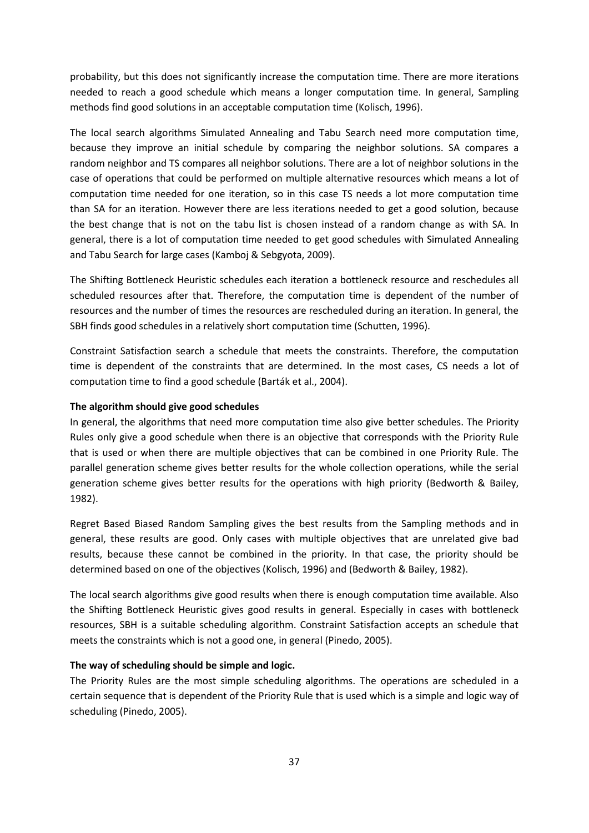probability, but this does not significantly increase the computation time. There are more iterations needed to reach a good schedule which means a longer computation time. In general, Sampling methods find good solutions in an acceptable computation time (Kolisch, 1996).

The local search algorithms Simulated Annealing and Tabu Search need more computation time, because they improve an initial schedule by comparing the neighbor solutions. SA compares a random neighbor and TS compares all neighbor solutions. There are a lot of neighbor solutions in the case of operations that could be performed on multiple alternative resources which means a lot of computation time needed for one iteration, so in this case TS needs a lot more computation time than SA for an iteration. However there are less iterations needed to get a good solution, because the best change that is not on the tabu list is chosen instead of a random change as with SA. In general, there is a lot of computation time needed to get good schedules with Simulated Annealing and Tabu Search for large cases (Kamboj & Sebgyota, 2009).

The Shifting Bottleneck Heuristic schedules each iteration a bottleneck resource and reschedules all scheduled resources after that. Therefore, the computation time is dependent of the number of resources and the number of times the resources are rescheduled during an iteration. In general, the SBH finds good schedules in a relatively short computation time (Schutten, 1996).

Constraint Satisfaction search a schedule that meets the constraints. Therefore, the computation time is dependent of the constraints that are determined. In the most cases, CS needs a lot of computation time to find a good schedule (Barták et al., 2004).

#### **The algorithm should give good schedules**

In general, the algorithms that need more computation time also give better schedules. The Priority Rules only give a good schedule when there is an objective that corresponds with the Priority Rule that is used or when there are multiple objectives that can be combined in one Priority Rule. The parallel generation scheme gives better results for the whole collection operations, while the serial generation scheme gives better results for the operations with high priority (Bedworth & Bailey, 1982).

Regret Based Biased Random Sampling gives the best results from the Sampling methods and in general, these results are good. Only cases with multiple objectives that are unrelated give bad results, because these cannot be combined in the priority. In that case, the priority should be determined based on one of the objectives (Kolisch, 1996) and (Bedworth & Bailey, 1982).

The local search algorithms give good results when there is enough computation time available. Also the Shifting Bottleneck Heuristic gives good results in general. Especially in cases with bottleneck resources, SBH is a suitable scheduling algorithm. Constraint Satisfaction accepts an schedule that meets the constraints which is not a good one, in general (Pinedo, 2005).

#### **The way of scheduling should be simple and logic.**

The Priority Rules are the most simple scheduling algorithms. The operations are scheduled in a certain sequence that is dependent of the Priority Rule that is used which is a simple and logic way of scheduling (Pinedo, 2005).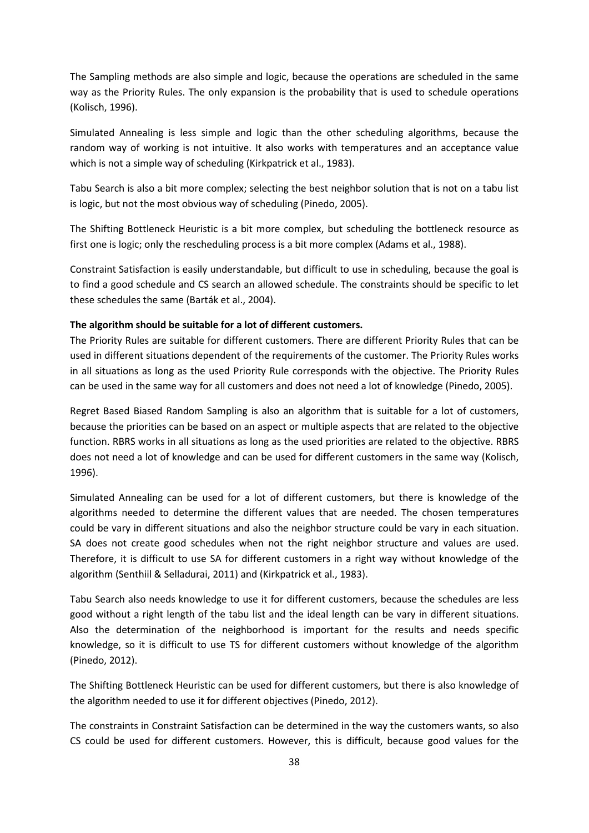The Sampling methods are also simple and logic, because the operations are scheduled in the same way as the Priority Rules. The only expansion is the probability that is used to schedule operations (Kolisch, 1996).

Simulated Annealing is less simple and logic than the other scheduling algorithms, because the random way of working is not intuitive. It also works with temperatures and an acceptance value which is not a simple way of scheduling (Kirkpatrick et al., 1983).

Tabu Search is also a bit more complex; selecting the best neighbor solution that is not on a tabu list is logic, but not the most obvious way of scheduling (Pinedo, 2005).

The Shifting Bottleneck Heuristic is a bit more complex, but scheduling the bottleneck resource as first one is logic; only the rescheduling process is a bit more complex (Adams et al., 1988).

Constraint Satisfaction is easily understandable, but difficult to use in scheduling, because the goal is to find a good schedule and CS search an allowed schedule. The constraints should be specific to let these schedules the same (Barták et al., 2004).

#### **The algorithm should be suitable for a lot of different customers.**

The Priority Rules are suitable for different customers. There are different Priority Rules that can be used in different situations dependent of the requirements of the customer. The Priority Rules works in all situations as long as the used Priority Rule corresponds with the objective. The Priority Rules can be used in the same way for all customers and does not need a lot of knowledge (Pinedo, 2005).

Regret Based Biased Random Sampling is also an algorithm that is suitable for a lot of customers, because the priorities can be based on an aspect or multiple aspects that are related to the objective function. RBRS works in all situations as long as the used priorities are related to the objective. RBRS does not need a lot of knowledge and can be used for different customers in the same way (Kolisch, 1996).

Simulated Annealing can be used for a lot of different customers, but there is knowledge of the algorithms needed to determine the different values that are needed. The chosen temperatures could be vary in different situations and also the neighbor structure could be vary in each situation. SA does not create good schedules when not the right neighbor structure and values are used. Therefore, it is difficult to use SA for different customers in a right way without knowledge of the algorithm (Senthiil & Selladurai, 2011) and (Kirkpatrick et al., 1983).

Tabu Search also needs knowledge to use it for different customers, because the schedules are less good without a right length of the tabu list and the ideal length can be vary in different situations. Also the determination of the neighborhood is important for the results and needs specific knowledge, so it is difficult to use TS for different customers without knowledge of the algorithm (Pinedo, 2012).

The Shifting Bottleneck Heuristic can be used for different customers, but there is also knowledge of the algorithm needed to use it for different objectives (Pinedo, 2012).

The constraints in Constraint Satisfaction can be determined in the way the customers wants, so also CS could be used for different customers. However, this is difficult, because good values for the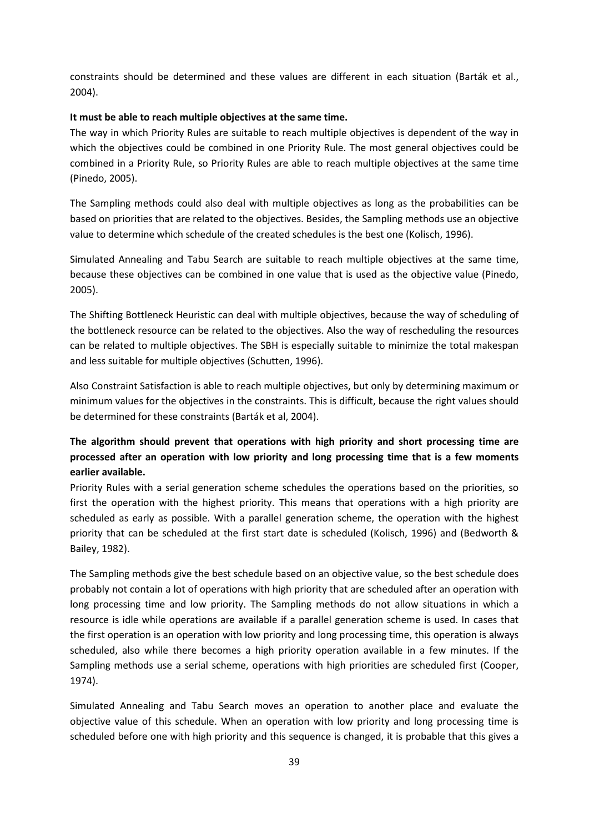constraints should be determined and these values are different in each situation (Barták et al., 2004).

#### **It must be able to reach multiple objectives at the same time.**

The way in which Priority Rules are suitable to reach multiple objectives is dependent of the way in which the objectives could be combined in one Priority Rule. The most general objectives could be combined in a Priority Rule, so Priority Rules are able to reach multiple objectives at the same time (Pinedo, 2005).

The Sampling methods could also deal with multiple objectives as long as the probabilities can be based on priorities that are related to the objectives. Besides, the Sampling methods use an objective value to determine which schedule of the created schedules is the best one (Kolisch, 1996).

Simulated Annealing and Tabu Search are suitable to reach multiple objectives at the same time, because these objectives can be combined in one value that is used as the objective value (Pinedo, 2005).

The Shifting Bottleneck Heuristic can deal with multiple objectives, because the way of scheduling of the bottleneck resource can be related to the objectives. Also the way of rescheduling the resources can be related to multiple objectives. The SBH is especially suitable to minimize the total makespan and less suitable for multiple objectives (Schutten, 1996).

Also Constraint Satisfaction is able to reach multiple objectives, but only by determining maximum or minimum values for the objectives in the constraints. This is difficult, because the right values should be determined for these constraints (Barták et al, 2004).

### **The algorithm should prevent that operations with high priority and short processing time are processed after an operation with low priority and long processing time that is a few moments earlier available.**

Priority Rules with a serial generation scheme schedules the operations based on the priorities, so first the operation with the highest priority. This means that operations with a high priority are scheduled as early as possible. With a parallel generation scheme, the operation with the highest priority that can be scheduled at the first start date is scheduled (Kolisch, 1996) and (Bedworth & Bailey, 1982).

The Sampling methods give the best schedule based on an objective value, so the best schedule does probably not contain a lot of operations with high priority that are scheduled after an operation with long processing time and low priority. The Sampling methods do not allow situations in which a resource is idle while operations are available if a parallel generation scheme is used. In cases that the first operation is an operation with low priority and long processing time, this operation is always scheduled, also while there becomes a high priority operation available in a few minutes. If the Sampling methods use a serial scheme, operations with high priorities are scheduled first (Cooper, 1974).

Simulated Annealing and Tabu Search moves an operation to another place and evaluate the objective value of this schedule. When an operation with low priority and long processing time is scheduled before one with high priority and this sequence is changed, it is probable that this gives a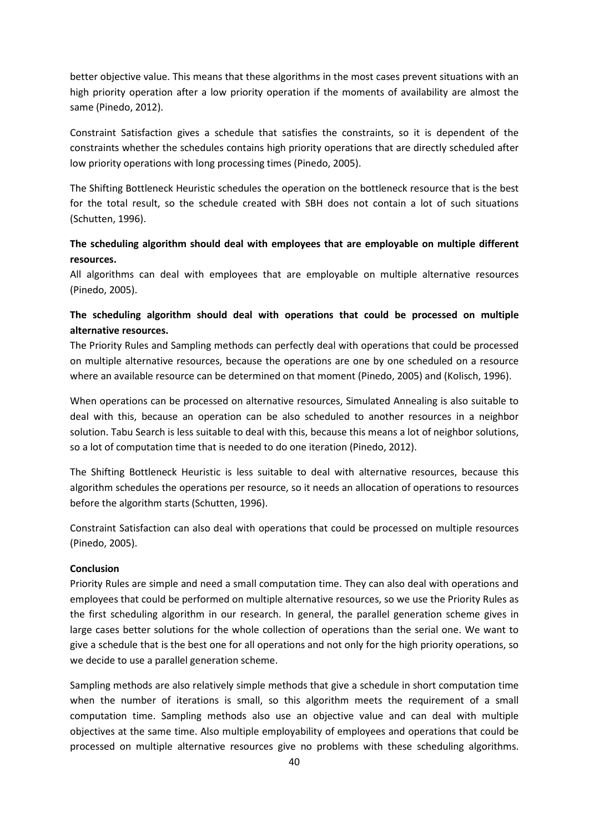better objective value. This means that these algorithms in the most cases prevent situations with an high priority operation after a low priority operation if the moments of availability are almost the same (Pinedo, 2012).

Constraint Satisfaction gives a schedule that satisfies the constraints, so it is dependent of the constraints whether the schedules contains high priority operations that are directly scheduled after low priority operations with long processing times (Pinedo, 2005).

The Shifting Bottleneck Heuristic schedules the operation on the bottleneck resource that is the best for the total result, so the schedule created with SBH does not contain a lot of such situations (Schutten, 1996).

### **The scheduling algorithm should deal with employees that are employable on multiple different resources.**

All algorithms can deal with employees that are employable on multiple alternative resources (Pinedo, 2005).

### **The scheduling algorithm should deal with operations that could be processed on multiple alternative resources.**

The Priority Rules and Sampling methods can perfectly deal with operations that could be processed on multiple alternative resources, because the operations are one by one scheduled on a resource where an available resource can be determined on that moment (Pinedo, 2005) and (Kolisch, 1996).

When operations can be processed on alternative resources, Simulated Annealing is also suitable to deal with this, because an operation can be also scheduled to another resources in a neighbor solution. Tabu Search is less suitable to deal with this, because this means a lot of neighbor solutions, so a lot of computation time that is needed to do one iteration (Pinedo, 2012).

The Shifting Bottleneck Heuristic is less suitable to deal with alternative resources, because this algorithm schedules the operations per resource, so it needs an allocation of operations to resources before the algorithm starts (Schutten, 1996).

Constraint Satisfaction can also deal with operations that could be processed on multiple resources (Pinedo, 2005).

#### **Conclusion**

Priority Rules are simple and need a small computation time. They can also deal with operations and employees that could be performed on multiple alternative resources, so we use the Priority Rules as the first scheduling algorithm in our research. In general, the parallel generation scheme gives in large cases better solutions for the whole collection of operations than the serial one. We want to give a schedule that is the best one for all operations and not only for the high priority operations, so we decide to use a parallel generation scheme.

Sampling methods are also relatively simple methods that give a schedule in short computation time when the number of iterations is small, so this algorithm meets the requirement of a small computation time. Sampling methods also use an objective value and can deal with multiple objectives at the same time. Also multiple employability of employees and operations that could be processed on multiple alternative resources give no problems with these scheduling algorithms.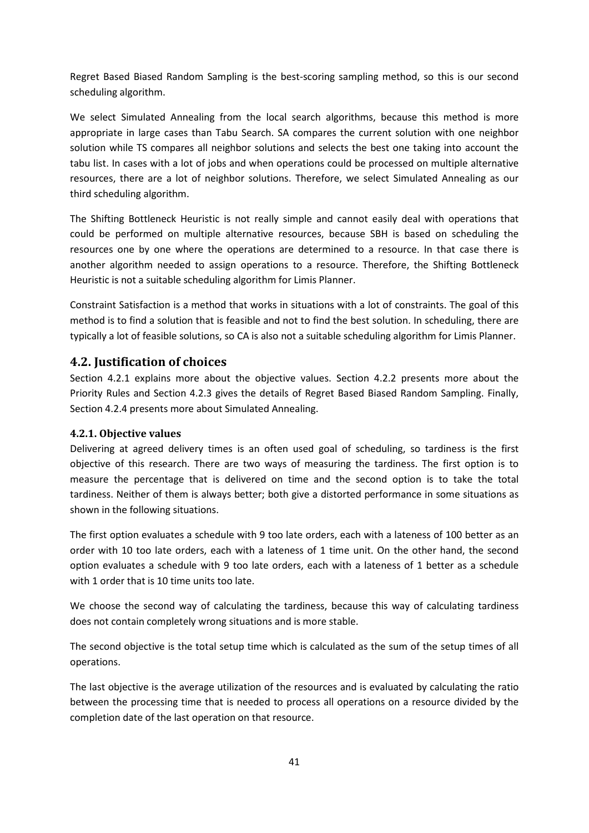Regret Based Biased Random Sampling is the best-scoring sampling method, so this is our second scheduling algorithm.

We select Simulated Annealing from the local search algorithms, because this method is more appropriate in large cases than Tabu Search. SA compares the current solution with one neighbor solution while TS compares all neighbor solutions and selects the best one taking into account the tabu list. In cases with a lot of jobs and when operations could be processed on multiple alternative resources, there are a lot of neighbor solutions. Therefore, we select Simulated Annealing as our third scheduling algorithm.

The Shifting Bottleneck Heuristic is not really simple and cannot easily deal with operations that could be performed on multiple alternative resources, because SBH is based on scheduling the resources one by one where the operations are determined to a resource. In that case there is another algorithm needed to assign operations to a resource. Therefore, the Shifting Bottleneck Heuristic is not a suitable scheduling algorithm for Limis Planner.

Constraint Satisfaction is a method that works in situations with a lot of constraints. The goal of this method is to find a solution that is feasible and not to find the best solution. In scheduling, there are typically a lot of feasible solutions, so CA is also not a suitable scheduling algorithm for Limis Planner.

### **4.2. Justification of choices**

Section 4.2.1 explains more about the objective values. Section 4.2.2 presents more about the Priority Rules and Section 4.2.3 gives the details of Regret Based Biased Random Sampling. Finally, Section 4.2.4 presents more about Simulated Annealing.

### **4.2.1. Objective values**

Delivering at agreed delivery times is an often used goal of scheduling, so tardiness is the first objective of this research. There are two ways of measuring the tardiness. The first option is to measure the percentage that is delivered on time and the second option is to take the total tardiness. Neither of them is always better; both give a distorted performance in some situations as shown in the following situations.

The first option evaluates a schedule with 9 too late orders, each with a lateness of 100 better as an order with 10 too late orders, each with a lateness of 1 time unit. On the other hand, the second option evaluates a schedule with 9 too late orders, each with a lateness of 1 better as a schedule with 1 order that is 10 time units too late.

We choose the second way of calculating the tardiness, because this way of calculating tardiness does not contain completely wrong situations and is more stable.

The second objective is the total setup time which is calculated as the sum of the setup times of all operations.

The last objective is the average utilization of the resources and is evaluated by calculating the ratio between the processing time that is needed to process all operations on a resource divided by the completion date of the last operation on that resource.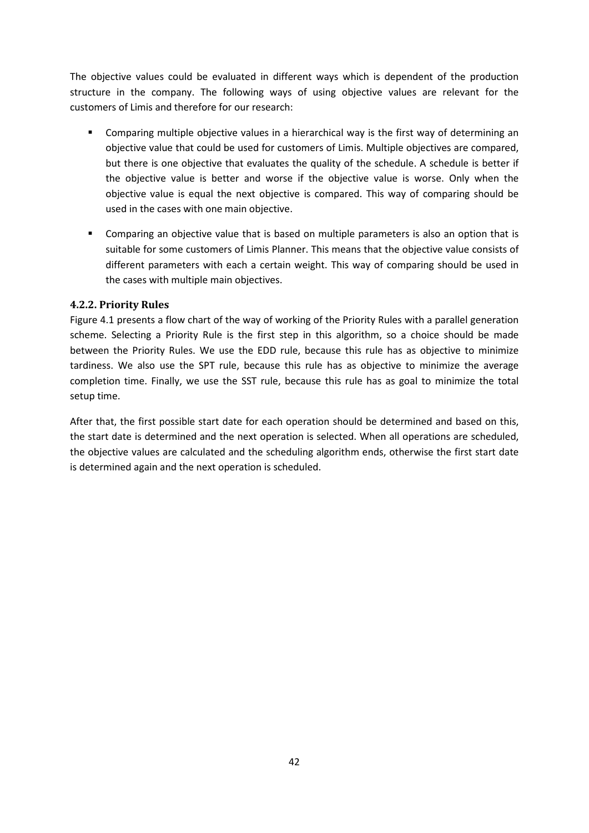The objective values could be evaluated in different ways which is dependent of the production structure in the company. The following ways of using objective values are relevant for the customers of Limis and therefore for our research:

- Comparing multiple objective values in a hierarchical way is the first way of determining an objective value that could be used for customers of Limis. Multiple objectives are compared, but there is one objective that evaluates the quality of the schedule. A schedule is better if the objective value is better and worse if the objective value is worse. Only when the objective value is equal the next objective is compared. This way of comparing should be used in the cases with one main objective.
- Comparing an objective value that is based on multiple parameters is also an option that is suitable for some customers of Limis Planner. This means that the objective value consists of different parameters with each a certain weight. This way of comparing should be used in the cases with multiple main objectives.

### **4.2.2. Priority Rules**

Figure 4.1 presents a flow chart of the way of working of the Priority Rules with a parallel generation scheme. Selecting a Priority Rule is the first step in this algorithm, so a choice should be made between the Priority Rules. We use the EDD rule, because this rule has as objective to minimize tardiness. We also use the SPT rule, because this rule has as objective to minimize the average completion time. Finally, we use the SST rule, because this rule has as goal to minimize the total setup time.

After that, the first possible start date for each operation should be determined and based on this, the start date is determined and the next operation is selected. When all operations are scheduled, the objective values are calculated and the scheduling algorithm ends, otherwise the first start date is determined again and the next operation is scheduled.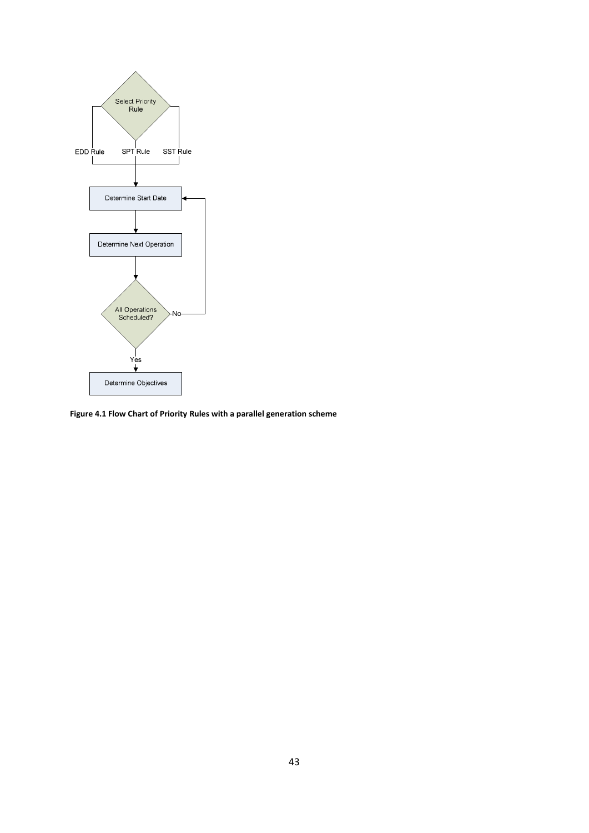

**Figure 4.1 Flow Chart of Priority Rules with a parallel generation scheme**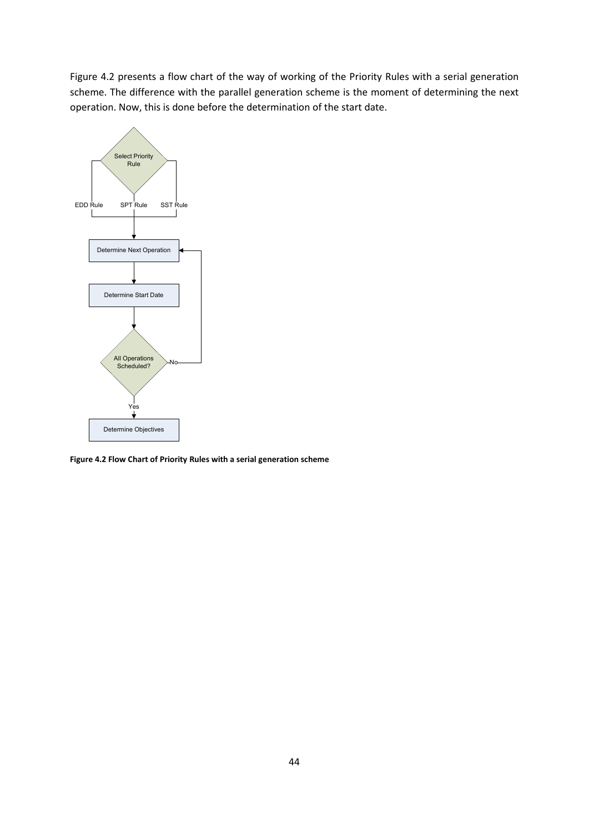Figure 4.2 presents a flow chart of the way of working of the Priority Rules with a serial generation scheme. The difference with the parallel generation scheme is the moment of determining the next operation. Now, this is done before the determination of the start date.



**Figure 4.2 Flow Chart of Priority Rules with a serial generation scheme**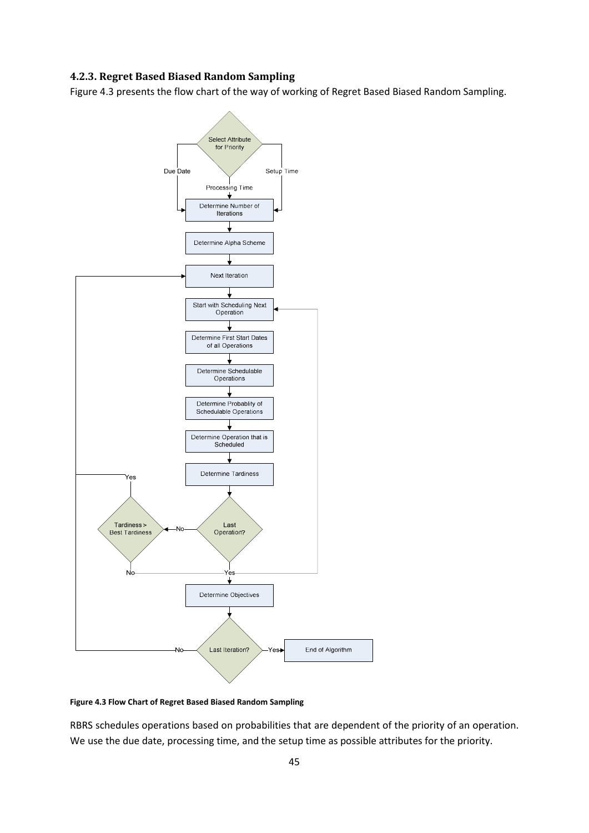#### **4.2.3. Regret Based Biased Random Sampling**

Figure 4.3 presents the flow chart of the way of working of Regret Based Biased Random Sampling.



#### **Figure 4.3 Flow Chart of Regret Based Biased Random Sampling**

RBRS schedules operations based on probabilities that are dependent of the priority of an operation. We use the due date, processing time, and the setup time as possible attributes for the priority.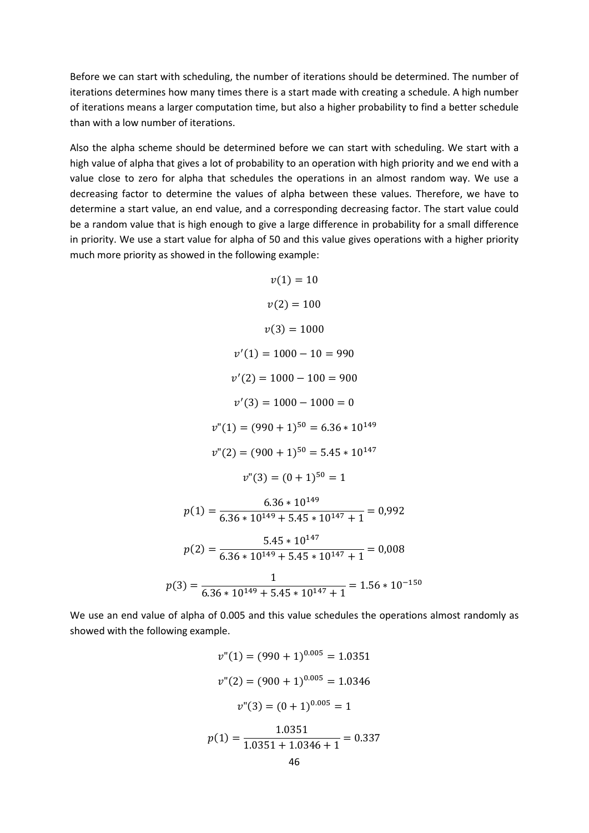Before we can start with scheduling, the number of iterations should be determined. The number of iterations determines how many times there is a start made with creating a schedule. A high number of iterations means a larger computation time, but also a higher probability to find a better schedule than with a low number of iterations.

Also the alpha scheme should be determined before we can start with scheduling. We start with a high value of alpha that gives a lot of probability to an operation with high priority and we end with a value close to zero for alpha that schedules the operations in an almost random way. We use a decreasing factor to determine the values of alpha between these values. Therefore, we have to determine a start value, an end value, and a corresponding decreasing factor. The start value could be a random value that is high enough to give a large difference in probability for a small difference in priority. We use a start value for alpha of 50 and this value gives operations with a higher priority much more priority as showed in the following example:

$$
v(1) = 10
$$
  
\n
$$
v(2) = 100
$$
  
\n
$$
v(3) = 1000
$$
  
\n
$$
v'(1) = 1000 - 10 = 990
$$
  
\n
$$
v'(2) = 1000 - 100 = 900
$$
  
\n
$$
v'(3) = 1000 - 1000 = 0
$$
  
\n
$$
v''(1) = (990 + 1)^{50} = 6.36 * 10^{149}
$$
  
\n
$$
v''(2) = (900 + 1)^{50} = 5.45 * 10^{147}
$$
  
\n
$$
v''(3) = (0 + 1)^{50} = 1
$$
  
\n
$$
p(1) = \frac{6.36 * 10^{149}}{6.36 * 10^{149} + 5.45 * 10^{147} + 1} = 0,992
$$
  
\n
$$
p(2) = \frac{5.45 * 10^{147}}{6.36 * 10^{149} + 5.45 * 10^{147} + 1} = 0,008
$$
  
\n
$$
p(3) = \frac{1}{6.36 * 10^{149} + 5.45 * 10^{147} + 1} = 1.56 * 10^{-150}
$$

We use an end value of alpha of 0.005 and this value schedules the operations almost randomly as showed with the following example.

$$
v''(1) = (990 + 1)^{0.005} = 1.0351
$$

$$
v''(2) = (900 + 1)^{0.005} = 1.0346
$$

$$
v''(3) = (0 + 1)^{0.005} = 1
$$

$$
p(1) = \frac{1.0351}{1.0351 + 1.0346 + 1} = 0.337
$$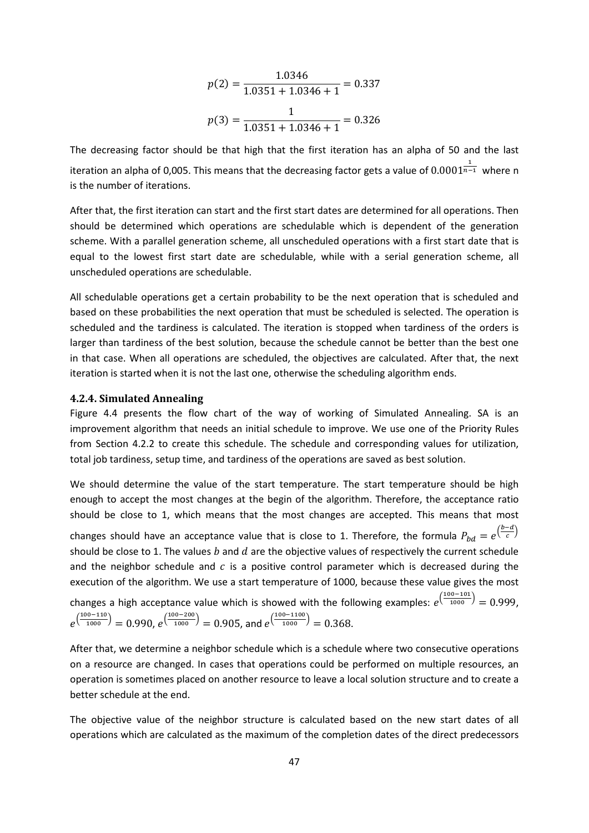$$
p(2) = \frac{1.0346}{1.0351 + 1.0346 + 1} = 0.337
$$

$$
p(3) = \frac{1}{1.0351 + 1.0346 + 1} = 0.326
$$

The decreasing factor should be that high that the first iteration has an alpha of 50 and the last iteration an alpha of 0,005. This means that the decreasing factor gets a value of  $0.0001^{\frac{1}{n-1}}$  where n is the number of iterations.

After that, the first iteration can start and the first start dates are determined for all operations. Then should be determined which operations are schedulable which is dependent of the generation scheme. With a parallel generation scheme, all unscheduled operations with a first start date that is equal to the lowest first start date are schedulable, while with a serial generation scheme, all unscheduled operations are schedulable.

All schedulable operations get a certain probability to be the next operation that is scheduled and based on these probabilities the next operation that must be scheduled is selected. The operation is scheduled and the tardiness is calculated. The iteration is stopped when tardiness of the orders is larger than tardiness of the best solution, because the schedule cannot be better than the best one in that case. When all operations are scheduled, the objectives are calculated. After that, the next iteration is started when it is not the last one, otherwise the scheduling algorithm ends.

#### **4.2.4. Simulated Annealing**

Figure 4.4 presents the flow chart of the way of working of Simulated Annealing. SA is an improvement algorithm that needs an initial schedule to improve. We use one of the Priority Rules from Section 4.2.2 to create this schedule. The schedule and corresponding values for utilization, total job tardiness, setup time, and tardiness of the operations are saved as best solution.

We should determine the value of the start temperature. The start temperature should be high enough to accept the most changes at the begin of the algorithm. Therefore, the acceptance ratio should be close to 1, which means that the most changes are accepted. This means that most changes should have an acceptance value that is close to 1. Therefore, the formula  $P_{bd} = e^{\left(\frac{b-d}{c}\right)}$  $\frac{1}{c}$ should be close to 1. The values  $b$  and  $d$  are the objective values of respectively the current schedule and the neighbor schedule and  $\ c$  is a positive control parameter which is decreased during the execution of the algorithm. We use a start temperature of 1000, because these value gives the most changes a high acceptance value which is showed with the following examples:  $e^{(\frac{100-101}{1000})} = 0.999$ ,

$$
e^{\left(\frac{100-110}{1000}\right)} = 0.990
$$
,  $e^{\left(\frac{100-200}{1000}\right)} = 0.905$ , and  $e^{\left(\frac{100-1100}{1000}\right)} = 0.368$ .

After that, we determine a neighbor schedule which is a schedule where two consecutive operations on a resource are changed. In cases that operations could be performed on multiple resources, an operation is sometimes placed on another resource to leave a local solution structure and to create a better schedule at the end.

The objective value of the neighbor structure is calculated based on the new start dates of all operations which are calculated as the maximum of the completion dates of the direct predecessors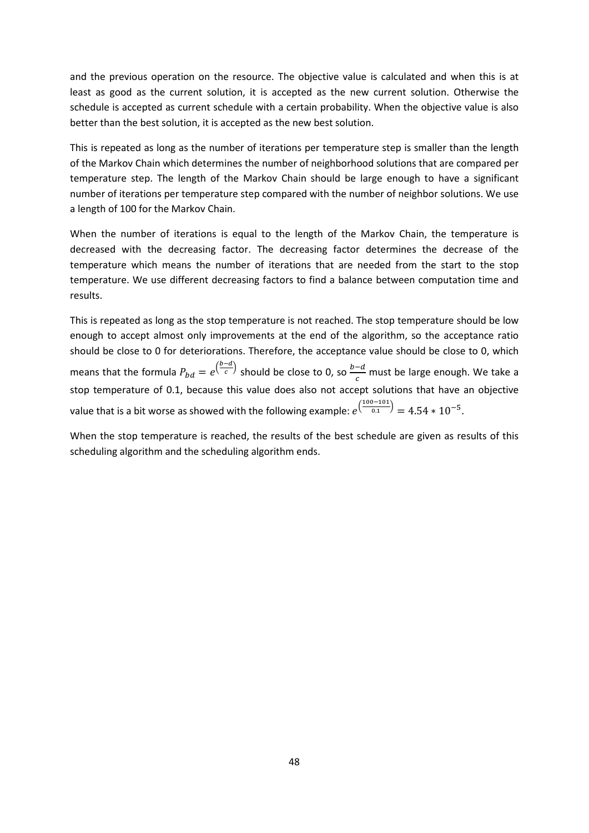and the previous operation on the resource. The objective value is calculated and when this is at least as good as the current solution, it is accepted as the new current solution. Otherwise the schedule is accepted as current schedule with a certain probability. When the objective value is also better than the best solution, it is accepted as the new best solution.

This is repeated as long as the number of iterations per temperature step is smaller than the length of the Markov Chain which determines the number of neighborhood solutions that are compared per temperature step. The length of the Markov Chain should be large enough to have a significant number of iterations per temperature step compared with the number of neighbor solutions. We use a length of 100 for the Markov Chain.

When the number of iterations is equal to the length of the Markov Chain, the temperature is decreased with the decreasing factor. The decreasing factor determines the decrease of the temperature which means the number of iterations that are needed from the start to the stop temperature. We use different decreasing factors to find a balance between computation time and results.

This is repeated as long as the stop temperature is not reached. The stop temperature should be low enough to accept almost only improvements at the end of the algorithm, so the acceptance ratio should be close to 0 for deteriorations. Therefore, the acceptance value should be close to 0, which means that the formula  $P_{bd} = e^{\left(\frac{b-d}{c}\right)}$  $\frac{c}{c}$ ) should be close to 0, so  $\frac{b-d}{c}$  must be large enough. We take a stop temperature of 0.1, because this value does also not accept solutions that have an objective value that is a bit worse as showed with the following example:  $e^{\left(\frac{100-101}{0.1}\right)} = 4.54 * 10^{-5}$ .

When the stop temperature is reached, the results of the best schedule are given as results of this scheduling algorithm and the scheduling algorithm ends.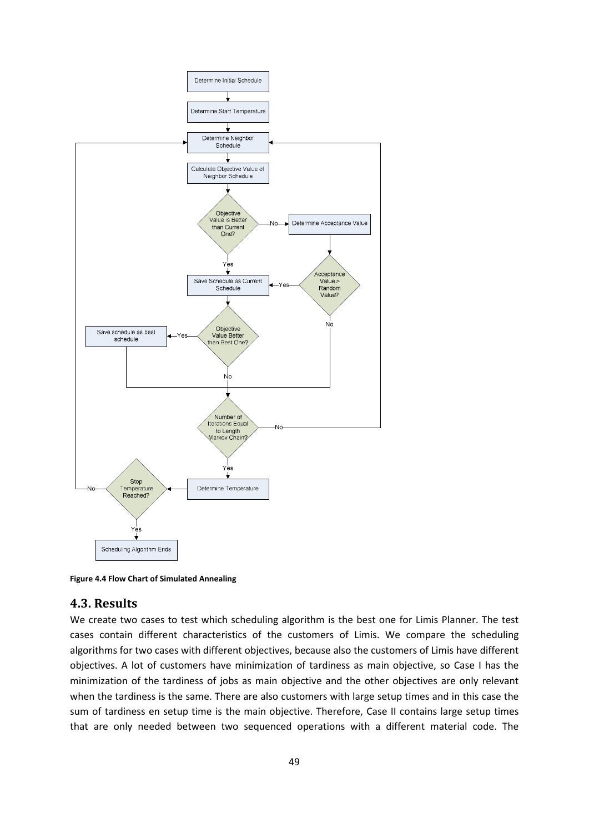

**Figure 4.4 Flow Chart of Simulated Annealing** 

### **4.3. Results**

We create two cases to test which scheduling algorithm is the best one for Limis Planner. The test cases contain different characteristics of the customers of Limis. We compare the scheduling algorithms for two cases with different objectives, because also the customers of Limis have different objectives. A lot of customers have minimization of tardiness as main objective, so Case I has the minimization of the tardiness of jobs as main objective and the other objectives are only relevant when the tardiness is the same. There are also customers with large setup times and in this case the sum of tardiness en setup time is the main objective. Therefore, Case II contains large setup times that are only needed between two sequenced operations with a different material code. The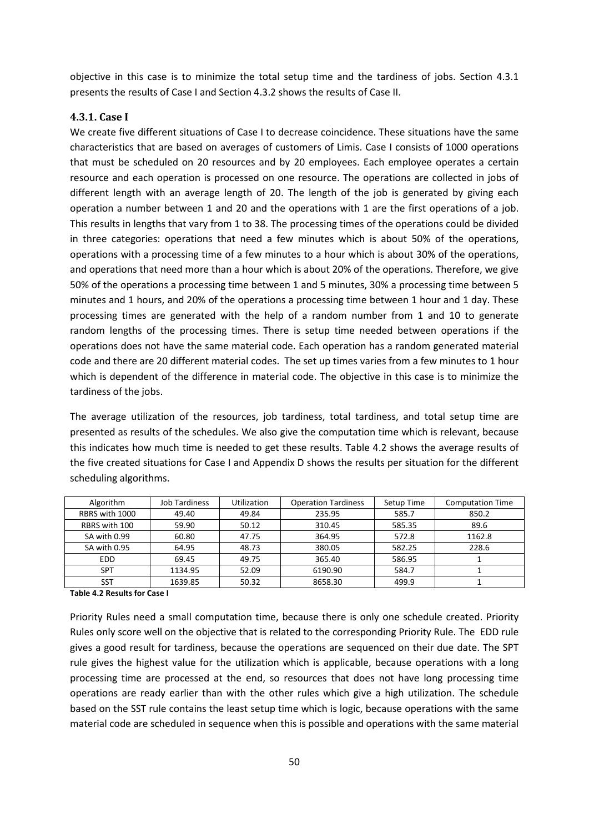objective in this case is to minimize the total setup time and the tardiness of jobs. Section 4.3.1 presents the results of Case I and Section 4.3.2 shows the results of Case II.

#### **4.3.1. Case I**

We create five different situations of Case I to decrease coincidence. These situations have the same characteristics that are based on averages of customers of Limis. Case I consists of 1000 operations that must be scheduled on 20 resources and by 20 employees. Each employee operates a certain resource and each operation is processed on one resource. The operations are collected in jobs of different length with an average length of 20. The length of the job is generated by giving each operation a number between 1 and 20 and the operations with 1 are the first operations of a job. This results in lengths that vary from 1 to 38. The processing times of the operations could be divided in three categories: operations that need a few minutes which is about 50% of the operations, operations with a processing time of a few minutes to a hour which is about 30% of the operations, and operations that need more than a hour which is about 20% of the operations. Therefore, we give 50% of the operations a processing time between 1 and 5 minutes, 30% a processing time between 5 minutes and 1 hours, and 20% of the operations a processing time between 1 hour and 1 day. These processing times are generated with the help of a random number from 1 and 10 to generate random lengths of the processing times. There is setup time needed between operations if the operations does not have the same material code. Each operation has a random generated material code and there are 20 different material codes. The set up times varies from a few minutes to 1 hour which is dependent of the difference in material code. The objective in this case is to minimize the tardiness of the jobs.

The average utilization of the resources, job tardiness, total tardiness, and total setup time are presented as results of the schedules. We also give the computation time which is relevant, because this indicates how much time is needed to get these results. Table 4.2 shows the average results of the five created situations for Case I and Appendix D shows the results per situation for the different scheduling algorithms.

| Algorithm      | <b>Job Tardiness</b> | Utilization | <b>Operation Tardiness</b> | Setup Time | <b>Computation Time</b> |
|----------------|----------------------|-------------|----------------------------|------------|-------------------------|
| RBRS with 1000 | 49.40                | 49.84       | 235.95                     | 585.7      | 850.2                   |
| RBRS with 100  | 59.90                | 50.12       | 310.45                     | 585.35     | 89.6                    |
| SA with 0.99   | 60.80                | 47.75       | 364.95                     | 572.8      | 1162.8                  |
| SA with 0.95   | 64.95                | 48.73       | 380.05                     | 582.25     | 228.6                   |
| <b>EDD</b>     | 69.45                | 49.75       | 365.40                     | 586.95     |                         |
| <b>SPT</b>     | 1134.95              | 52.09       | 6190.90                    | 584.7      |                         |
| SST            | 1639.85              | 50.32       | 8658.30                    | 499.9      |                         |

**Table 4.2 Results for Case I** 

Priority Rules need a small computation time, because there is only one schedule created. Priority Rules only score well on the objective that is related to the corresponding Priority Rule. The EDD rule gives a good result for tardiness, because the operations are sequenced on their due date. The SPT rule gives the highest value for the utilization which is applicable, because operations with a long processing time are processed at the end, so resources that does not have long processing time operations are ready earlier than with the other rules which give a high utilization. The schedule based on the SST rule contains the least setup time which is logic, because operations with the same material code are scheduled in sequence when this is possible and operations with the same material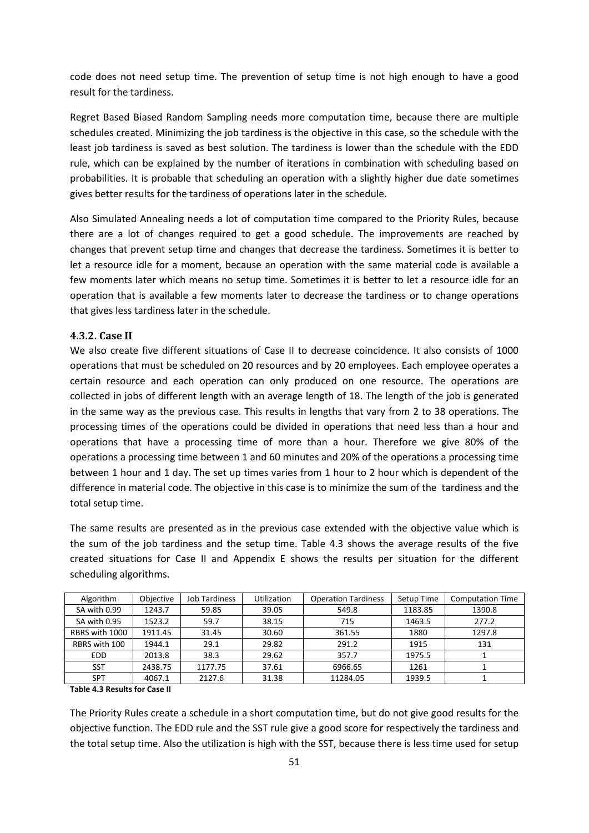code does not need setup time. The prevention of setup time is not high enough to have a good result for the tardiness.

Regret Based Biased Random Sampling needs more computation time, because there are multiple schedules created. Minimizing the job tardiness is the objective in this case, so the schedule with the least job tardiness is saved as best solution. The tardiness is lower than the schedule with the EDD rule, which can be explained by the number of iterations in combination with scheduling based on probabilities. It is probable that scheduling an operation with a slightly higher due date sometimes gives better results for the tardiness of operations later in the schedule.

Also Simulated Annealing needs a lot of computation time compared to the Priority Rules, because there are a lot of changes required to get a good schedule. The improvements are reached by changes that prevent setup time and changes that decrease the tardiness. Sometimes it is better to let a resource idle for a moment, because an operation with the same material code is available a few moments later which means no setup time. Sometimes it is better to let a resource idle for an operation that is available a few moments later to decrease the tardiness or to change operations that gives less tardiness later in the schedule.

#### **4.3.2. Case II**

We also create five different situations of Case II to decrease coincidence. It also consists of 1000 operations that must be scheduled on 20 resources and by 20 employees. Each employee operates a certain resource and each operation can only produced on one resource. The operations are collected in jobs of different length with an average length of 18. The length of the job is generated in the same way as the previous case. This results in lengths that vary from 2 to 38 operations. The processing times of the operations could be divided in operations that need less than a hour and operations that have a processing time of more than a hour. Therefore we give 80% of the operations a processing time between 1 and 60 minutes and 20% of the operations a processing time between 1 hour and 1 day. The set up times varies from 1 hour to 2 hour which is dependent of the difference in material code. The objective in this case is to minimize the sum of the tardiness and the total setup time.

The same results are presented as in the previous case extended with the objective value which is the sum of the job tardiness and the setup time. Table 4.3 shows the average results of the five created situations for Case II and Appendix E shows the results per situation for the different scheduling algorithms.

| Algorithm      | Objective | <b>Job Tardiness</b> | <b>Utilization</b> | <b>Operation Tardiness</b> | Setup Time | <b>Computation Time</b> |
|----------------|-----------|----------------------|--------------------|----------------------------|------------|-------------------------|
| SA with 0.99   | 1243.7    | 59.85                | 39.05              | 549.8                      | 1183.85    | 1390.8                  |
| SA with 0.95   | 1523.2    | 59.7                 | 38.15              | 715                        | 1463.5     | 277.2                   |
| RBRS with 1000 | 1911.45   | 31.45                | 30.60              | 361.55                     | 1880       | 1297.8                  |
| RBRS with 100  | 1944.1    | 29.1                 | 29.82              | 291.2                      | 1915       | 131                     |
| <b>EDD</b>     | 2013.8    | 38.3                 | 29.62              | 357.7                      | 1975.5     |                         |
| <b>SST</b>     | 2438.75   | 1177.75              | 37.61              | 6966.65                    | 1261       |                         |
| <b>SPT</b>     | 4067.1    | 2127.6               | 31.38              | 11284.05                   | 1939.5     |                         |

**Table 4.3 Results for Case II** 

The Priority Rules create a schedule in a short computation time, but do not give good results for the objective function. The EDD rule and the SST rule give a good score for respectively the tardiness and the total setup time. Also the utilization is high with the SST, because there is less time used for setup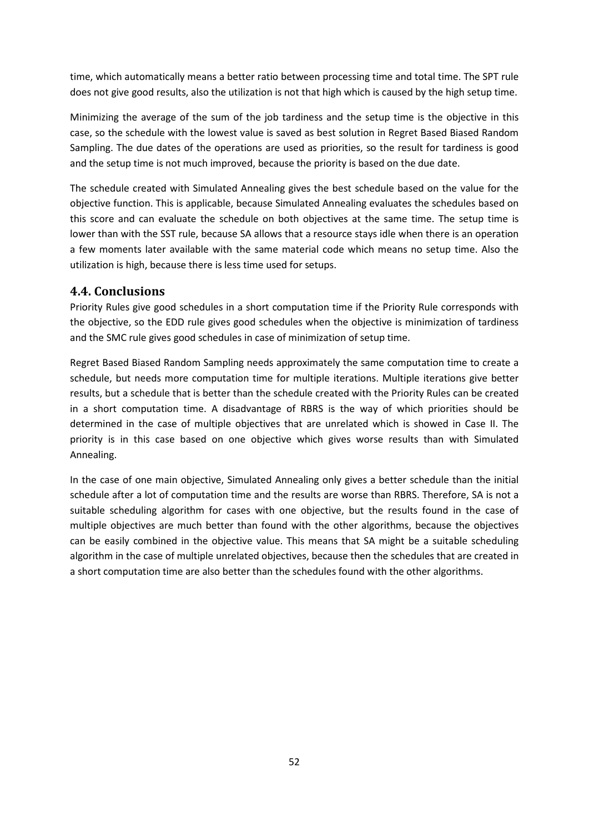time, which automatically means a better ratio between processing time and total time. The SPT rule does not give good results, also the utilization is not that high which is caused by the high setup time.

Minimizing the average of the sum of the job tardiness and the setup time is the objective in this case, so the schedule with the lowest value is saved as best solution in Regret Based Biased Random Sampling. The due dates of the operations are used as priorities, so the result for tardiness is good and the setup time is not much improved, because the priority is based on the due date.

The schedule created with Simulated Annealing gives the best schedule based on the value for the objective function. This is applicable, because Simulated Annealing evaluates the schedules based on this score and can evaluate the schedule on both objectives at the same time. The setup time is lower than with the SST rule, because SA allows that a resource stays idle when there is an operation a few moments later available with the same material code which means no setup time. Also the utilization is high, because there is less time used for setups.

### **4.4. Conclusions**

Priority Rules give good schedules in a short computation time if the Priority Rule corresponds with the objective, so the EDD rule gives good schedules when the objective is minimization of tardiness and the SMC rule gives good schedules in case of minimization of setup time.

Regret Based Biased Random Sampling needs approximately the same computation time to create a schedule, but needs more computation time for multiple iterations. Multiple iterations give better results, but a schedule that is better than the schedule created with the Priority Rules can be created in a short computation time. A disadvantage of RBRS is the way of which priorities should be determined in the case of multiple objectives that are unrelated which is showed in Case II. The priority is in this case based on one objective which gives worse results than with Simulated Annealing.

In the case of one main objective, Simulated Annealing only gives a better schedule than the initial schedule after a lot of computation time and the results are worse than RBRS. Therefore, SA is not a suitable scheduling algorithm for cases with one objective, but the results found in the case of multiple objectives are much better than found with the other algorithms, because the objectives can be easily combined in the objective value. This means that SA might be a suitable scheduling algorithm in the case of multiple unrelated objectives, because then the schedules that are created in a short computation time are also better than the schedules found with the other algorithms.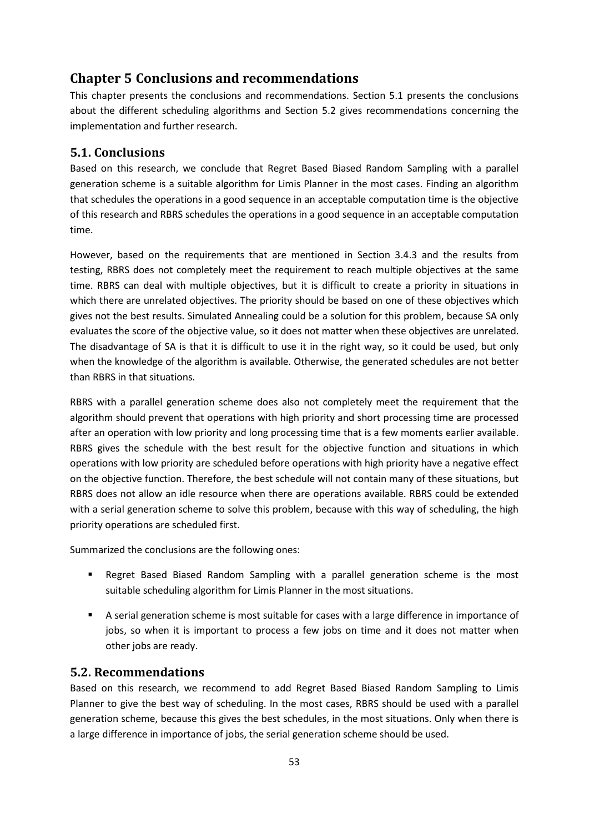## **Chapter 5 Conclusions and recommendations**

This chapter presents the conclusions and recommendations. Section 5.1 presents the conclusions about the different scheduling algorithms and Section 5.2 gives recommendations concerning the implementation and further research.

### **5.1. Conclusions**

Based on this research, we conclude that Regret Based Biased Random Sampling with a parallel generation scheme is a suitable algorithm for Limis Planner in the most cases. Finding an algorithm that schedules the operations in a good sequence in an acceptable computation time is the objective of this research and RBRS schedules the operations in a good sequence in an acceptable computation time.

However, based on the requirements that are mentioned in Section 3.4.3 and the results from testing, RBRS does not completely meet the requirement to reach multiple objectives at the same time. RBRS can deal with multiple objectives, but it is difficult to create a priority in situations in which there are unrelated objectives. The priority should be based on one of these objectives which gives not the best results. Simulated Annealing could be a solution for this problem, because SA only evaluates the score of the objective value, so it does not matter when these objectives are unrelated. The disadvantage of SA is that it is difficult to use it in the right way, so it could be used, but only when the knowledge of the algorithm is available. Otherwise, the generated schedules are not better than RBRS in that situations.

RBRS with a parallel generation scheme does also not completely meet the requirement that the algorithm should prevent that operations with high priority and short processing time are processed after an operation with low priority and long processing time that is a few moments earlier available. RBRS gives the schedule with the best result for the objective function and situations in which operations with low priority are scheduled before operations with high priority have a negative effect on the objective function. Therefore, the best schedule will not contain many of these situations, but RBRS does not allow an idle resource when there are operations available. RBRS could be extended with a serial generation scheme to solve this problem, because with this way of scheduling, the high priority operations are scheduled first.

Summarized the conclusions are the following ones:

- Regret Based Biased Random Sampling with a parallel generation scheme is the most suitable scheduling algorithm for Limis Planner in the most situations.
- A serial generation scheme is most suitable for cases with a large difference in importance of jobs, so when it is important to process a few jobs on time and it does not matter when other jobs are ready.

### **5.2. Recommendations**

Based on this research, we recommend to add Regret Based Biased Random Sampling to Limis Planner to give the best way of scheduling. In the most cases, RBRS should be used with a parallel generation scheme, because this gives the best schedules, in the most situations. Only when there is a large difference in importance of jobs, the serial generation scheme should be used.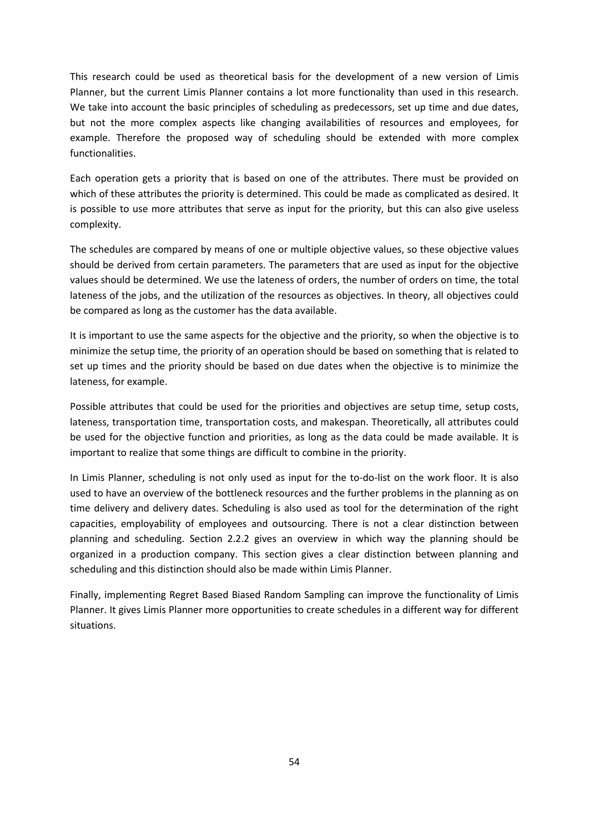This research could be used as theoretical basis for the development of a new version of Limis Planner, but the current Limis Planner contains a lot more functionality than used in this research. We take into account the basic principles of scheduling as predecessors, set up time and due dates, but not the more complex aspects like changing availabilities of resources and employees, for example. Therefore the proposed way of scheduling should be extended with more complex functionalities.

Each operation gets a priority that is based on one of the attributes. There must be provided on which of these attributes the priority is determined. This could be made as complicated as desired. It is possible to use more attributes that serve as input for the priority, but this can also give useless complexity.

The schedules are compared by means of one or multiple objective values, so these objective values should be derived from certain parameters. The parameters that are used as input for the objective values should be determined. We use the lateness of orders, the number of orders on time, the total lateness of the jobs, and the utilization of the resources as objectives. In theory, all objectives could be compared as long as the customer has the data available.

It is important to use the same aspects for the objective and the priority, so when the objective is to minimize the setup time, the priority of an operation should be based on something that is related to set up times and the priority should be based on due dates when the objective is to minimize the lateness, for example.

Possible attributes that could be used for the priorities and objectives are setup time, setup costs, lateness, transportation time, transportation costs, and makespan. Theoretically, all attributes could be used for the objective function and priorities, as long as the data could be made available. It is important to realize that some things are difficult to combine in the priority.

In Limis Planner, scheduling is not only used as input for the to-do-list on the work floor. It is also used to have an overview of the bottleneck resources and the further problems in the planning as on time delivery and delivery dates. Scheduling is also used as tool for the determination of the right capacities, employability of employees and outsourcing. There is not a clear distinction between planning and scheduling. Section 2.2.2 gives an overview in which way the planning should be organized in a production company. This section gives a clear distinction between planning and scheduling and this distinction should also be made within Limis Planner.

Finally, implementing Regret Based Biased Random Sampling can improve the functionality of Limis Planner. It gives Limis Planner more opportunities to create schedules in a different way for different situations.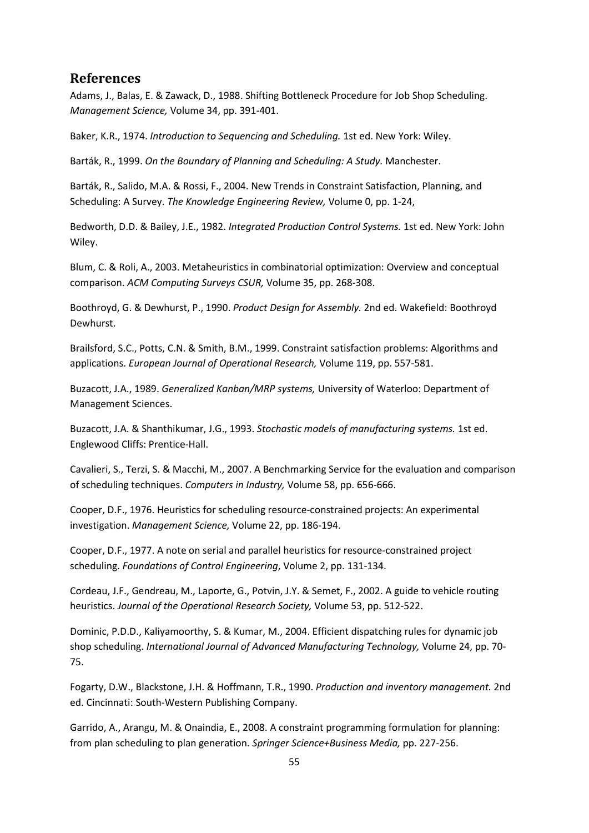### **References**

Adams, J., Balas, E. & Zawack, D., 1988. Shifting Bottleneck Procedure for Job Shop Scheduling. *Management Science,* Volume 34, pp. 391-401.

Baker, K.R., 1974. *Introduction to Sequencing and Scheduling.* 1st ed. New York: Wiley.

Barták, R., 1999. *On the Boundary of Planning and Scheduling: A Study.* Manchester.

Barták, R., Salido, M.A. & Rossi, F., 2004. New Trends in Constraint Satisfaction, Planning, and Scheduling: A Survey. *The Knowledge Engineering Review,* Volume 0, pp. 1-24,

Bedworth, D.D. & Bailey, J.E., 1982. *Integrated Production Control Systems.* 1st ed. New York: John Wiley.

Blum, C. & Roli, A., 2003. Metaheuristics in combinatorial optimization: Overview and conceptual comparison. *ACM Computing Surveys CSUR,* Volume 35, pp. 268-308.

Boothroyd, G. & Dewhurst, P., 1990. *Product Design for Assembly.* 2nd ed. Wakefield: Boothroyd Dewhurst.

Brailsford, S.C., Potts, C.N. & Smith, B.M., 1999. Constraint satisfaction problems: Algorithms and applications. *European Journal of Operational Research,* Volume 119, pp. 557-581.

Buzacott, J.A., 1989. *Generalized Kanban/MRP systems,* University of Waterloo: Department of Management Sciences.

Buzacott, J.A. & Shanthikumar, J.G., 1993. *Stochastic models of manufacturing systems.* 1st ed. Englewood Cliffs: Prentice-Hall.

Cavalieri, S., Terzi, S. & Macchi, M., 2007. A Benchmarking Service for the evaluation and comparison of scheduling techniques. *Computers in Industry,* Volume 58, pp. 656-666.

Cooper, D.F., 1976. Heuristics for scheduling resource-constrained projects: An experimental investigation. *Management Science,* Volume 22, pp. 186-194.

Cooper, D.F., 1977. A note on serial and parallel heuristics for resource-constrained project scheduling. *Foundations of Control Engineering*, Volume 2, pp. 131-134.

Cordeau, J.F., Gendreau, M., Laporte, G., Potvin, J.Y. & Semet, F., 2002. A guide to vehicle routing heuristics. *Journal of the Operational Research Society,* Volume 53, pp. 512-522.

Dominic, P.D.D., Kaliyamoorthy, S. & Kumar, M., 2004. Efficient dispatching rules for dynamic job shop scheduling. *International Journal of Advanced Manufacturing Technology,* Volume 24, pp. 70- 75.

Fogarty, D.W., Blackstone, J.H. & Hoffmann, T.R., 1990. *Production and inventory management.* 2nd ed. Cincinnati: South-Western Publishing Company.

Garrido, A., Arangu, M. & Onaindia, E., 2008. A constraint programming formulation for planning: from plan scheduling to plan generation. *Springer Science+Business Media,* pp. 227-256.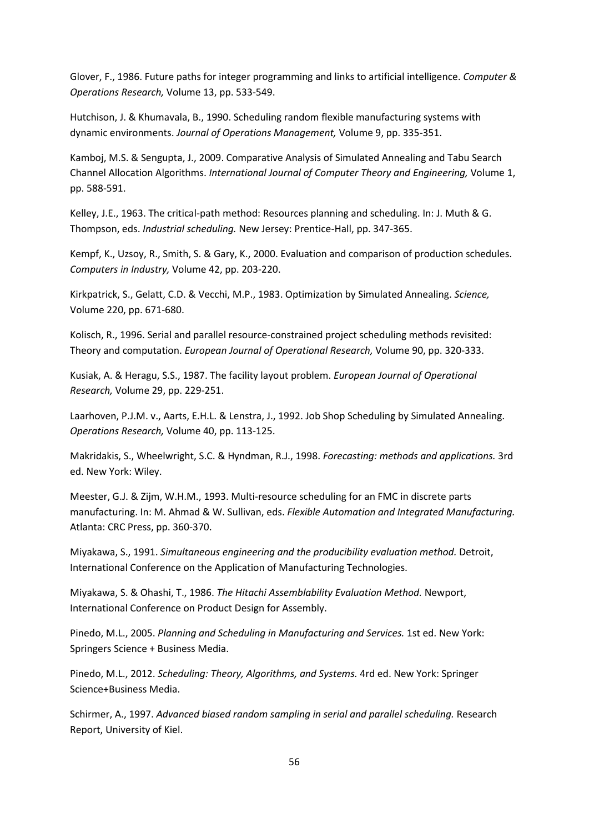Glover, F., 1986. Future paths for integer programming and links to artificial intelligence. *Computer & Operations Research,* Volume 13, pp. 533-549.

Hutchison, J. & Khumavala, B., 1990. Scheduling random flexible manufacturing systems with dynamic environments. *Journal of Operations Management,* Volume 9, pp. 335-351.

Kamboj, M.S. & Sengupta, J., 2009. Comparative Analysis of Simulated Annealing and Tabu Search Channel Allocation Algorithms. *International Journal of Computer Theory and Engineering,* Volume 1, pp. 588-591.

Kelley, J.E., 1963. The critical-path method: Resources planning and scheduling. In: J. Muth & G. Thompson, eds. *Industrial scheduling.* New Jersey: Prentice-Hall, pp. 347-365.

Kempf, K., Uzsoy, R., Smith, S. & Gary, K., 2000. Evaluation and comparison of production schedules. *Computers in Industry,* Volume 42, pp. 203-220.

Kirkpatrick, S., Gelatt, C.D. & Vecchi, M.P., 1983. Optimization by Simulated Annealing. *Science,*  Volume 220, pp. 671-680.

Kolisch, R., 1996. Serial and parallel resource-constrained project scheduling methods revisited: Theory and computation. *European Journal of Operational Research,* Volume 90, pp. 320-333.

Kusiak, A. & Heragu, S.S., 1987. The facility layout problem. *European Journal of Operational Research,* Volume 29, pp. 229-251.

Laarhoven, P.J.M. v., Aarts, E.H.L. & Lenstra, J., 1992. Job Shop Scheduling by Simulated Annealing. *Operations Research,* Volume 40, pp. 113-125.

Makridakis, S., Wheelwright, S.C. & Hyndman, R.J., 1998. *Forecasting: methods and applications.* 3rd ed. New York: Wiley.

Meester, G.J. & Zijm, W.H.M., 1993. Multi-resource scheduling for an FMC in discrete parts manufacturing. In: M. Ahmad & W. Sullivan, eds. *Flexible Automation and Integrated Manufacturing.*  Atlanta: CRC Press, pp. 360-370.

Miyakawa, S., 1991. *Simultaneous engineering and the producibility evaluation method.* Detroit, International Conference on the Application of Manufacturing Technologies.

Miyakawa, S. & Ohashi, T., 1986. *The Hitachi Assemblability Evaluation Method.* Newport, International Conference on Product Design for Assembly.

Pinedo, M.L., 2005. *Planning and Scheduling in Manufacturing and Services.* 1st ed. New York: Springers Science + Business Media.

Pinedo, M.L., 2012. *Scheduling: Theory, Algorithms, and Systems.* 4rd ed. New York: Springer Science+Business Media.

Schirmer, A., 1997. *Advanced biased random sampling in serial and parallel scheduling.* Research Report, University of Kiel.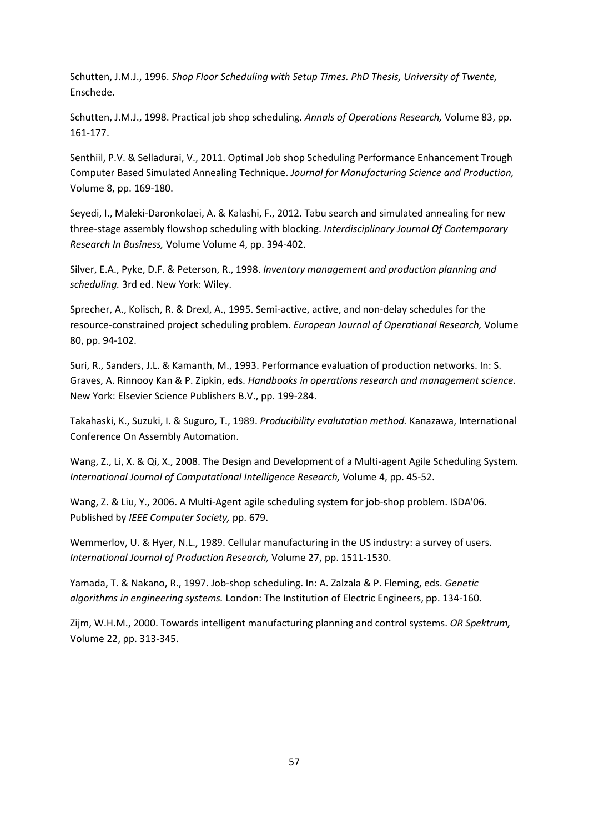Schutten, J.M.J., 1996. *Shop Floor Scheduling with Setup Times. PhD Thesis, University of Twente,*  Enschede.

Schutten, J.M.J., 1998. Practical job shop scheduling. *Annals of Operations Research,* Volume 83, pp. 161-177.

Senthiil, P.V. & Selladurai, V., 2011. Optimal Job shop Scheduling Performance Enhancement Trough Computer Based Simulated Annealing Technique. *Journal for Manufacturing Science and Production,*  Volume 8, pp. 169-180.

Seyedi, I., Maleki-Daronkolaei, A. & Kalashi, F., 2012. Tabu search and simulated annealing for new three-stage assembly flowshop scheduling with blocking. *Interdisciplinary Journal Of Contemporary Research In Business,* Volume Volume 4, pp. 394-402.

Silver, E.A., Pyke, D.F. & Peterson, R., 1998. *Inventory management and production planning and scheduling.* 3rd ed. New York: Wiley.

Sprecher, A., Kolisch, R. & Drexl, A., 1995. Semi-active, active, and non-delay schedules for the resource-constrained project scheduling problem. *European Journal of Operational Research,* Volume 80, pp. 94-102.

Suri, R., Sanders, J.L. & Kamanth, M., 1993. Performance evaluation of production networks. In: S. Graves, A. Rinnooy Kan & P. Zipkin, eds. *Handbooks in operations research and management science.*  New York: Elsevier Science Publishers B.V., pp. 199-284.

Takahaski, K., Suzuki, I. & Suguro, T., 1989. *Producibility evalutation method.* Kanazawa, International Conference On Assembly Automation.

Wang, Z., Li, X. & Qi, X., 2008. The Design and Development of a Multi-agent Agile Scheduling System*. International Journal of Computational Intelligence Research,* Volume 4, pp. 45-52.

Wang, Z. & Liu, Y., 2006. A Multi-Agent agile scheduling system for job-shop problem. ISDA'06. Published by *IEEE Computer Society,* pp. 679.

Wemmerlov, U. & Hyer, N.L., 1989. Cellular manufacturing in the US industry: a survey of users. *International Journal of Production Research,* Volume 27, pp. 1511-1530.

Yamada, T. & Nakano, R., 1997. Job-shop scheduling. In: A. Zalzala & P. Fleming, eds. *Genetic algorithms in engineering systems.* London: The Institution of Electric Engineers, pp. 134-160.

Zijm, W.H.M., 2000. Towards intelligent manufacturing planning and control systems. *OR Spektrum,*  Volume 22, pp. 313-345.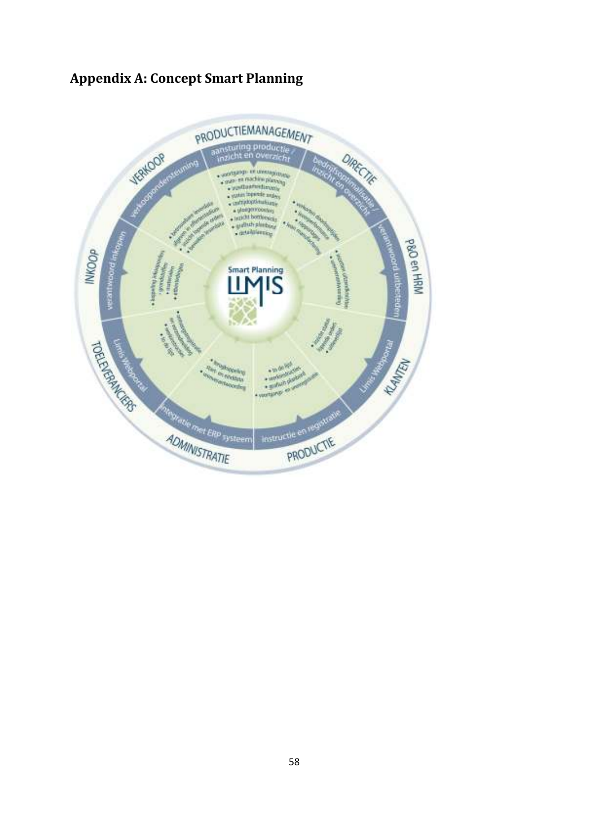# **Appendix A: Concept Smart Planning**

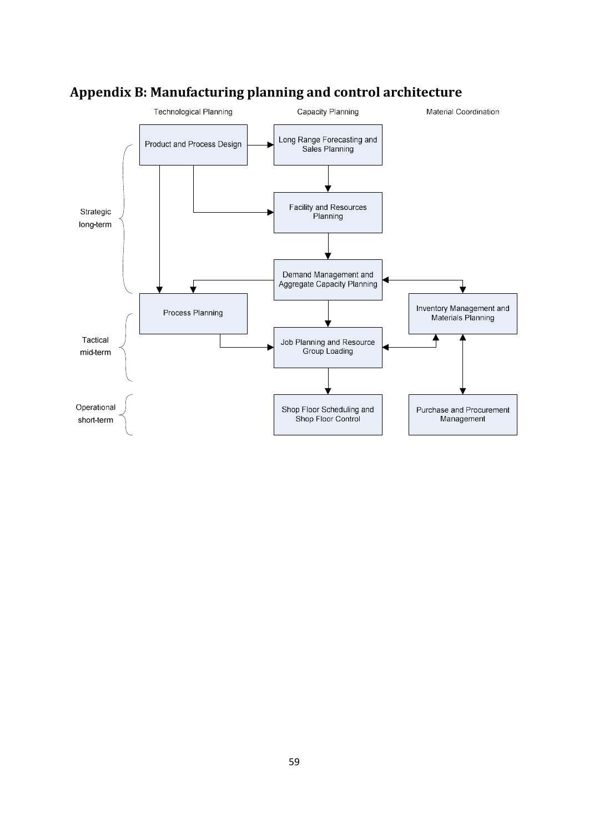

# **Appendix B: Manufacturing planning and control architecture**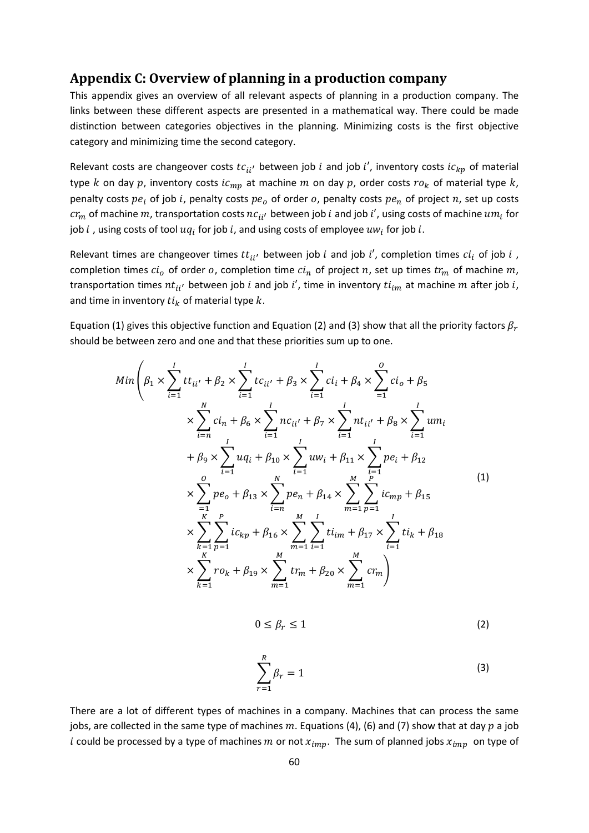### **Appendix C: Overview of planning in a production company**

This appendix gives an overview of all relevant aspects of planning in a production company. The links between these different aspects are presented in a mathematical way. There could be made distinction between categories objectives in the planning. Minimizing costs is the first objective category and minimizing time the second category.

Relevant costs are changeover costs  $tc_{ii'}$  between job  $i$  and job  $i'$ , inventory costs  $ic_{kp}$  of material type k on day p, inventory costs  $ic_{mp}$  at machine m on day p, order costs  $ro_k$  of material type k, penalty costs  $pe_i$  of job i, penalty costs  $pe_o$  of order  $o$ , penalty costs  $pe_n$  of project  $n$ , set up costs  $cr_m$  of machine  $m$ , transportation costs  $nc_{ii'}$  between job  $i$  and job  $i'$ , using costs of machine  $um_i$  for job  $i$  , using costs of tool  $uq_i$  for job  $i$ , and using costs of employee  $uw_i$  for job  $i$ .

Relevant times are changeover times  $tt_{ii'}$  between job  $i$  and job  $i'$ , completion times  $ci_i$  of job  $i$  , completion times  $c i_o$  of order  $o$ , completion time  $c i_n$  of project  $n$ , set up times  $t r_m$  of machine  $m$ , transportation times  $nt_{ii'}$  between job *i* and job *i'*, time in inventory  $ti_{im}$  at machine *m* after job *i*, and time in inventory  $t_{ik}$  of material type  $k$ .

Equation (1) gives this objective function and Equation (2) and (3) show that all the priority factors  $\beta_r$ should be between zero and one and that these priorities sum up to one.

$$
Min\left(\beta_{1} \times \sum_{i=1}^{I} tt_{ii'} + \beta_{2} \times \sum_{i=1}^{I} tc_{ii'} + \beta_{3} \times \sum_{i=1}^{I} ci_{i} + \beta_{4} \times \sum_{i=1}^{O} ci_{o} + \beta_{5} \times \sum_{i=1}^{N} ci_{n} + \beta_{6} \times \sum_{i=1}^{I} nc_{ii'} + \beta_{7} \times \sum_{i=1}^{I} nt_{ii'} + \beta_{8} \times \sum_{i=1}^{I} um_{i} \right. \\
\left. + \beta_{9} \times \sum_{i=1}^{I} uq_{i} + \beta_{10} \times \sum_{i=1}^{I} uw_{i} + \beta_{11} \times \sum_{i=1}^{I} pe_{i} + \beta_{12} \times \sum_{i=1}^{O} pe_{i} + \beta_{13} \times \sum_{i=n}^{N} pe_{n} + \beta_{14} \times \sum_{m=1}^{M} \sum_{p=1}^{I} ic_{mp} + \beta_{15} \times \sum_{k=1}^{K} \sum_{p=1}^{P} ic_{kp} + \beta_{16} \times \sum_{m=1}^{M} \sum_{i=1}^{I} ti_{im} + \beta_{17} \times \sum_{i=1}^{I} ti_{k} + \beta_{18} \times \sum_{k=1}^{K} ro_{k} + \beta_{19} \times \sum_{m=1}^{M} tr_{m} + \beta_{20} \times \sum_{m=1}^{M} cr_{m} \right)
$$
\n(1)

$$
0 \le \beta_r \le 1 \tag{2}
$$

$$
\sum_{r=1}^{R} \beta_r = 1 \tag{3}
$$

There are a lot of different types of machines in a company. Machines that can process the same jobs, are collected in the same type of machines  $m$ . Equations (4), (6) and (7) show that at day  $p$  a job i could be processed by a type of machines m or not  $x_{imn}$ . The sum of planned jobs  $x_{imn}$  on type of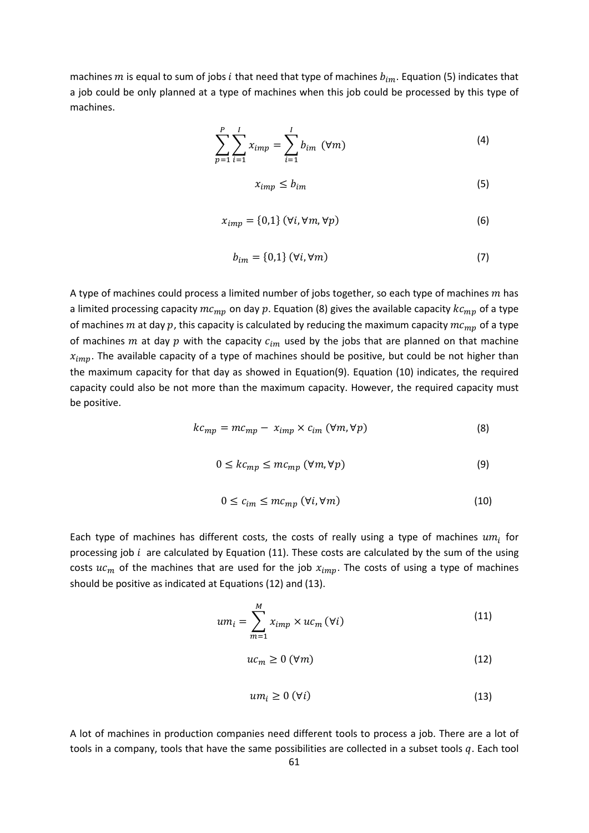machines *m* is equal to sum of jobs *i* that need that type of machines  $b_{im}$ . Equation (5) indicates that a job could be only planned at a type of machines when this job could be processed by this type of machines.

$$
\sum_{p=1}^{P} \sum_{i=1}^{I} x_{imp} = \sum_{i=1}^{I} b_{im} \, (\forall m)
$$
 (4)

$$
x_{imp} \le b_{im} \tag{5}
$$

$$
x_{imp} = \{0,1\} \, (\forall i, \forall m, \forall p) \tag{6}
$$

$$
b_{im} = \{0,1\} \, (\forall i, \forall m) \tag{7}
$$

A type of machines could process a limited number of jobs together, so each type of machines  $m$  has a limited processing capacity  $mc_{mn}$  on day p. Equation (8) gives the available capacity  $kc_{mn}$  of a type of machines  $m$  at day  $p$ , this capacity is calculated by reducing the maximum capacity  $mc_{mp}$  of a type of machines m at day p with the capacity  $c_{im}$  used by the jobs that are planned on that machine  $x_{imp}$ . The available capacity of a type of machines should be positive, but could be not higher than the maximum capacity for that day as showed in Equation(9). Equation (10) indicates, the required capacity could also be not more than the maximum capacity. However, the required capacity must be positive.

$$
kc_{mp} = mc_{mp} - x_{imp} \times c_{im} \ (\forall m, \forall p)
$$
 (8)

$$
0 \leq kc_{mp} \leq mc_{mp} \, (\forall m, \forall p) \tag{9}
$$

$$
0 \le c_{im} \le mc_{mp} \ (\forall i, \forall m)
$$
 (10)

Each type of machines has different costs, the costs of really using a type of machines  $um_i$  for processing job  $i$  are calculated by Equation (11). These costs are calculated by the sum of the using costs  $uc_m$  of the machines that are used for the job  $x_{imn}$ . The costs of using a type of machines should be positive as indicated at Equations (12) and (13).

$$
um_i = \sum_{m=1}^{M} x_{imp} \times uc_m \, (\forall i)
$$
 (11)

$$
uc_m \ge 0 \, (\forall m) \tag{12}
$$

$$
um_i \geq 0 \, (\forall i) \tag{13}
$$

A lot of machines in production companies need different tools to process a job. There are a lot of tools in a company, tools that have the same possibilities are collected in a subset tools q. Each tool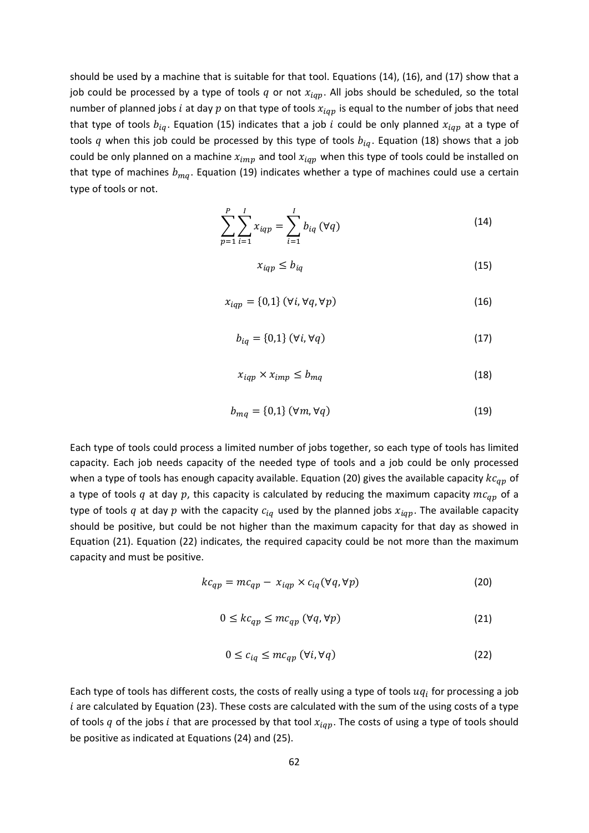should be used by a machine that is suitable for that tool. Equations (14), (16), and (17) show that a job could be processed by a type of tools q or not  $x_{iap}$ . All jobs should be scheduled, so the total number of planned jobs *i* at day  $p$  on that type of tools  $x_{iqp}$  is equal to the number of jobs that need that type of tools  $b_{ia}$ . Equation (15) indicates that a job *i* could be only planned  $x_{iar}$  at a type of tools q when this job could be processed by this type of tools  $b_{iq}$ . Equation (18) shows that a job could be only planned on a machine  $x_{imp}$  and tool  $x_{iqp}$  when this type of tools could be installed on that type of machines  $b_{ma}$ . Equation (19) indicates whether a type of machines could use a certain type of tools or not.

$$
\sum_{p=1}^{P} \sum_{i=1}^{I} x_{iqp} = \sum_{i=1}^{I} b_{iq} (\forall q)
$$
 (14)

$$
x_{iqp} \le b_{iq} \tag{15}
$$

$$
x_{iqp} = \{0,1\} \ (\forall i, \forall q, \forall p)
$$
 (16)

$$
b_{iq} = \{0,1\} \ (\forall i, \forall q)
$$
 (17)

$$
x_{iqp} \times x_{imp} \le b_{mq} \tag{18}
$$

$$
b_{mq} = \{0,1\} \ (\forall m, \forall q)
$$
 (19)

Each type of tools could process a limited number of jobs together, so each type of tools has limited capacity. Each job needs capacity of the needed type of tools and a job could be only processed when a type of tools has enough capacity available. Equation (20) gives the available capacity  $k\epsilon_{ap}$  of a type of tools q at day p, this capacity is calculated by reducing the maximum capacity  $mc_{qp}$  of a type of tools q at day p with the capacity  $c_{iq}$  used by the planned jobs  $x_{iqp}$ . The available capacity should be positive, but could be not higher than the maximum capacity for that day as showed in Equation (21). Equation (22) indicates, the required capacity could be not more than the maximum capacity and must be positive.

$$
kc_{qp} = mc_{qp} - x_{iqp} \times c_{iq} (\forall q, \forall p)
$$
 (20)

$$
0 \le k c_{qp} \le m c_{qp} \ (\forall q, \forall p)
$$
 (21)

$$
0 \le c_{iq} \le mc_{qp} \ (\forall i, \forall q)
$$
 (22)

Each type of tools has different costs, the costs of really using a type of tools  $uq_i$  for processing a job  $i$  are calculated by Equation (23). These costs are calculated with the sum of the using costs of a type of tools q of the jobs i that are processed by that tool  $x_{iqp}$ . The costs of using a type of tools should be positive as indicated at Equations (24) and (25).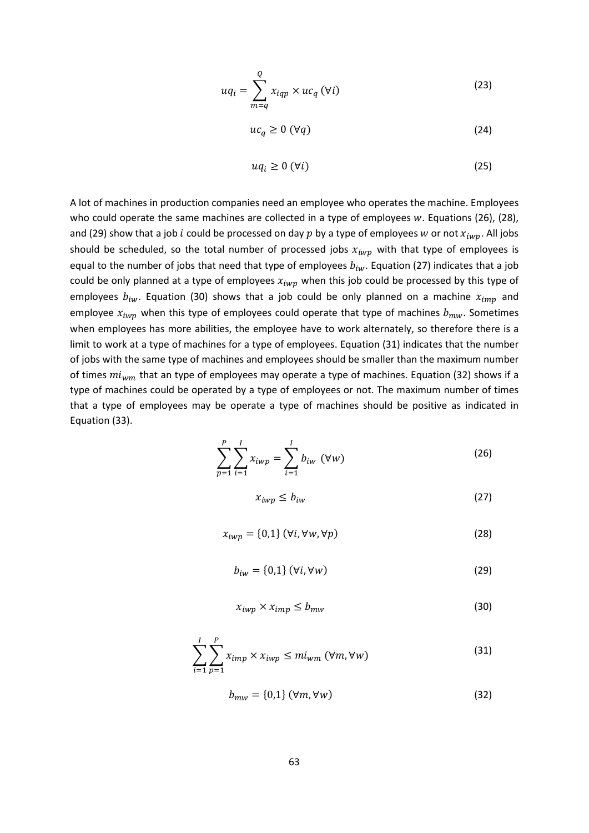$$
uq_i = \sum_{m=q}^{Q} x_{iqp} \times uc_q \, (\forall i)
$$
 (23)

$$
uc_q \ge 0 \, (\forall q) \tag{24}
$$

$$
uq_i \geq 0 \, (\forall i) \tag{25}
$$

A lot of machines in production companies need an employee who operates the machine. Employees who could operate the same machines are collected in a type of employees  $w$ . Equations (26), (28), and (29) show that a job *i* could be processed on day p by a type of employees w or not  $x_{iwn}$ . All jobs should be scheduled, so the total number of processed jobs  $x_{iwp}$  with that type of employees is equal to the number of jobs that need that type of employees  $b_{iw}$ . Equation (27) indicates that a job could be only planned at a type of employees  $x_{iwp}$  when this job could be processed by this type of employees  $b_{iw}$ . Equation (30) shows that a job could be only planned on a machine  $x_{imm}$  and employee  $x_{iwp}$  when this type of employees could operate that type of machines  $b_{mw}$ . Sometimes when employees has more abilities, the employee have to work alternately, so therefore there is a limit to work at a type of machines for a type of employees. Equation (31) indicates that the number of jobs with the same type of machines and employees should be smaller than the maximum number of times  $mi_{wm}$  that an type of employees may operate a type of machines. Equation (32) shows if a type of machines could be operated by a type of employees or not. The maximum number of times that a type of employees may be operate a type of machines should be positive as indicated in Equation (33).

$$
\sum_{p=1}^{P} \sum_{i=1}^{I} x_{iwp} = \sum_{i=1}^{I} b_{iw} \, (\forall w)
$$
 (26)

$$
x_{iwp} \le b_{iw} \tag{27}
$$

$$
x_{iwp} = \{0,1\} \ (\forall i, \forall w, \forall p)
$$
 (28)

$$
b_{iw} = \{0,1\} \ (\forall i, \forall w)
$$
 (29)

$$
x_{iwp} \times x_{imp} \le b_{mw} \tag{30}
$$

$$
\sum_{i=1}^{I} \sum_{p=1}^{P} x_{imp} \times x_{iwp} \leq mi_{wm} \ (\forall m, \forall w)
$$
 (31)

$$
b_{mw} = \{0,1\} \, (\forall m, \forall w) \tag{32}
$$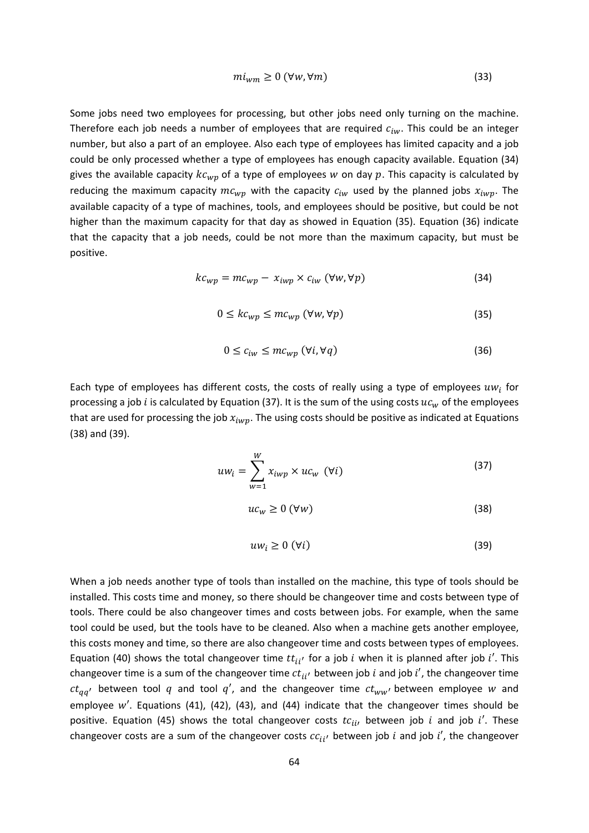$$
mi_{wm} \ge 0 \, (\forall w, \forall m) \tag{33}
$$

Some jobs need two employees for processing, but other jobs need only turning on the machine. Therefore each job needs a number of employees that are required  $c_{iw}$ . This could be an integer number, but also a part of an employee. Also each type of employees has limited capacity and a job could be only processed whether a type of employees has enough capacity available. Equation (34) gives the available capacity  $k c_{wp}$  of a type of employees w on day  $p$ . This capacity is calculated by reducing the maximum capacity  $mc_{wp}$  with the capacity  $c_{iw}$  used by the planned jobs  $x_{iwp}$ . The available capacity of a type of machines, tools, and employees should be positive, but could be not higher than the maximum capacity for that day as showed in Equation (35). Equation (36) indicate that the capacity that a job needs, could be not more than the maximum capacity, but must be positive.

$$
kc_{wp} = mc_{wp} - x_{iwp} \times c_{iw} \ (\forall w, \forall p)
$$
 (34)

$$
0 \leq kc_{wp} \leq mc_{wp} \, (\forall w, \forall p) \tag{35}
$$

$$
0 \le c_{iw} \le mc_{wp} \, (\forall i, \forall q) \tag{36}
$$

Each type of employees has different costs, the costs of really using a type of employees  $uw_i$  for processing a job *i* is calculated by Equation (37). It is the sum of the using costs  $uc_w$  of the employees that are used for processing the job  $x_{iwp}$ . The using costs should be positive as indicated at Equations (38) and (39).

$$
uw_i = \sum_{w=1}^{W} x_{iwp} \times uc_w \quad (\forall i)
$$
 (37)

$$
uc_w \ge 0 \, (\forall w) \tag{38}
$$

$$
uw_i \geq 0 \, (\forall i) \tag{39}
$$

When a job needs another type of tools than installed on the machine, this type of tools should be installed. This costs time and money, so there should be changeover time and costs between type of tools. There could be also changeover times and costs between jobs. For example, when the same tool could be used, but the tools have to be cleaned. Also when a machine gets another employee, this costs money and time, so there are also changeover time and costs between types of employees. Equation (40) shows the total changeover time  $tt_{ii'}$  for a job *i* when it is planned after job *i'*. This changeover time is a sum of the changeover time  $ct_{ii'}$  between job  $i$  and job  $i'$ , the changeover time  $ct_{aa'}$  between tool q and tool q', and the changeover time  $ct_{ww'}$  between employee w and employee  $w'$ . Equations (41), (42), (43), and (44) indicate that the changeover times should be positive. Equation (45) shows the total changeover costs  $tc_{ii}$ , between job  $i$  and job  $i'$ . These changeover costs are a sum of the changeover costs  $c_{i i'}$  between job  $i$  and job  $i'$ , the changeover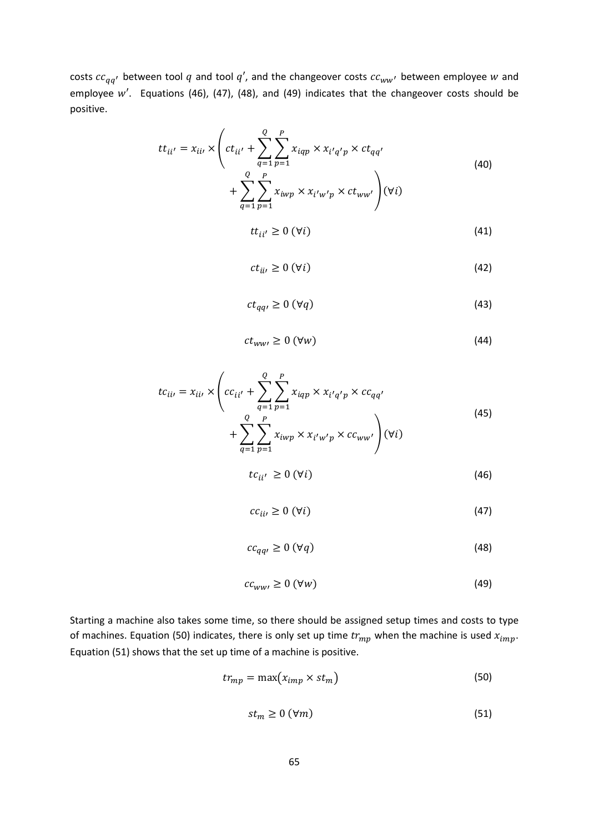costs  $cc_{qq'}$  between tool  $q$  and tool  $q'$ , and the changeover costs  $cc_{ww'}$  between employee  $w$  and employee  $w'$ . Equations (46), (47), (48), and (49) indicates that the changeover costs should be positive.

$$
tt_{ii'} = x_{ii} \times \left(ct_{ii'} + \sum_{q=1}^{Q} \sum_{p=1}^{P} x_{iqp} \times x_{i'q'p} \times ct_{qq'} + \sum_{q=1}^{Q} \sum_{p=1}^{P} x_{iwp} \times x_{i'w'p} \times ct_{ww'}\right) (\forall i)
$$
\n(40)

$$
tt_{ii'} \ge 0 \, (\forall i) \tag{41}
$$

$$
ct_{ii'} \ge 0 \, (\forall i) \tag{42}
$$

$$
ct_{qq'} \ge 0 \, (\forall q) \tag{43}
$$

$$
ct_{ww'} \ge 0 \, (\forall w) \tag{44}
$$

$$
tc_{ii'} = x_{ii'} \times \left( cc_{ii'} + \sum_{q=1}^{Q} \sum_{p=1}^{P} x_{iqp} \times x_{i'q'p} \times cc_{qq'} + \sum_{q=1}^{Q} \sum_{p=1}^{P} x_{iwp} \times x_{i'w'p} \times cc_{ww'} \right) (\forall i)
$$
\n(45)

$$
tc_{ii'} \ge 0 \, (\forall i) \tag{46}
$$

$$
cc_{ii'} \ge 0 \, (\forall i) \tag{47}
$$

$$
cc_{qq'} \ge 0 \, (\forall q) \tag{48}
$$

$$
cc_{ww'} \ge 0 \, (\forall w) \tag{49}
$$

Starting a machine also takes some time, so there should be assigned setup times and costs to type of machines. Equation (50) indicates, there is only set up time  $tr_{mp}$  when the machine is used  $x_{imp}$ . Equation (51) shows that the set up time of a machine is positive.

$$
tr_{mp} = \max(x_{imp} \times st_m)
$$
 (50)

$$
st_m \ge 0 \, (\forall m) \tag{51}
$$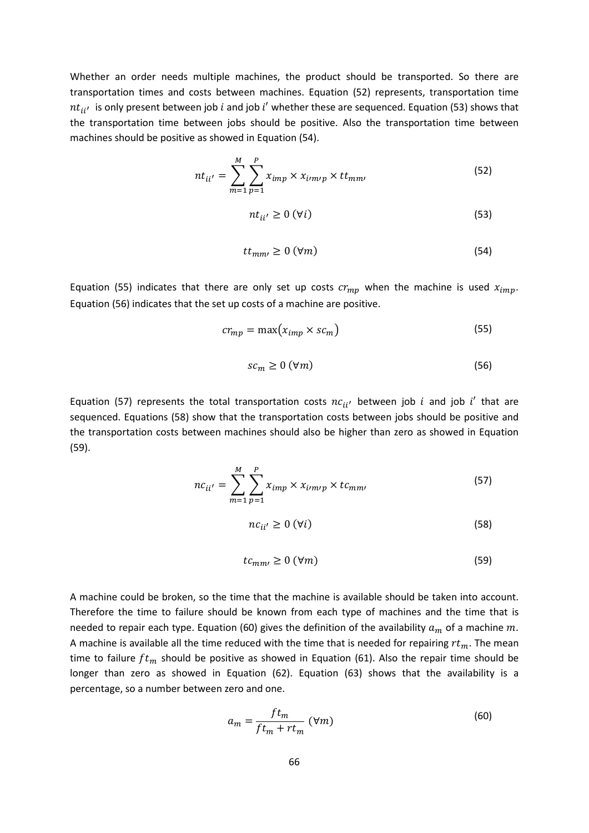Whether an order needs multiple machines, the product should be transported. So there are transportation times and costs between machines. Equation (52) represents, transportation time  $nt_{ii'}$  is only present between job *i* and job *i'* whether these are sequenced. Equation (53) shows that the transportation time between jobs should be positive. Also the transportation time between machines should be positive as showed in Equation (54).

$$
nt_{ii'} = \sum_{m=1}^{M} \sum_{p=1}^{P} x_{imp} \times x_{impp} \times tt_{mm'}
$$
 (52)

$$
nt_{ii'} \ge 0 \, (\forall i) \tag{53}
$$

$$
tt_{mm'} \ge 0 \, (\forall m) \tag{54}
$$

Equation (55) indicates that there are only set up costs  $cr_{mp}$  when the machine is used  $x_{imp}$ . Equation (56) indicates that the set up costs of a machine are positive.

$$
cr_{mp} = \max(x_{imp} \times sc_m)
$$
 (55)

$$
sc_m \ge 0 \, (\forall m) \tag{56}
$$

Equation (57) represents the total transportation costs  $nc_{ii'}$  between job *i* and job *i'* that are sequenced. Equations (58) show that the transportation costs between jobs should be positive and the transportation costs between machines should also be higher than zero as showed in Equation (59).

$$
nc_{ii'} = \sum_{m=1}^{M} \sum_{p=1}^{P} x_{imp} \times x_{imp} \times tc_{mm'}
$$
 (57)

$$
nc_{ii'} \ge 0 \ (\forall i) \tag{58}
$$

$$
tc_{mm'} \ge 0 \, (\forall m) \tag{59}
$$

A machine could be broken, so the time that the machine is available should be taken into account. Therefore the time to failure should be known from each type of machines and the time that is needed to repair each type. Equation (60) gives the definition of the availability  $a_m$  of a machine m. A machine is available all the time reduced with the time that is needed for repairing  $rt_m$ . The mean time to failure  $ft_m$  should be positive as showed in Equation (61). Also the repair time should be longer than zero as showed in Equation (62). Equation (63) shows that the availability is a percentage, so a number between zero and one.

$$
a_m = \frac{ft_m}{ft_m + rt_m} \text{ (}\forall m\text{)}
$$
 (60)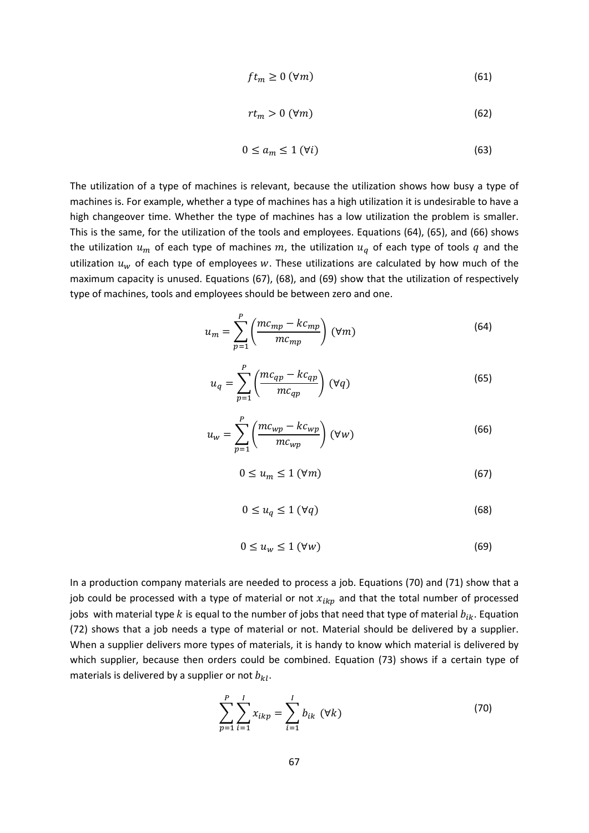$$
ft_m \ge 0 \, (\forall m) \tag{61}
$$

$$
rt_m > 0 \, (\forall m) \tag{62}
$$

$$
0 \le a_m \le 1 \, (\forall i) \tag{63}
$$

The utilization of a type of machines is relevant, because the utilization shows how busy a type of machines is. For example, whether a type of machines has a high utilization it is undesirable to have a high changeover time. Whether the type of machines has a low utilization the problem is smaller. This is the same, for the utilization of the tools and employees. Equations (64), (65), and (66) shows the utilization  $u_m$  of each type of machines m, the utilization  $u_q$  of each type of tools q and the utilization  $u_w$  of each type of employees w. These utilizations are calculated by how much of the maximum capacity is unused. Equations (67), (68), and (69) show that the utilization of respectively type of machines, tools and employees should be between zero and one.

$$
u_m = \sum_{p=1}^{P} \left( \frac{mc_{mp} - kc_{mp}}{mc_{mp}} \right) \, (\forall m) \tag{64}
$$

$$
u_q = \sum_{p=1}^{P} \left( \frac{mc_{qp} - kc_{qp}}{mc_{qp}} \right) (\forall q)
$$
 (65)

$$
u_w = \sum_{p=1}^{P} \left( \frac{mc_{wp} - kc_{wp}}{mc_{wp}} \right) \, (\forall w) \tag{66}
$$

$$
0 \le u_m \le 1 \, (\forall m) \tag{67}
$$

$$
0 \le u_q \le 1 \, (\forall q) \tag{68}
$$

$$
0 \le u_w \le 1 \, (\forall w) \tag{69}
$$

In a production company materials are needed to process a job. Equations (70) and (71) show that a job could be processed with a type of material or not  $x_{ikp}$  and that the total number of processed jobs with material type k is equal to the number of jobs that need that type of material  $b_{ik}$ . Equation (72) shows that a job needs a type of material or not. Material should be delivered by a supplier. When a supplier delivers more types of materials, it is handy to know which material is delivered by which supplier, because then orders could be combined. Equation (73) shows if a certain type of materials is delivered by a supplier or not  $b_{kl}$ .

$$
\sum_{p=1}^{P} \sum_{i=1}^{I} x_{ikp} = \sum_{i=1}^{I} b_{ik} \, (\forall k)
$$
 (70)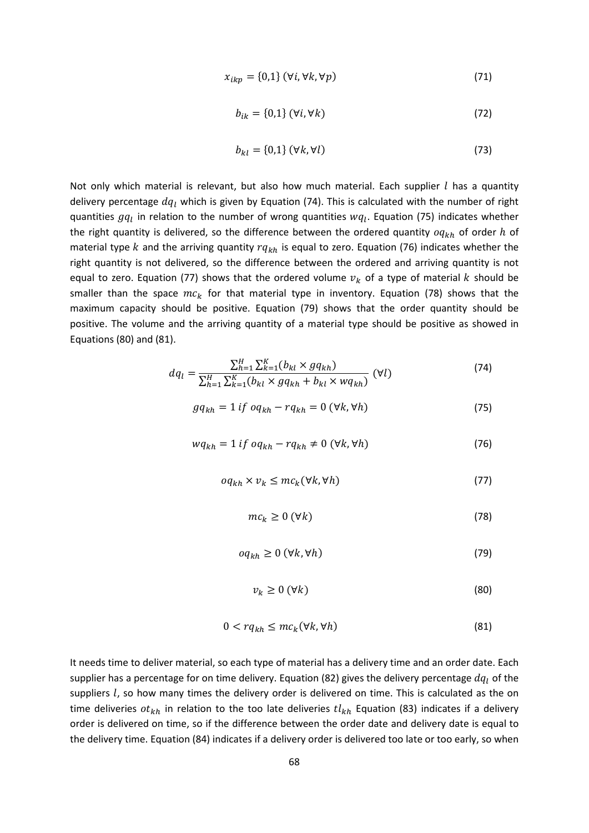$$
x_{ikp} = \{0,1\} \ (\forall i, \forall k, \forall p)
$$
 (71)

$$
b_{ik} = \{0,1\} \ (\forall i, \forall k)
$$
 (72)

$$
b_{kl} = \{0,1\} \, (\forall k, \forall l) \tag{73}
$$

Not only which material is relevant, but also how much material. Each supplier  $l$  has a quantity delivery percentage  $dq_l$  which is given by Equation (74). This is calculated with the number of right quantities  $gq_l$  in relation to the number of wrong quantities  $wq_l$ . Equation (75) indicates whether the right quantity is delivered, so the difference between the ordered quantity  $q_{kh}$  of order h of material type k and the arriving quantity  $rq_{kh}$  is equal to zero. Equation (76) indicates whether the right quantity is not delivered, so the difference between the ordered and arriving quantity is not equal to zero. Equation (77) shows that the ordered volume  $v_k$  of a type of material k should be smaller than the space  $mc_k$  for that material type in inventory. Equation (78) shows that the maximum capacity should be positive. Equation (79) shows that the order quantity should be positive. The volume and the arriving quantity of a material type should be positive as showed in Equations (80) and (81).

$$
dq_{l} = \frac{\sum_{h=1}^{H} \sum_{k=1}^{K} (b_{kl} \times g q_{kh})}{\sum_{h=1}^{H} \sum_{k=1}^{K} (b_{kl} \times g q_{kh} + b_{kl} \times w q_{kh})} \quad (\forall l)
$$
 (74)

$$
gq_{kh} = 1 \text{ if } oq_{kh} - rq_{kh} = 0 \ (\forall k, \forall h)
$$
 (75)

$$
wq_{kh} = 1 \text{ if } oq_{kh} - rq_{kh} \neq 0 \ (\forall k, \forall h)
$$
 (76)

$$
oq_{kh} \times v_k \le mc_k(\forall k, \forall h)
$$
\n<sup>(77)</sup>

$$
mc_k \ge 0 \, (\forall k) \tag{78}
$$

$$
oq_{kh} \ge 0 \ (\forall k, \forall h)
$$
 (79)

$$
v_k \ge 0 \, (\forall k) \tag{80}
$$

$$
0 < r q_{kh} \le m c_k (\forall k, \forall h) \tag{81}
$$

It needs time to deliver material, so each type of material has a delivery time and an order date. Each supplier has a percentage for on time delivery. Equation (82) gives the delivery percentage  $dq_l$  of the suppliers  $l$ , so how many times the delivery order is delivered on time. This is calculated as the on time deliveries  $ot_{kh}$  in relation to the too late deliveries  $tl_{kh}$  Equation (83) indicates if a delivery order is delivered on time, so if the difference between the order date and delivery date is equal to the delivery time. Equation (84) indicates if a delivery order is delivered too late or too early, so when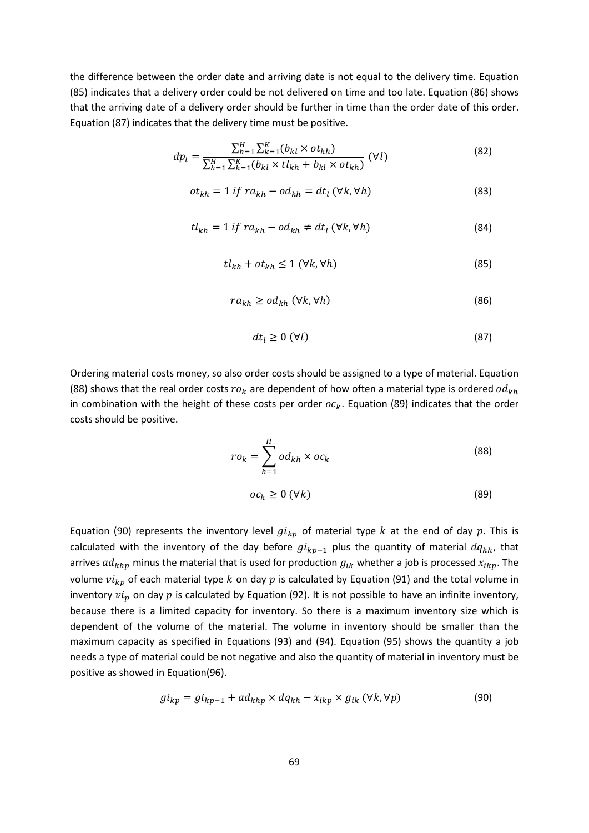the difference between the order date and arriving date is not equal to the delivery time. Equation (85) indicates that a delivery order could be not delivered on time and too late. Equation (86) shows that the arriving date of a delivery order should be further in time than the order date of this order. Equation (87) indicates that the delivery time must be positive.

$$
dp_l = \frac{\sum_{h=1}^{H} \sum_{k=1}^{K} (b_{kl} \times ot_{kh})}{\sum_{h=1}^{H} \sum_{k=1}^{K} (b_{kl} \times tl_{kh} + b_{kl} \times ot_{kh})} \quad (\forall l)
$$
\n(82)

$$
ot_{kh} = 1 \text{ if } ra_{kh} - od_{kh} = dt_l \ (\forall k, \forall h)
$$
 (83)

$$
tl_{kh} = 1 \text{ if } ra_{kh} - od_{kh} \neq dt_l \ (\forall k, \forall h)
$$
 (84)

$$
tl_{kh} + ot_{kh} \le 1 \ (\forall k, \forall h)
$$
\n(85)

$$
ra_{kh} \ge od_{kh} \ (\forall k, \forall h)
$$
 (86)

$$
dt_l \ge 0 \, (\forall l) \tag{87}
$$

Ordering material costs money, so also order costs should be assigned to a type of material. Equation (88) shows that the real order costs  $ro_k$  are dependent of how often a material type is ordered  $od_{kh}$ in combination with the height of these costs per order  $oc_k$ . Equation (89) indicates that the order costs should be positive.

$$
ro_k = \sum_{h=1}^{H} od_{kh} \times oc_k
$$
 (88)

$$
oc_k \ge 0 \, (\forall k) \tag{89}
$$

Equation (90) represents the inventory level  $g i_{kp}$  of material type k at the end of day p. This is calculated with the inventory of the day before  $gi_{kp-1}$  plus the quantity of material  $dq_{kh}$ , that arrives  $ad_{khp}$  minus the material that is used for production  $g_{ik}$  whether a job is processed  $x_{ikp}$ . The volume  $vi_{kp}$  of each material type k on day p is calculated by Equation (91) and the total volume in inventory  $vi_n$  on day  $p$  is calculated by Equation (92). It is not possible to have an infinite inventory, because there is a limited capacity for inventory. So there is a maximum inventory size which is dependent of the volume of the material. The volume in inventory should be smaller than the maximum capacity as specified in Equations (93) and (94). Equation (95) shows the quantity a job needs a type of material could be not negative and also the quantity of material in inventory must be positive as showed in Equation(96).

$$
gi_{kp} = gi_{kp-1} + ad_{khp} \times dq_{kh} - x_{ikp} \times g_{ik} \ (\forall k, \forall p)
$$
 (90)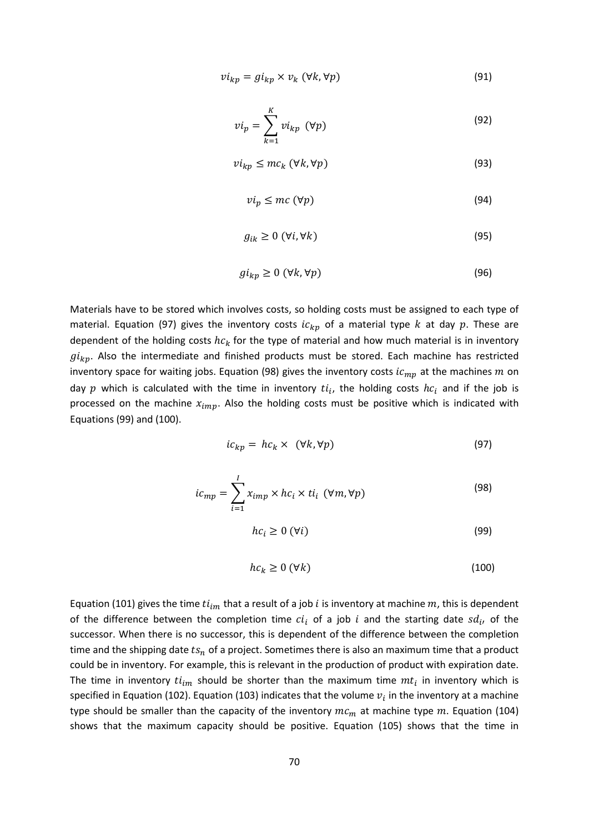$$
vi_{kp} = gi_{kp} \times v_k \ (\forall k, \forall p)
$$
 (91)

$$
vi_p = \sum_{k=1}^{K} vi_{kp} \, (\forall p) \tag{92}
$$

$$
vi_{kp} \le mc_k \ (\forall k, \forall p)
$$
 (93)

$$
vi_p \le mc \, (\forall p) \tag{94}
$$

$$
g_{ik} \ge 0 \, (\forall i, \forall k) \tag{95}
$$

$$
gi_{kp} \ge 0 \ (\forall k, \forall p) \tag{96}
$$

Materials have to be stored which involves costs, so holding costs must be assigned to each type of material. Equation (97) gives the inventory costs  $ic_{kp}$  of a material type k at day p. These are dependent of the holding costs  $hc_k$  for the type of material and how much material is in inventory  $g_{k,p}$ . Also the intermediate and finished products must be stored. Each machine has restricted inventory space for waiting jobs. Equation (98) gives the inventory costs  $ic_{mp}$  at the machines  $m$  on day  $p$  which is calculated with the time in inventory  $t i_i$ , the holding costs  $hc_i$  and if the job is processed on the machine  $x_{imp}$ . Also the holding costs must be positive which is indicated with Equations (99) and (100).

$$
ic_{kp} = hc_k \times (\forall k, \forall p)
$$
\n(97)

$$
ic_{mp} = \sum_{i=1}^{I} x_{imp} \times hc_i \times ti_i \, (\forall m, \forall p)
$$
 (98)

$$
hc_i \ge 0 \, (\forall i) \tag{99}
$$

$$
hc_k \ge 0 \, (\forall k) \tag{100}
$$

Equation (101) gives the time  $ti_{im}$  that a result of a job *i* is inventory at machine  $m$ , this is dependent of the difference between the completion time  $ci_i$  of a job i and the starting date  $sd_i$ , of the successor. When there is no successor, this is dependent of the difference between the completion time and the shipping date  $ts_n$  of a project. Sometimes there is also an maximum time that a product could be in inventory. For example, this is relevant in the production of product with expiration date. The time in inventory  $ti_{im}$  should be shorter than the maximum time  $mt_i$  in inventory which is specified in Equation (102). Equation (103) indicates that the volume  $v_i$  in the inventory at a machine type should be smaller than the capacity of the inventory  $mc_m$  at machine type  $m$ . Equation (104) shows that the maximum capacity should be positive. Equation (105) shows that the time in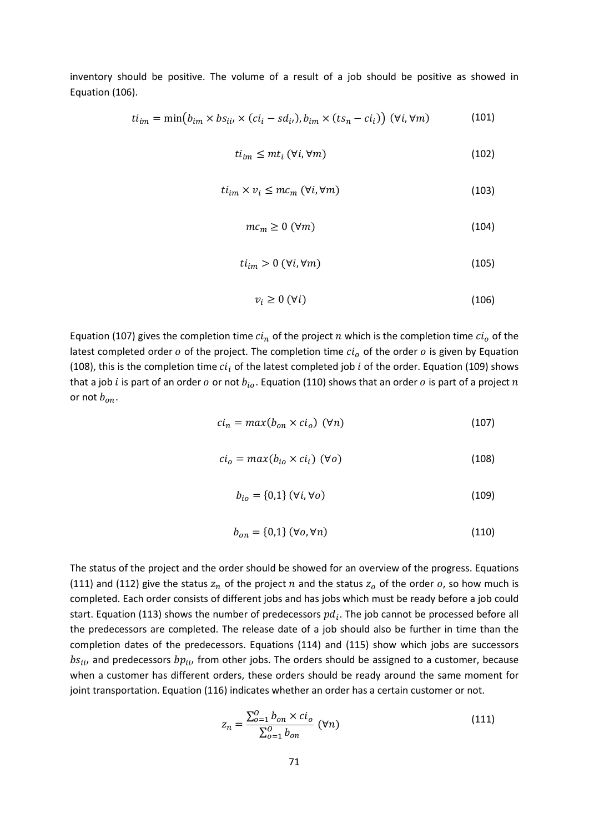inventory should be positive. The volume of a result of a job should be positive as showed in Equation (106).

$$
ti_{im} = \min(b_{im} \times bs_{ii} \times (ci_i - sd_{i}), b_{im} \times (ts_n - ci_i)) \quad (\forall i, \forall m)
$$
 (101)

$$
ti_{im} \leq mt_i \ (\forall i, \forall m)
$$
 (102)

$$
ti_{im} \times v_i \le mc_m \ (\forall i, \forall m)
$$
 (103)

$$
mc_m \ge 0 \, (\forall m) \tag{104}
$$

$$
ti_{im} > 0 \ (\forall i, \forall m)
$$
 (105)

$$
v_i \ge 0 \, (\forall i) \tag{106}
$$

Equation (107) gives the completion time  $c i_n$  of the project  $n$  which is the completion time  $c i_o$  of the latest completed order  $o$  of the project. The completion time  $ci<sub>o</sub>$  of the order  $o$  is given by Equation (108), this is the completion time  $ci_i$  of the latest completed job i of the order. Equation (109) shows that a job *i* is part of an order *o* or not  $b_{io}$ . Equation (110) shows that an order *o* is part of a project *n* or not  $b_{on}$ .

$$
ci_n = max(b_{on} \times ci_o) \, (\forall n) \tag{107}
$$

$$
ci_o = max(b_{io} \times ci_i) \, (\forall o)
$$
 (108)

$$
b_{io} = \{0,1\} \ (\forall i, \forall o)
$$
\n
$$
(109)
$$

$$
b_{on} = \{0,1\} \ (\forall o, \forall n) \tag{110}
$$

The status of the project and the order should be showed for an overview of the progress. Equations (111) and (112) give the status  $z_n$  of the project  $n$  and the status  $z_o$  of the order  $o$ , so how much is completed. Each order consists of different jobs and has jobs which must be ready before a job could start. Equation (113) shows the number of predecessors  $pd_i$ . The job cannot be processed before all the predecessors are completed. The release date of a job should also be further in time than the completion dates of the predecessors. Equations (114) and (115) show which jobs are successors  $bs_{ii}$ , and predecessors  $bp_{ii}$ , from other jobs. The orders should be assigned to a customer, because when a customer has different orders, these orders should be ready around the same moment for joint transportation. Equation (116) indicates whether an order has a certain customer or not.

$$
z_n = \frac{\sum_{o=1}^{O} b_{on} \times ci_o}{\sum_{o=1}^{O} b_{on}} \text{ } (\forall n) \tag{111}
$$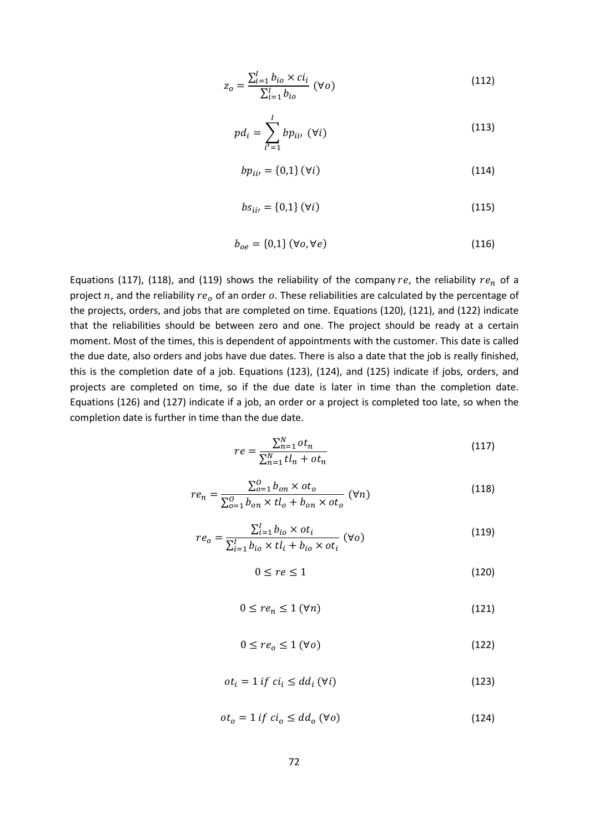$$
z_o = \frac{\sum_{i=1}^{I} b_{io} \times ci_i}{\sum_{i=1}^{I} b_{io}} \text{ } (\forall o)
$$
 (112)

$$
pd_i = \sum_{i'=1}^{I} bp_{ii'} \, (\forall i)
$$
 (113)

$$
bp_{ii'} = \{0,1\} \, (\forall i) \tag{114}
$$

$$
bs_{ii'} = \{0,1\} \, (\forall i) \tag{115}
$$

$$
b_{oe} = \{0,1\} \ (\forall o, \forall e)
$$
\n<sup>(116)</sup>

Equations (117), (118), and (119) shows the reliability of the company  $re$ , the reliability  $re_n$  of a project  $n$ , and the reliability  $re<sub>o</sub>$  of an order  $o$ . These reliabilities are calculated by the percentage of the projects, orders, and jobs that are completed on time. Equations (120), (121), and (122) indicate that the reliabilities should be between zero and one. The project should be ready at a certain moment. Most of the times, this is dependent of appointments with the customer. This date is called the due date, also orders and jobs have due dates. There is also a date that the job is really finished, this is the completion date of a job. Equations (123), (124), and (125) indicate if jobs, orders, and projects are completed on time, so if the due date is later in time than the completion date. Equations (126) and (127) indicate if a job, an order or a project is completed too late, so when the completion date is further in time than the due date.

$$
re = \frac{\sum_{n=1}^{N} ot_n}{\sum_{n=1}^{N}tl_n + ot_n}
$$
 (117)

$$
re_n = \frac{\sum_{o=1}^{O} b_{on} \times ot_o}{\sum_{o=1}^{O} b_{on} \times tl_o + b_{on} \times ot_o} \quad (\forall n)
$$
\n(118)

$$
re_o = \frac{\sum_{i=1}^{I} b_{io} \times ot_i}{\sum_{i=1}^{I} b_{io} \times tl_i + b_{io} \times ot_i} \quad (\forall o)
$$
\n(119)

$$
0 \le re \le 1\tag{120}
$$

$$
0 \le r e_n \le 1 \, (\forall n) \tag{121}
$$

$$
0 \le r e_o \le 1 \, (\forall o) \tag{122}
$$

$$
ot_i = 1 \text{ if } ci_i \le dd_i \text{ } (\forall i) \tag{123}
$$

$$
ot_o = 1 \text{ if } ci_o \le dd_o \text{ } (\forall o) \tag{124}
$$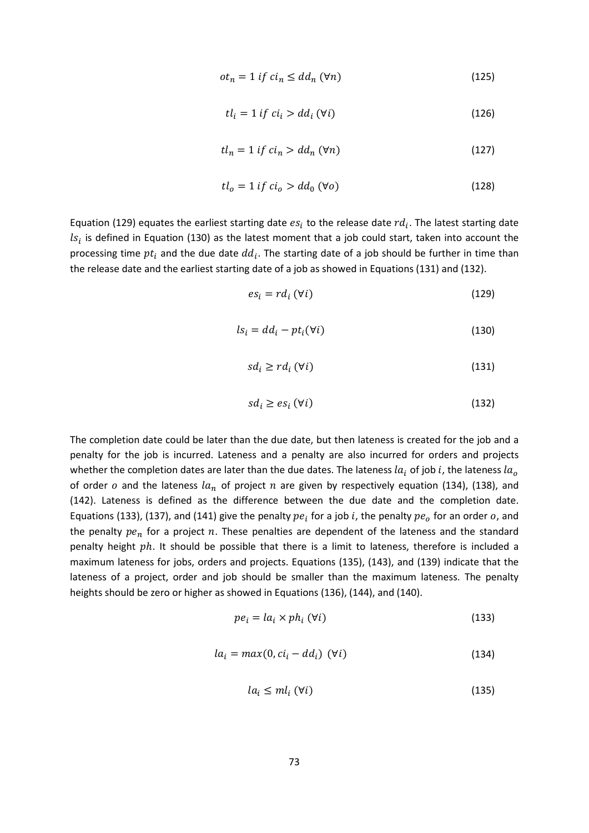$$
ot_n = 1 \text{ if } ci_n \le dd_n \text{ } (\forall n) \tag{125}
$$

$$
tl_i = 1 \text{ if } ci_i > dd_i \text{ } (\forall i) \tag{126}
$$

$$
tl_n = 1 \text{ if } ci_n > dd_n \text{ } (\forall n) \tag{127}
$$

$$
tl_o = 1 \text{ if } ci_o > dd_0 \text{ } (\forall o) \tag{128}
$$

Equation (129) equates the earliest starting date  $es_i$  to the release date  $rd_i$ . The latest starting date  $ls_i$  is defined in Equation (130) as the latest moment that a job could start, taken into account the processing time  $pt_i$  and the due date  $dd_i$ . The starting date of a job should be further in time than the release date and the earliest starting date of a job as showed in Equations (131) and (132).

$$
es_i = rd_i \ (\forall i)
$$
 (129)

$$
ls_i = dd_i - pt_i(\forall i)
$$
\n(130)

$$
sd_i \ge rd_i \ (\forall i)
$$
 (131)

$$
sd_i \ge es_i \, (\forall i) \tag{132}
$$

The completion date could be later than the due date, but then lateness is created for the job and a penalty for the job is incurred. Lateness and a penalty are also incurred for orders and projects whether the completion dates are later than the due dates. The lateness  $la_i$  of job i, the lateness  $la_o$ of order  $o$  and the lateness  $la_n$  of project  $n$  are given by respectively equation (134), (138), and (142). Lateness is defined as the difference between the due date and the completion date. Equations (133), (137), and (141) give the penalty  $pe_i$  for a job i, the penalty  $pe_o$  for an order  $o$ , and the penalty  $pe_n$  for a project  $n$ . These penalties are dependent of the lateness and the standard penalty height  $ph.$  It should be possible that there is a limit to lateness, therefore is included a maximum lateness for jobs, orders and projects. Equations (135), (143), and (139) indicate that the lateness of a project, order and job should be smaller than the maximum lateness. The penalty heights should be zero or higher as showed in Equations (136), (144), and (140).

$$
pe_i = la_i \times ph_i \, (\forall i)
$$
\n<sup>(133)</sup>

$$
la_i = max(0, ci_i - dd_i) \quad (\forall i)
$$
 (134)

$$
la_i \le ml_i \, (\forall i) \tag{135}
$$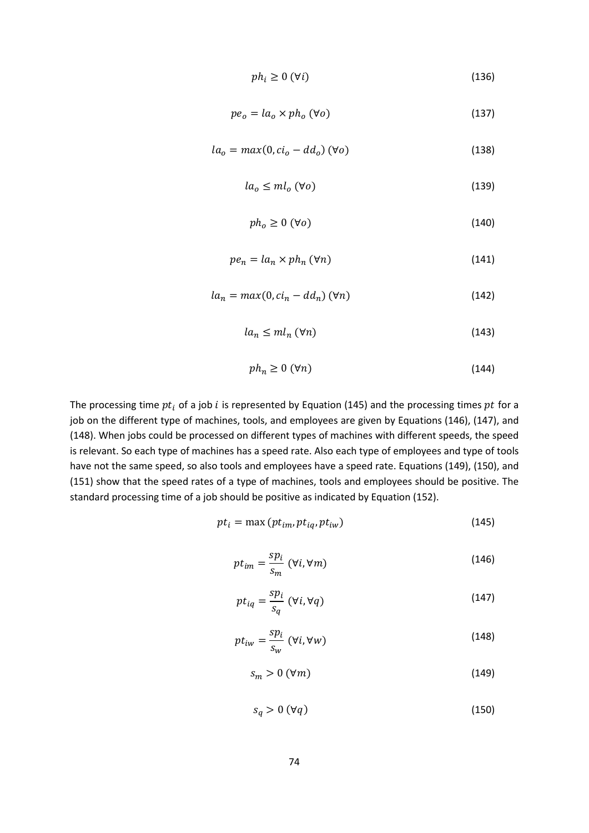$$
ph_i \ge 0 \, (\forall i) \tag{136}
$$

$$
pe_o = la_o \times ph_o \, (\forall o) \tag{137}
$$

$$
la_o = max(0, ci_o - dd_o) \, (\forall o)
$$
\n(138)

$$
la_o \le ml_o \, (\forall o) \tag{139}
$$

$$
ph_o \ge 0 \, (\forall o) \tag{140}
$$

$$
pe_n = la_n \times ph_n \, (\forall n) \tag{141}
$$

$$
la_n = max(0, ci_n - dd_n) \, (\forall n) \tag{142}
$$

$$
la_n \le m l_n \, (\forall n) \tag{143}
$$

$$
ph_n \ge 0 \, (\forall n) \tag{144}
$$

The processing time  $pt_i$  of a job i is represented by Equation (145) and the processing times  $pt$  for a job on the different type of machines, tools, and employees are given by Equations (146), (147), and (148). When jobs could be processed on different types of machines with different speeds, the speed is relevant. So each type of machines has a speed rate. Also each type of employees and type of tools have not the same speed, so also tools and employees have a speed rate. Equations (149), (150), and (151) show that the speed rates of a type of machines, tools and employees should be positive. The standard processing time of a job should be positive as indicated by Equation (152).

$$
pt_i = \max\left(pt_{im}, pt_{iq}, pt_{iw}\right) \tag{145}
$$

$$
pt_{im} = \frac{sp_i}{s_m} \ (\forall i, \forall m)
$$
 (146)

$$
pt_{iq} = \frac{sp_i}{s_q} \ (\forall i, \forall q)
$$
 (147)

$$
pt_{iw} = \frac{sp_i}{s_w} \ (\forall i, \forall w)
$$
 (148)

$$
s_m > 0 \, (\forall m) \tag{149}
$$

$$
s_q > 0 \; (\forall q) \tag{150}
$$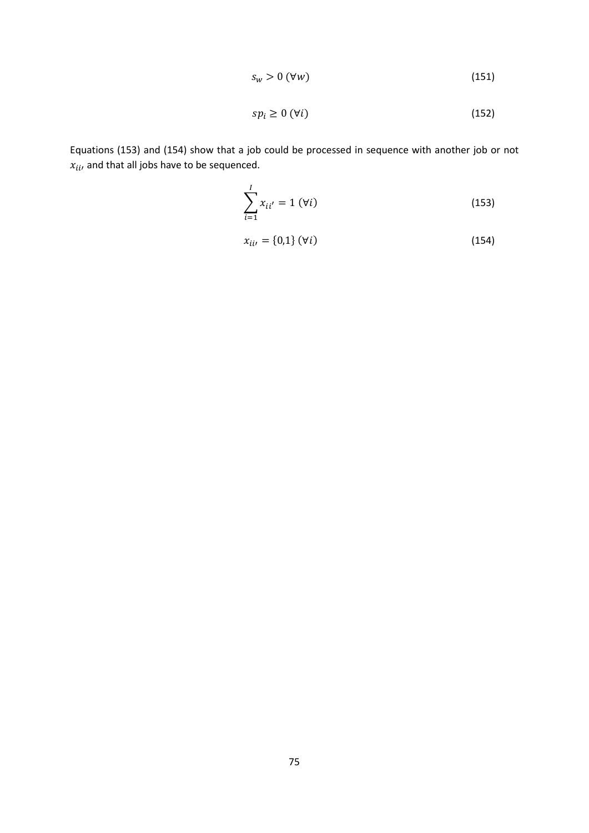$$
s_w > 0 \, (\forall w) \tag{151}
$$

$$
sp_i \ge 0 \, (\forall i) \tag{152}
$$

Equations (153) and (154) show that a job could be processed in sequence with another job or not  $x_{ii}$ , and that all jobs have to be sequenced.

$$
\sum_{i=1}^{I} x_{ii'} = 1 \, (\forall i)
$$
 (153)

$$
x_{ii'} = \{0,1\} \, (\forall i) \tag{154}
$$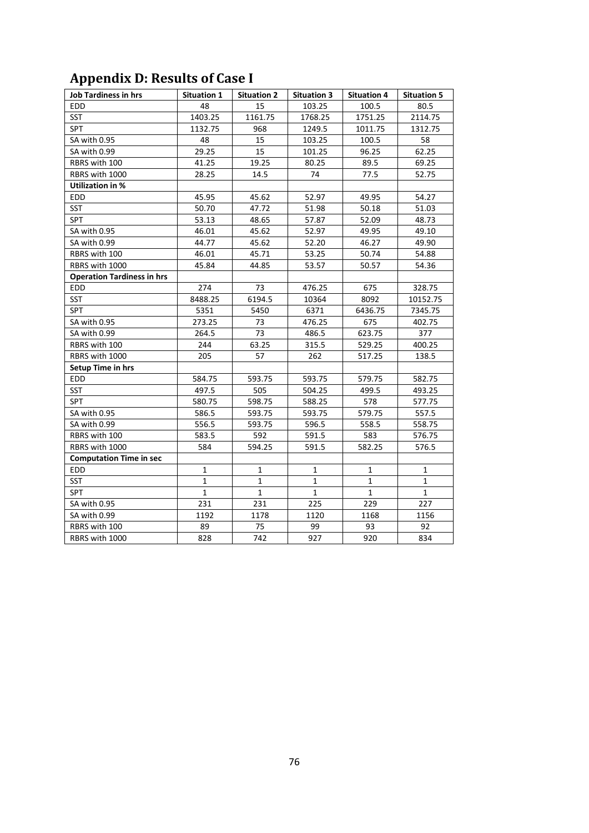| <b>Job Tardiness in hrs</b>       | <b>Situation 1</b> | <b>Situation 2</b> | <b>Situation 3</b> | <b>Situation 4</b> | <b>Situation 5</b> |
|-----------------------------------|--------------------|--------------------|--------------------|--------------------|--------------------|
| <b>EDD</b>                        | 48                 | 15                 | 103.25             | 100.5              | 80.5               |
| SST                               | 1403.25            | 1161.75            | 1768.25            | 1751.25            | 2114.75            |
| <b>SPT</b>                        | 1132.75            | 968                | 1249.5             | 1011.75            | 1312.75            |
| SA with 0.95                      | 48                 | 15                 | 103.25             | 100.5              | 58                 |
| SA with 0.99                      | 29.25              | 15                 | 101.25             | 96.25              | 62.25              |
| RBRS with 100                     | 41.25              | 19.25              | 80.25              | 89.5               | 69.25              |
| RBRS with 1000                    | 28.25              | 14.5               | 74                 | 77.5               | 52.75              |
| <b>Utilization in %</b>           |                    |                    |                    |                    |                    |
| <b>EDD</b>                        | 45.95              | 45.62              | 52.97              | 49.95              | 54.27              |
| <b>SST</b>                        | 50.70              | 47.72              | 51.98              | 50.18              | 51.03              |
| SPT                               | 53.13              | 48.65              | 57.87              | 52.09              | 48.73              |
| SA with 0.95                      | 46.01              | 45.62              | 52.97              | 49.95              | 49.10              |
| SA with 0.99                      | 44.77              | 45.62              | 52.20              | 46.27              | 49.90              |
| RBRS with 100                     | 46.01              | 45.71              | 53.25              | 50.74              | 54.88              |
| RBRS with 1000                    | 45.84              | 44.85              | 53.57              | 50.57              | 54.36              |
| <b>Operation Tardiness in hrs</b> |                    |                    |                    |                    |                    |
| EDD                               | 274                | 73                 | 476.25             | 675                | 328.75             |
| <b>SST</b>                        | 8488.25            | 6194.5             | 10364              | 8092               | 10152.75           |
| <b>SPT</b>                        | 5351               | 5450               | 6371               | 6436.75            | 7345.75            |
| SA with 0.95                      | 273.25             | 73                 | 476.25             | 675                | 402.75             |
| SA with 0.99                      | 264.5              | 73                 | 486.5              | 623.75             | 377                |
| RBRS with 100                     | 244                | 63.25              | 315.5              | 529.25             | 400.25             |
| RBRS with 1000                    | 205                | 57                 | 262                | 517.25             | 138.5              |
| Setup Time in hrs                 |                    |                    |                    |                    |                    |
| <b>EDD</b>                        | 584.75             | 593.75             | 593.75             | 579.75             | 582.75             |
| <b>SST</b>                        | 497.5              | 505                | 504.25             | 499.5              | 493.25             |
| <b>SPT</b>                        | 580.75             | 598.75             | 588.25             | 578                | 577.75             |
| SA with 0.95                      | 586.5              | 593.75             | 593.75             | 579.75             | 557.5              |
| SA with 0.99                      | 556.5              | 593.75             | 596.5              | 558.5              | 558.75             |
| RBRS with 100                     | 583.5              | 592                | 591.5              | 583                | 576.75             |
| RBRS with 1000                    | 584                | 594.25             | 591.5              | 582.25             | 576.5              |
| <b>Computation Time in sec</b>    |                    |                    |                    |                    |                    |
| EDD                               | $\mathbf{1}$       | 1                  | 1                  | $\mathbf{1}$       | 1                  |
| <b>SST</b>                        | 1                  | $\mathbf{1}$       | 1                  | $\mathbf{1}$       | $\mathbf{1}$       |
| SPT                               | $\mathbf{1}$       | $\mathbf{1}$       | $\mathbf{1}$       | $\mathbf 1$        | $\mathbf{1}$       |
| SA with 0.95                      | 231                | 231                | 225                | 229                | 227                |
| SA with 0.99                      | 1192               | 1178               | 1120               | 1168               | 1156               |
| RBRS with 100                     | 89                 | 75                 | 99                 | 93                 | 92                 |
| RBRS with 1000                    | 828                | 742                | 927                | 920                | 834                |

## **Appendix D: Results of Case I**